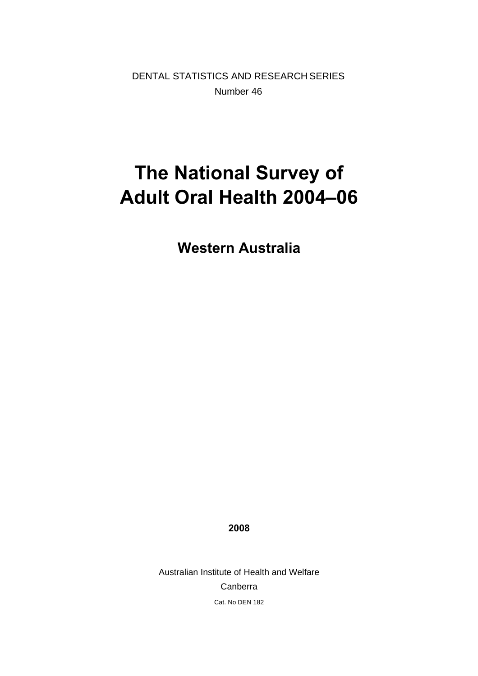DENTAL STATISTICS AND RESEARCH SERIES Number 46

# **The National Survey of Adult Oral Health 2004–06**

**Western Australia** 

**2008** 

Australian Institute of Health and Welfare Canberra Cat. No DEN 182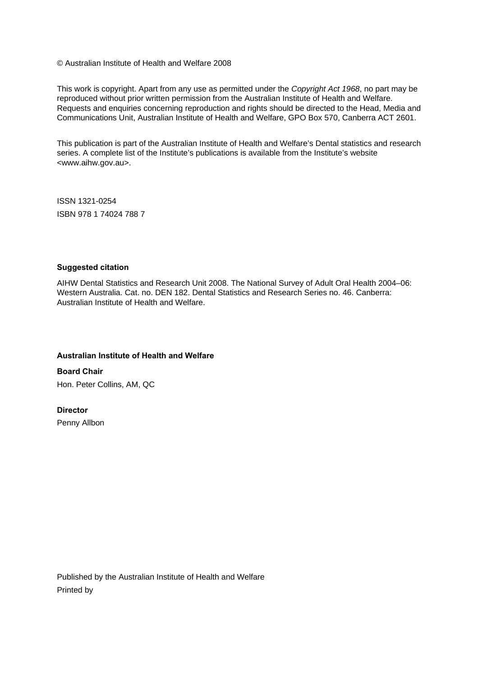© Australian Institute of Health and Welfare 2008

This work is copyright. Apart from any use as permitted under the *Copyright Act 1968*, no part may be reproduced without prior written permission from the Australian Institute of Health and Welfare. Requests and enquiries concerning reproduction and rights should be directed to the Head, Media and Communications Unit, Australian Institute of Health and Welfare, GPO Box 570, Canberra ACT 2601.

This publication is part of the Australian Institute of Health and Welfare's Dental statistics and research series. A complete list of the Institute's publications is available from the Institute's website <www.aihw.gov.au>.

ISSN 1321-0254 ISBN 978 1 74024 788 7

#### **Suggested citation**

AIHW Dental Statistics and Research Unit 2008. The National Survey of Adult Oral Health 2004–06: Western Australia. Cat. no. DEN 182. Dental Statistics and Research Series no. 46. Canberra: Australian Institute of Health and Welfare.

#### **Australian Institute of Health and Welfare**

**Board Chair**  Hon. Peter Collins, AM, QC

#### **Director**

Penny Allbon

Published by the Australian Institute of Health and Welfare Printed by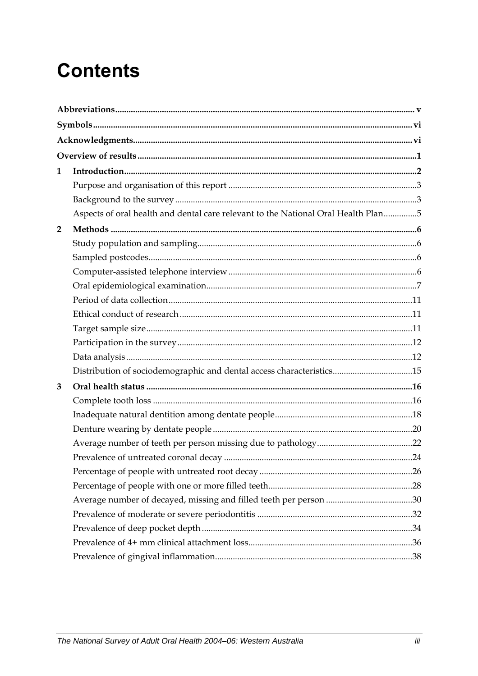# **Contents**

| 1              |                                                                                   |  |
|----------------|-----------------------------------------------------------------------------------|--|
|                |                                                                                   |  |
|                |                                                                                   |  |
|                | Aspects of oral health and dental care relevant to the National Oral Health Plan5 |  |
| $\overline{2}$ |                                                                                   |  |
|                |                                                                                   |  |
|                |                                                                                   |  |
|                |                                                                                   |  |
|                |                                                                                   |  |
|                |                                                                                   |  |
|                |                                                                                   |  |
|                |                                                                                   |  |
|                |                                                                                   |  |
|                |                                                                                   |  |
|                | Distribution of sociodemographic and dental access characteristics15              |  |
| 3              |                                                                                   |  |
|                |                                                                                   |  |
|                |                                                                                   |  |
|                |                                                                                   |  |
|                |                                                                                   |  |
|                |                                                                                   |  |
|                |                                                                                   |  |
|                |                                                                                   |  |
|                |                                                                                   |  |
|                |                                                                                   |  |
|                |                                                                                   |  |
|                |                                                                                   |  |
|                |                                                                                   |  |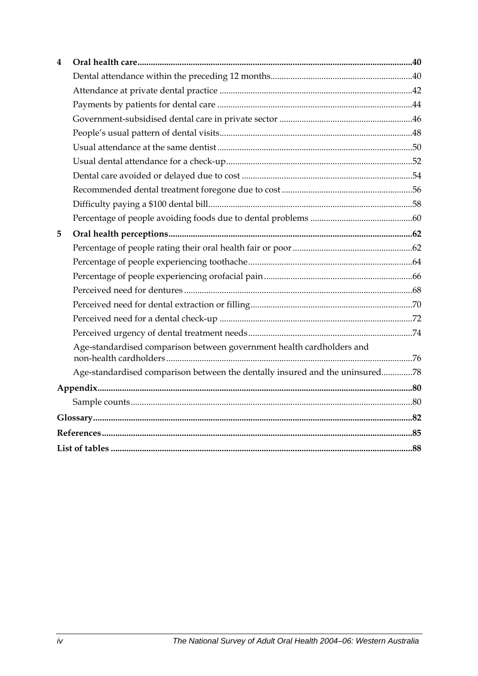| 4 |                                                                              |  |
|---|------------------------------------------------------------------------------|--|
|   |                                                                              |  |
|   |                                                                              |  |
|   |                                                                              |  |
|   |                                                                              |  |
|   |                                                                              |  |
|   |                                                                              |  |
|   |                                                                              |  |
|   |                                                                              |  |
|   |                                                                              |  |
|   |                                                                              |  |
|   |                                                                              |  |
| 5 |                                                                              |  |
|   |                                                                              |  |
|   |                                                                              |  |
|   |                                                                              |  |
|   |                                                                              |  |
|   |                                                                              |  |
|   |                                                                              |  |
|   |                                                                              |  |
|   | Age-standardised comparison between government health cardholders and        |  |
|   | Age-standardised comparison between the dentally insured and the uninsured78 |  |
|   |                                                                              |  |
|   |                                                                              |  |
|   |                                                                              |  |
|   |                                                                              |  |
|   |                                                                              |  |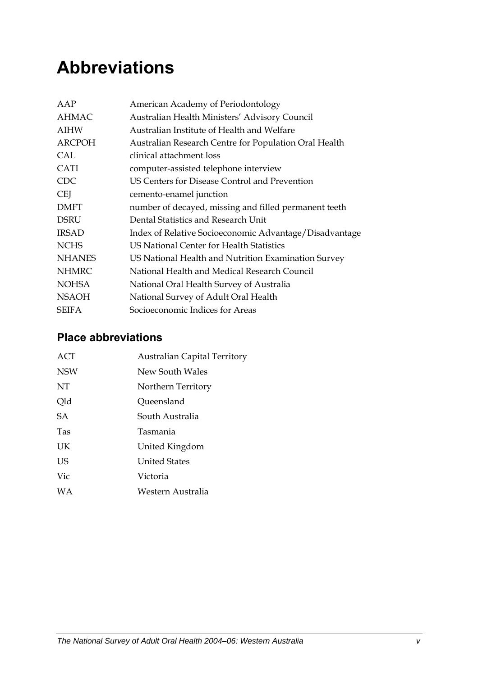# <span id="page-4-0"></span>**Abbreviations**

| AAP           | American Academy of Periodontology                     |
|---------------|--------------------------------------------------------|
| <b>AHMAC</b>  | Australian Health Ministers' Advisory Council          |
| <b>AIHW</b>   | Australian Institute of Health and Welfare             |
| <b>ARCPOH</b> | Australian Research Centre for Population Oral Health  |
| CAL           | clinical attachment loss                               |
| <b>CATI</b>   | computer-assisted telephone interview                  |
| <b>CDC</b>    | US Centers for Disease Control and Prevention          |
| <b>CEI</b>    | cemento-enamel junction                                |
| <b>DMFT</b>   | number of decayed, missing and filled permanent teeth  |
| <b>DSRU</b>   | Dental Statistics and Research Unit                    |
| <b>IRSAD</b>  | Index of Relative Socioeconomic Advantage/Disadvantage |
| <b>NCHS</b>   | US National Center for Health Statistics               |
| <b>NHANES</b> | US National Health and Nutrition Examination Survey    |
| <b>NHMRC</b>  | National Health and Medical Research Council           |
| <b>NOHSA</b>  | National Oral Health Survey of Australia               |
| <b>NSAOH</b>  | National Survey of Adult Oral Health                   |
| <b>SEIFA</b>  | Socioeconomic Indices for Areas                        |

### **Place abbreviations**

| ACT        | <b>Australian Capital Territory</b> |
|------------|-------------------------------------|
| <b>NSW</b> | New South Wales                     |
| NT         | Northern Territory                  |
| Qld        | Queensland                          |
| <b>SA</b>  | South Australia                     |
| <b>Tas</b> | Tasmania                            |
| UK         | United Kingdom                      |
| US         | <b>United States</b>                |
| Vic        | Victoria                            |
| <b>WA</b>  | Western Australia                   |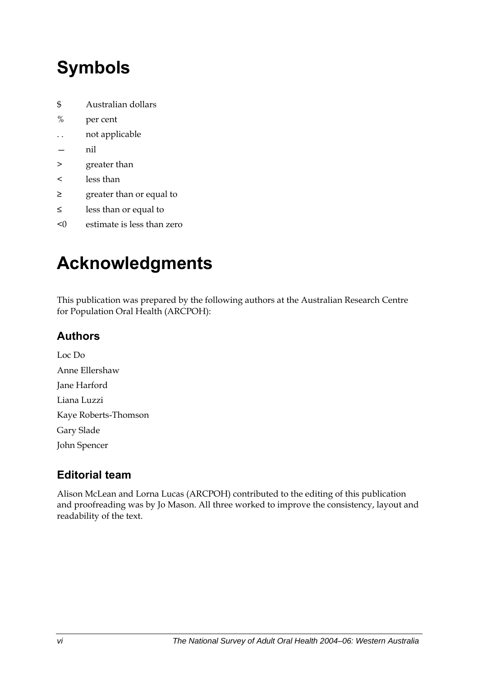# <span id="page-5-0"></span>**Symbols**

- \$ Australian dollars
- % per cent
- . . not applicable
- nil
- > greater than
- < less than
- ≥ greater than or equal to
- ≤ less than or equal to
- <0 estimate is less than zero

# **Acknowledgments**

This publication was prepared by the following authors at the Australian Research Centre for Population Oral Health (ARCPOH):

### **Authors**

Loc Do Anne Ellershaw Jane Harford Liana Luzzi Kaye Roberts-Thomson Gary Slade John Spencer

## **Editorial team**

Alison McLean and Lorna Lucas (ARCPOH) contributed to the editing of this publication and proofreading was by Jo Mason. All three worked to improve the consistency, layout and readability of the text.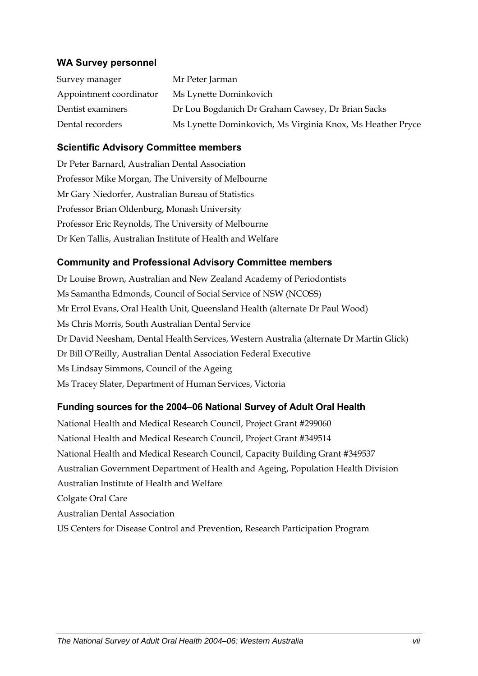#### **WA Survey personnel**

| Survey manager          | Mr Peter Jarman                                            |
|-------------------------|------------------------------------------------------------|
| Appointment coordinator | Ms Lynette Dominkovich                                     |
| Dentist examiners       | Dr Lou Bogdanich Dr Graham Cawsey, Dr Brian Sacks          |
| Dental recorders        | Ms Lynette Dominkovich, Ms Virginia Knox, Ms Heather Pryce |

#### **Scientific Advisory Committee members**

Dr Peter Barnard, Australian Dental Association Professor Mike Morgan, The University of Melbourne Mr Gary Niedorfer, Australian Bureau of Statistics Professor Brian Oldenburg, Monash University Professor Eric Reynolds, The University of Melbourne Dr Ken Tallis, Australian Institute of Health and Welfare

#### **Community and Professional Advisory Committee members**

Dr Louise Brown, Australian and New Zealand Academy of Periodontists Ms Samantha Edmonds, Council of Social Service of NSW (NCOSS) Mr Errol Evans, Oral Health Unit, Queensland Health (alternate Dr Paul Wood) Ms Chris Morris, South Australian Dental Service Dr David Neesham, Dental Health Services, Western Australia (alternate Dr Martin Glick) Dr Bill O'Reilly, Australian Dental Association Federal Executive Ms Lindsay Simmons, Council of the Ageing Ms Tracey Slater, Department of Human Services, Victoria

#### **Funding sources for the 2004–06 National Survey of Adult Oral Health**

National Health and Medical Research Council, Project Grant #299060 National Health and Medical Research Council, Project Grant #349514 National Health and Medical Research Council, Capacity Building Grant #349537 Australian Government Department of Health and Ageing, Population Health Division Australian Institute of Health and Welfare Colgate Oral Care Australian Dental Association US Centers for Disease Control and Prevention, Research Participation Program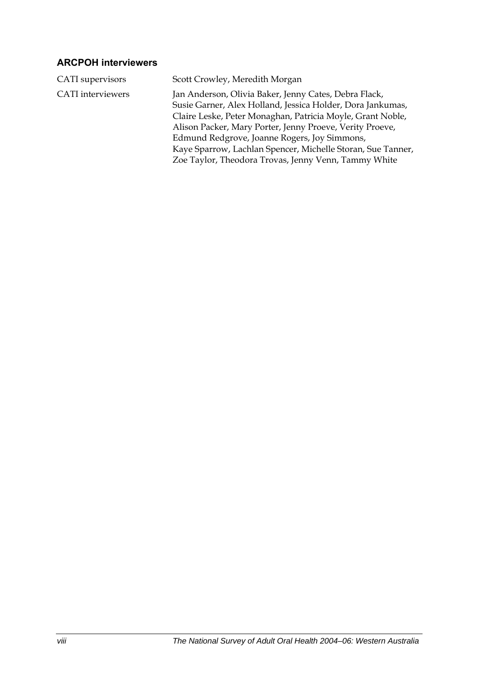### **ARCPOH interviewers**

| CATI supervisors         | Scott Crowley, Meredith Morgan                                                                                                                                                                                                                                                                                                                                                                                       |
|--------------------------|----------------------------------------------------------------------------------------------------------------------------------------------------------------------------------------------------------------------------------------------------------------------------------------------------------------------------------------------------------------------------------------------------------------------|
| <b>CATI</b> interviewers | Jan Anderson, Olivia Baker, Jenny Cates, Debra Flack,<br>Susie Garner, Alex Holland, Jessica Holder, Dora Jankumas,<br>Claire Leske, Peter Monaghan, Patricia Moyle, Grant Noble,<br>Alison Packer, Mary Porter, Jenny Proeve, Verity Proeve,<br>Edmund Redgrove, Joanne Rogers, Joy Simmons,<br>Kaye Sparrow, Lachlan Spencer, Michelle Storan, Sue Tanner,<br>Zoe Taylor, Theodora Trovas, Jenny Venn, Tammy White |
|                          |                                                                                                                                                                                                                                                                                                                                                                                                                      |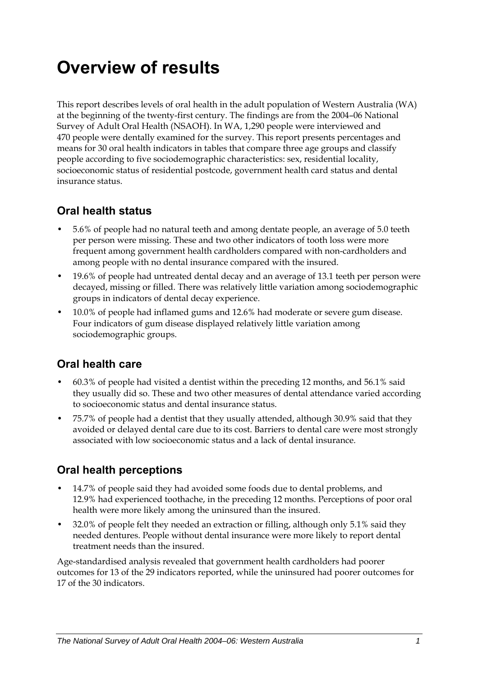# <span id="page-8-0"></span>**Overview of results**

This report describes levels of oral health in the adult population of Western Australia (WA) at the beginning of the twenty-first century. The findings are from the 2004–06 National Survey of Adult Oral Health (NSAOH). In WA, 1,290 people were interviewed and 470 people were dentally examined for the survey. This report presents percentages and means for 30 oral health indicators in tables that compare three age groups and classify people according to five sociodemographic characteristics: sex, residential locality, socioeconomic status of residential postcode, government health card status and dental insurance status.

### **Oral health status**

- 5.6% of people had no natural teeth and among dentate people, an average of 5.0 teeth per person were missing. These and two other indicators of tooth loss were more frequent among government health cardholders compared with non-cardholders and among people with no dental insurance compared with the insured.
- 19.6% of people had untreated dental decay and an average of 13.1 teeth per person were decayed, missing or filled. There was relatively little variation among sociodemographic groups in indicators of dental decay experience.
- 10.0% of people had inflamed gums and 12.6% had moderate or severe gum disease. Four indicators of gum disease displayed relatively little variation among sociodemographic groups.

### **Oral health care**

- 60.3% of people had visited a dentist within the preceding 12 months, and 56.1% said they usually did so. These and two other measures of dental attendance varied according to socioeconomic status and dental insurance status.
- 75.7% of people had a dentist that they usually attended, although 30.9% said that they avoided or delayed dental care due to its cost. Barriers to dental care were most strongly associated with low socioeconomic status and a lack of dental insurance.

### **Oral health perceptions**

- 14.7% of people said they had avoided some foods due to dental problems, and 12.9% had experienced toothache, in the preceding 12 months. Perceptions of poor oral health were more likely among the uninsured than the insured.
- 32.0% of people felt they needed an extraction or filling, although only 5.1% said they needed dentures. People without dental insurance were more likely to report dental treatment needs than the insured.

Age-standardised analysis revealed that government health cardholders had poorer outcomes for 13 of the 29 indicators reported, while the uninsured had poorer outcomes for 17 of the 30 indicators.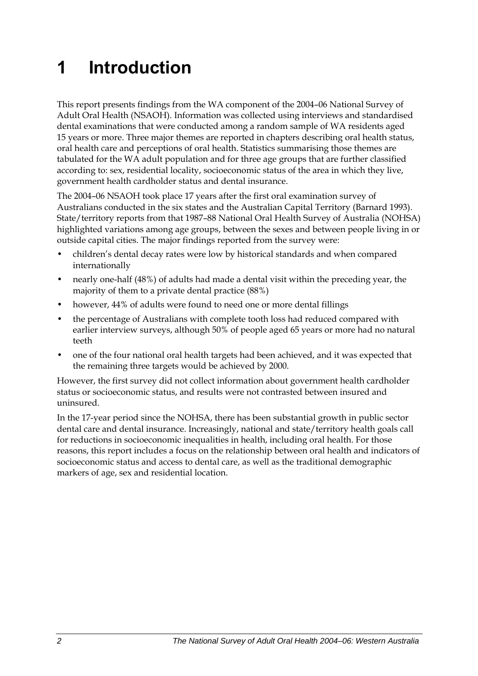# <span id="page-9-0"></span>**1 Introduction**

<span id="page-9-1"></span>This report presents findings from the WA component of the 2004–06 National Survey of Adult Oral Health (NSAOH). Information was collected using interviews and standardised dental examinations that were conducted among a random sample of WA residents aged 15 years or more. Three major themes are reported in chapters describing oral health status, oral health care and perceptions of oral health. Statistics summarising those themes are tabulated for the [WA](#page-9-1) adult population and for three age groups that are further classified according to: sex, residential locality, socioeconomic status of the area in which they live, government health cardholder status and dental insurance.

The 2004–06 NSAOH took place 17 years after the first oral examination survey of Australians conducted in the six states and the Australian Capital Territory (Barnard 1993). State/territory reports from that 1987-88 National Oral Health Survey of Australia (NOHSA) highlighted variations among age groups, between the sexes and between people living in or outside capital cities. The major findings reported from the survey were:

- children's dental decay rates were low by historical standards and when compared internationally
- nearly one-half (48%) of adults had made a dental visit within the preceding year, the majority of them to a private dental practice (88%)
- however, 44% of adults were found to need one or more dental fillings
- the percentage of Australians with complete tooth loss had reduced compared with earlier interview surveys, although 50% of people aged 65 years or more had no natural teeth
- one of the four national oral health targets had been achieved, and it was expected that the remaining three targets would be achieved by 2000.

However, the first survey did not collect information about government health cardholder status or socioeconomic status, and results were not contrasted between insured and uninsured.

In the 17-year period since the NOHSA, there has been substantial growth in public sector dental care and dental insurance. Increasingly, national and state/territory health goals call for reductions in socioeconomic inequalities in health, including oral health. For those reasons, this report includes a focus on the relationship between oral health and indicators of socioeconomic status and access to dental care, as well as the traditional demographic markers of age, sex and residential location.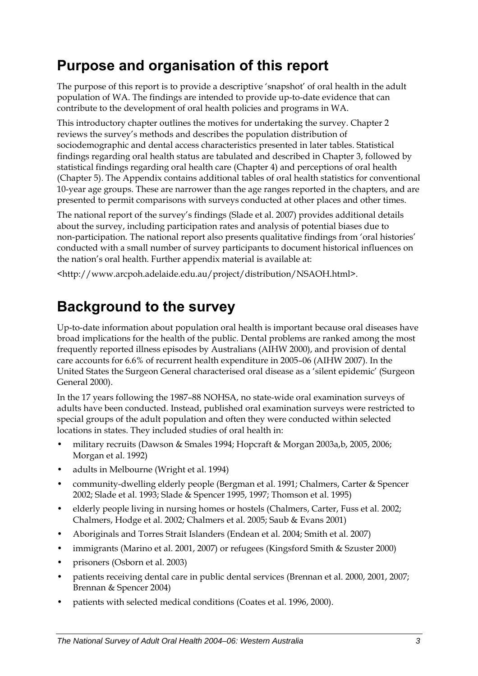## <span id="page-10-0"></span>**Purpose and organisation of this report**

The purpose of this report is to provide a descriptive 'snapshot' of oral health in the adult population of [WA](#page-9-1). The findings are intended to provide up-to-date evidence that can contribute to the development of oral health policies and programs in [WA](#page-9-1).

This introductory chapter outlines the motives for undertaking the survey. Chapter 2 reviews the survey's methods and describes the population distribution of sociodemographic and dental access characteristics presented in later tables. Statistical findings regarding oral health status are tabulated and described in Chapter 3, followed by statistical findings regarding oral health care (Chapter 4) and perceptions of oral health (Chapter 5). The Appendix contains additional tables of oral health statistics for conventional 10-year age groups. These are narrower than the age ranges reported in the chapters, and are presented to permit comparisons with surveys conducted at other places and other times.

The national report of the survey's findings (Slade et al. 2007) provides additional details about the survey, including participation rates and analysis of potential biases due to non-participation. The national report also presents qualitative findings from 'oral histories' conducted with a small number of survey participants to document historical influences on the nation's oral health. Further appendix material is available at:

<http://www.arcpoh.adelaide.edu.au/project/distribution/NSAOH.html>.

## **Background to the survey**

Up-to-date information about population oral health is important because oral diseases have broad implications for the health of the public. Dental problems are ranked among the most frequently reported illness episodes by Australians (AIHW 2000), and provision of dental care accounts for 6.6% of recurrent health expenditure in 2005–06 (AIHW 2007). In the United States the Surgeon General characterised oral disease as a 'silent epidemic' (Surgeon General 2000).

In the 17 years following the 1987–88 NOHSA, no state-wide oral examination surveys of adults have been conducted. Instead, published oral examination surveys were restricted to special groups of the adult population and often they were conducted within selected locations in states. They included studies of oral health in:

- military recruits (Dawson & Smales 1994; Hopcraft & Morgan 2003a,b, 2005, 2006; Morgan et al. 1992)
- adults in Melbourne (Wright et al. 1994)
- community-dwelling elderly people (Bergman et al. 1991; Chalmers, Carter & Spencer 2002; Slade et al. 1993; Slade & Spencer 1995, 1997; Thomson et al. 1995)
- elderly people living in nursing homes or hostels (Chalmers, Carter, Fuss et al. 2002; Chalmers, Hodge et al. 2002; Chalmers et al. 2005; Saub & Evans 2001)
- Aboriginals and Torres Strait Islanders (Endean et al. 2004; Smith et al. 2007)
- immigrants (Marino et al. 2001, 2007) or refugees (Kingsford Smith & Szuster 2000)
- prisoners (Osborn et al. 2003)
- patients receiving dental care in public dental services (Brennan et al. 2000, 2001, 2007; Brennan & Spencer 2004)
- patients with selected medical conditions (Coates et al. 1996, 2000).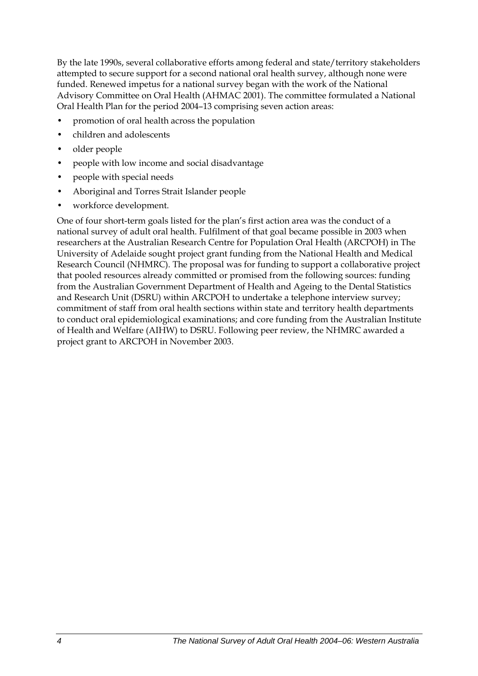By the late 1990s, several collaborative efforts among federal and state/territory stakeholders attempted to secure support for a second national oral health survey, although none were funded. Renewed impetus for a national survey began with the work of the National Advisory Committee on Oral Health (AHMAC 2001). The committee formulated a National Oral Health Plan for the period 2004–13 comprising seven action areas:

- promotion of oral health across the population
- children and adolescents
- older people
- people with low income and social disadvantage
- people with special needs
- Aboriginal and Torres Strait Islander people
- workforce development.

One of four short-term goals listed for the plan's first action area was the conduct of a national survey of adult oral health. Fulfilment of that goal became possible in 2003 when researchers at the Australian Research Centre for Population Oral Health (ARCPOH) in The University of Adelaide sought project grant funding from the National Health and Medical Research Council (NHMRC). The proposal was for funding to support a collaborative project that pooled resources already committed or promised from the following sources: funding from the Australian Government Department of Health and Ageing to the Dental Statistics and Research Unit (DSRU) within ARCPOH to undertake a telephone interview survey; commitment of staff from oral health sections within state and territory health departments to conduct oral epidemiological examinations; and core funding from the Australian Institute of Health and Welfare (AIHW) to DSRU. Following peer review, the NHMRC awarded a project grant to ARCPOH in November 2003.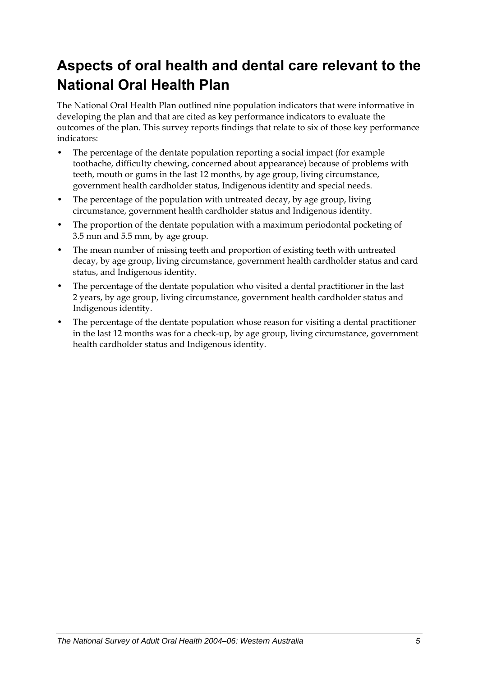## <span id="page-12-0"></span>**Aspects of oral health and dental care relevant to the National Oral Health Plan**

The National Oral Health Plan outlined nine population indicators that were informative in developing the plan and that are cited as key performance indicators to evaluate the outcomes of the plan. This survey reports findings that relate to six of those key performance indicators:

- The percentage of the dentate population reporting a social impact (for example toothache, difficulty chewing, concerned about appearance) because of problems with teeth, mouth or gums in the last 12 months, by age group, living circumstance, government health cardholder status, Indigenous identity and special needs.
- The percentage of the population with untreated decay, by age group, living circumstance, government health cardholder status and Indigenous identity.
- The proportion of the dentate population with a maximum periodontal pocketing of 3.5 mm and 5.5 mm, by age group.
- The mean number of missing teeth and proportion of existing teeth with untreated decay, by age group, living circumstance, government health cardholder status and card status, and Indigenous identity.
- The percentage of the dentate population who visited a dental practitioner in the last 2 years, by age group, living circumstance, government health cardholder status and Indigenous identity.
- The percentage of the dentate population whose reason for visiting a dental practitioner in the last 12 months was for a check-up, by age group, living circumstance, government health cardholder status and Indigenous identity.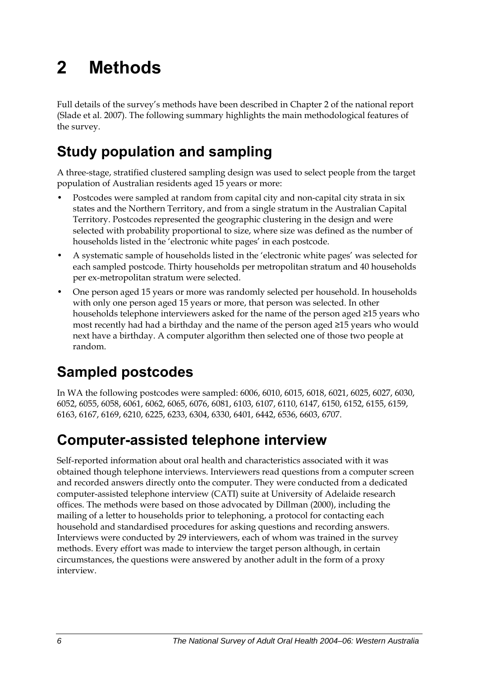# <span id="page-13-0"></span>**2 Methods**

Full details of the survey's methods have been described in Chapter 2 of the national report (Slade et al. 2007). The following summary highlights the main methodological features of the survey.

## **Study population and sampling**

A three-stage, stratified clustered sampling design was used to select people from the target population of Australian residents aged 15 years or more:

- Postcodes were sampled at random from capital city and non-capital city strata in six states and the Northern Territory, and from a single stratum in the Australian Capital Territory. Postcodes represented the geographic clustering in the design and were selected with probability proportional to size, where size was defined as the number of households listed in the 'electronic white pages' in each postcode.
- A systematic sample of households listed in the 'electronic white pages' was selected for each sampled postcode. Thirty households per metropolitan stratum and 40 households per ex-metropolitan stratum were selected.
- One person aged 15 years or more was randomly selected per household. In households with only one person aged 15 years or more, that person was selected. In other households telephone interviewers asked for the name of the person aged ≥15 years who most recently had had a birthday and the name of the person aged ≥15 years who would next have a birthday. A computer algorithm then selected one of those two people at random.

## **Sampled postcodes**

In WA the following postcodes were sampled: 6006, 6010, 6015, 6018, 6021, 6025, 6027, 6030, 6052, 6055, 6058, 6061, 6062, 6065, 6076, 6081, 6103, 6107, 6110, 6147, 6150, 6152, 6155, 6159, 6163, 6167, 6169, 6210, 6225, 6233, 6304, 6330, 6401, 6442, 6536, 6603, 6707.

## **Computer-assisted telephone interview**

Self-reported information about oral health and characteristics associated with it was obtained though telephone interviews. Interviewers read questions from a computer screen and recorded answers directly onto the computer. They were conducted from a dedicated computer-assisted telephone interview (CATI) suite at University of Adelaide research offices. The methods were based on those advocated by Dillman (2000), including the mailing of a letter to households prior to telephoning, a protocol for contacting each household and standardised procedures for asking questions and recording answers. Interviews were conducted by 29 interviewers, each of whom was trained in the survey methods. Every effort was made to interview the target person although, in certain circumstances, the questions were answered by another adult in the form of a proxy interview.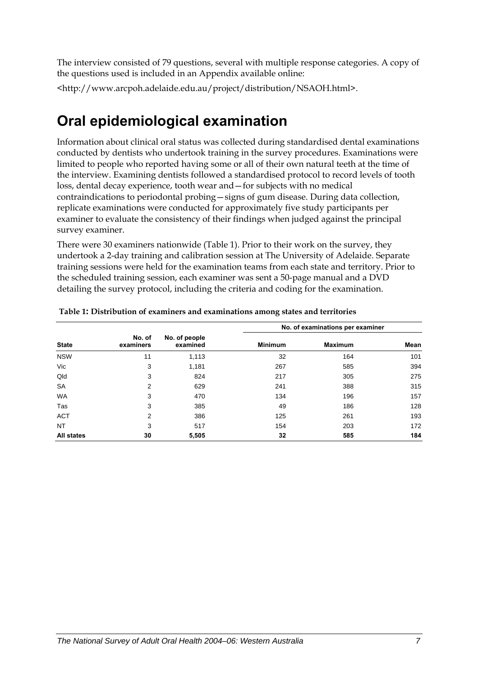<span id="page-14-0"></span>The interview consisted of 79 questions, several with multiple response categories. A copy of the questions used is included in an Appendix available online:

<http://www.arcpoh.adelaide.edu.au/project/distribution/NSAOH.html>.

## **Oral epidemiological examination**

Information about clinical oral status was collected during standardised dental examinations conducted by dentists who undertook training in the survey procedures. Examinations were limited to people who reported having some or all of their own natural teeth at the time of the interview. Examining dentists followed a standardised protocol to record levels of tooth loss, dental decay experience, tooth wear and—for subjects with no medical contraindications to periodontal probing—signs of gum disease. During data collection, replicate examinations were conducted for approximately five study participants per examiner to evaluate the consistency of their findings when judged against the principal survey examiner.

There were 30 examiners nationwide ([Table 1\)](#page-14-1). Prior to their work on the survey, they undertook a 2-day training and calibration session at The University of Adelaide. Separate training sessions were held for the examination teams from each state and territory. Prior to the scheduled training session, each examiner was sent a 50-page manual and a DVD detailing the survey protocol, including the criteria and coding for the examination.

<span id="page-14-1"></span>

|                   |                     |                           |                | No. of examinations per examiner |      |  |
|-------------------|---------------------|---------------------------|----------------|----------------------------------|------|--|
| <b>State</b>      | No. of<br>examiners | No. of people<br>examined | <b>Minimum</b> | <b>Maximum</b>                   | Mean |  |
| <b>NSW</b>        | 11                  | 1,113                     | 32             | 164                              | 101  |  |
| Vic               | 3                   | 1,181                     | 267            | 585                              | 394  |  |
| Qld               | 3                   | 824                       | 217            | 305                              | 275  |  |
| <b>SA</b>         | 2                   | 629                       | 241            | 388                              | 315  |  |
| <b>WA</b>         | 3                   | 470                       | 134            | 196                              | 157  |  |
| Tas               | 3                   | 385                       | 49             | 186                              | 128  |  |
| <b>ACT</b>        | 2                   | 386                       | 125            | 261                              | 193  |  |
| NT                | 3                   | 517                       | 154            | 203                              | 172  |  |
| <b>All states</b> | 30                  | 5,505                     | 32             | 585                              | 184  |  |

#### **Table 1: Distribution of examiners and examinations among states and territories**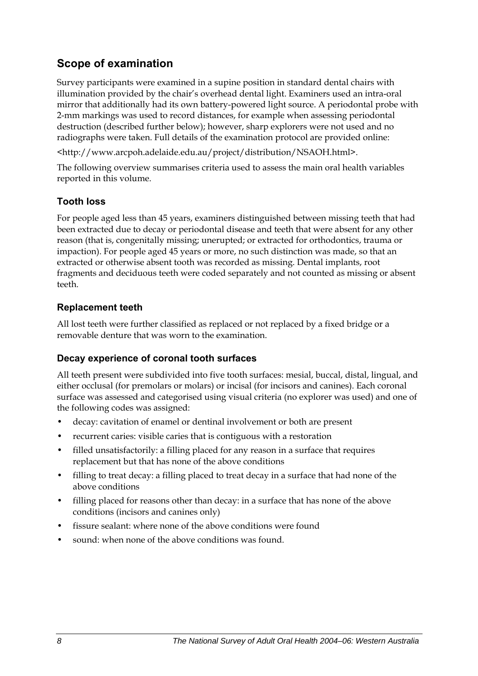### **Scope of examination**

Survey participants were examined in a supine position in standard dental chairs with illumination provided by the chair's overhead dental light. Examiners used an intra-oral mirror that additionally had its own battery-powered light source. A periodontal probe with 2-mm markings was used to record distances, for example when assessing periodontal destruction (described further below); however, sharp explorers were not used and no radiographs were taken. Full details of the examination protocol are provided online:

<http://www.arcpoh.adelaide.edu.au/project/distribution/NSAOH.html>.

The following overview summarises criteria used to assess the main oral health variables reported in this volume.

#### **Tooth loss**

For people aged less than 45 years, examiners distinguished between missing teeth that had been extracted due to decay or periodontal disease and teeth that were absent for any other reason (that is, congenitally missing; unerupted; or extracted for orthodontics, trauma or impaction). For people aged 45 years or more, no such distinction was made, so that an extracted or otherwise absent tooth was recorded as missing. Dental implants, root fragments and deciduous teeth were coded separately and not counted as missing or absent teeth.

#### **Replacement teeth**

All lost teeth were further classified as replaced or not replaced by a fixed bridge or a removable denture that was worn to the examination.

#### **Decay experience of coronal tooth surfaces**

All teeth present were subdivided into five tooth surfaces: mesial, buccal, distal, lingual, and either occlusal (for premolars or molars) or incisal (for incisors and canines). Each coronal surface was assessed and categorised using visual criteria (no explorer was used) and one of the following codes was assigned:

- decay: cavitation of enamel or dentinal involvement or both are present
- recurrent caries: visible caries that is contiguous with a restoration
- filled unsatisfactorily: a filling placed for any reason in a surface that requires replacement but that has none of the above conditions
- filling to treat decay: a filling placed to treat decay in a surface that had none of the above conditions
- filling placed for reasons other than decay: in a surface that has none of the above conditions (incisors and canines only)
- fissure sealant: where none of the above conditions were found
- sound: when none of the above conditions was found.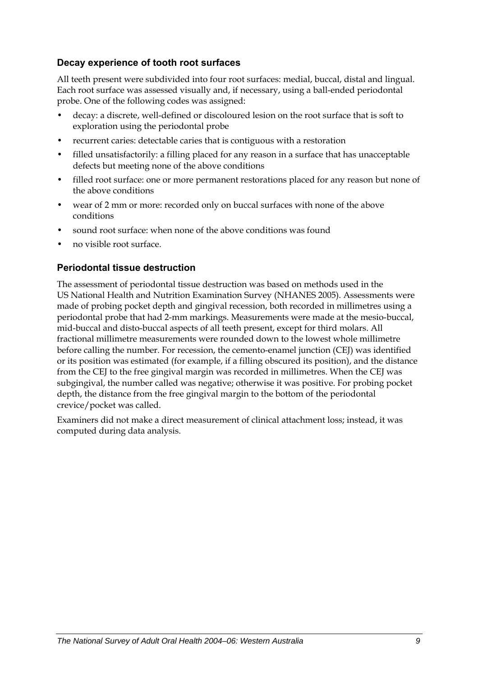#### **Decay experience of tooth root surfaces**

All teeth present were subdivided into four root surfaces: medial, buccal, distal and lingual. Each root surface was assessed visually and, if necessary, using a ball-ended periodontal probe. One of the following codes was assigned:

- decay: a discrete, well-defined or discoloured lesion on the root surface that is soft to exploration using the periodontal probe
- recurrent caries: detectable caries that is contiguous with a restoration
- filled unsatisfactorily: a filling placed for any reason in a surface that has unacceptable defects but meeting none of the above conditions
- filled root surface: one or more permanent restorations placed for any reason but none of the above conditions
- wear of 2 mm or more: recorded only on buccal surfaces with none of the above conditions
- sound root surface: when none of the above conditions was found
- no visible root surface.

#### **Periodontal tissue destruction**

The assessment of periodontal tissue destruction was based on methods used in the US National Health and Nutrition Examination Survey (NHANES 2005). Assessments were made of probing pocket depth and gingival recession, both recorded in millimetres using a periodontal probe that had 2-mm markings. Measurements were made at the mesio-buccal, mid-buccal and disto-buccal aspects of all teeth present, except for third molars. All fractional millimetre measurements were rounded down to the lowest whole millimetre before calling the number. For recession, the cemento-enamel junction (CEJ) was identified or its position was estimated (for example, if a filling obscured its position), and the distance from the CEJ to the free gingival margin was recorded in millimetres. When the CEJ was subgingival, the number called was negative; otherwise it was positive. For probing pocket depth, the distance from the free gingival margin to the bottom of the periodontal crevice/pocket was called.

Examiners did not make a direct measurement of clinical attachment loss; instead, it was computed during data analysis.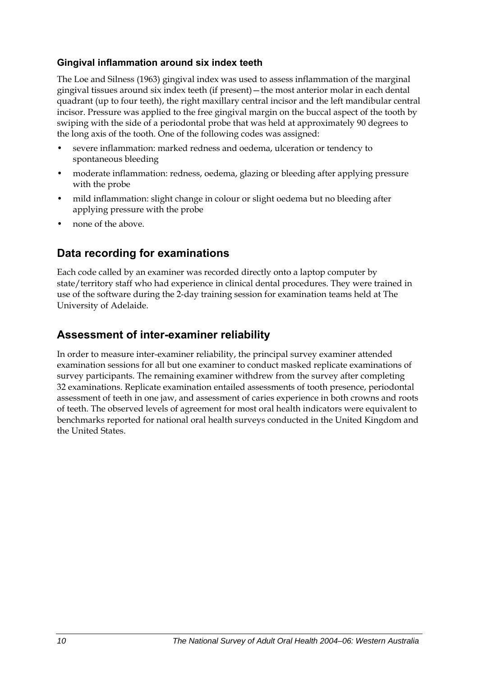#### **Gingival inflammation around six index teeth**

The Loe and Silness (1963) gingival index was used to assess inflammation of the marginal gingival tissues around six index teeth (if present)—the most anterior molar in each dental quadrant (up to four teeth), the right maxillary central incisor and the left mandibular central incisor. Pressure was applied to the free gingival margin on the buccal aspect of the tooth by swiping with the side of a periodontal probe that was held at approximately 90 degrees to the long axis of the tooth. One of the following codes was assigned:

- severe inflammation: marked redness and oedema, ulceration or tendency to spontaneous bleeding
- moderate inflammation: redness, oedema, glazing or bleeding after applying pressure with the probe
- mild inflammation: slight change in colour or slight oedema but no bleeding after applying pressure with the probe
- none of the above.

### **Data recording for examinations**

Each code called by an examiner was recorded directly onto a laptop computer by state/territory staff who had experience in clinical dental procedures. They were trained in use of the software during the 2-day training session for examination teams held at The University of Adelaide.

### **Assessment of inter-examiner reliability**

In order to measure inter-examiner reliability, the principal survey examiner attended examination sessions for all but one examiner to conduct masked replicate examinations of survey participants. The remaining examiner withdrew from the survey after completing 32 examinations. Replicate examination entailed assessments of tooth presence, periodontal assessment of teeth in one jaw, and assessment of caries experience in both crowns and roots of teeth. The observed levels of agreement for most oral health indicators were equivalent to benchmarks reported for national oral health surveys conducted in the United Kingdom and the United States.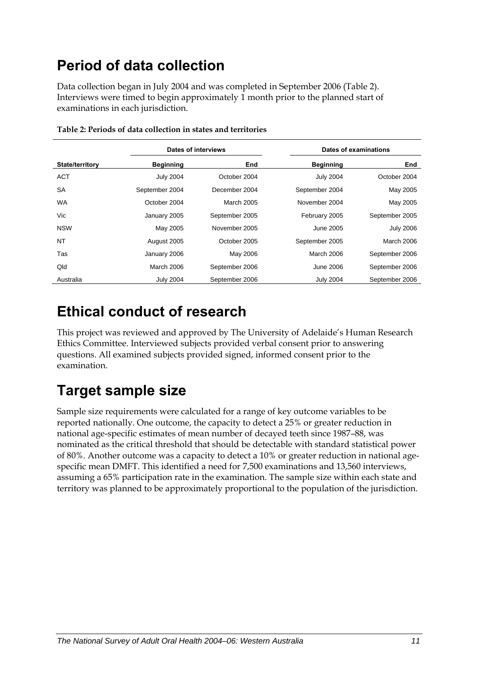## <span id="page-18-0"></span>**Period of data collection**

Data collection began in July 2004 and was completed in September 2006 ([Table 2\)](#page-18-1). Interviews were timed to begin approximately 1 month prior to the planned start of examinations in each jurisdiction.

<span id="page-18-1"></span>

|                        |                  | Dates of interviews | Dates of examinations |                   |  |
|------------------------|------------------|---------------------|-----------------------|-------------------|--|
| <b>State/territory</b> | <b>Beginning</b> | End                 | <b>Beginning</b>      | End               |  |
| <b>ACT</b>             | <b>July 2004</b> | October 2004        | <b>July 2004</b>      | October 2004      |  |
| <b>SA</b>              | September 2004   | December 2004       | September 2004        | May 2005          |  |
| <b>WA</b>              | October 2004     | <b>March 2005</b>   | November 2004         | May 2005          |  |
| Vic                    | January 2005     | September 2005      | February 2005         | September 2005    |  |
| <b>NSW</b>             | May 2005         | November 2005       | June 2005             | <b>July 2006</b>  |  |
| <b>NT</b>              | August 2005      | October 2005        | September 2005        | <b>March 2006</b> |  |
| Tas                    | January 2006     | May 2006            | March 2006            | September 2006    |  |
| Qld                    | March 2006       | September 2006      | June 2006             | September 2006    |  |
| Australia              | <b>July 2004</b> | September 2006      | <b>July 2004</b>      | September 2006    |  |

| Table 2: Periods of data collection in states and territories |
|---------------------------------------------------------------|
|---------------------------------------------------------------|

## **Ethical conduct of research**

This project was reviewed and approved by The University of Adelaide's Human Research Ethics Committee. Interviewed subjects provided verbal consent prior to answering questions. All examined subjects provided signed, informed consent prior to the examination.

## **Target sample size**

Sample size requirements were calculated for a range of key outcome variables to be reported nationally. One outcome, the capacity to detect a 25% or greater reduction in national age-specific estimates of mean number of decayed teeth since 1987–88, was nominated as the critical threshold that should be detectable with standard statistical power of 80%. Another outcome was a capacity to detect a 10% or greater reduction in national agespecific mean DMFT. This identified a need for 7,500 examinations and 13,560 interviews, assuming a 65% participation rate in the examination. The sample size within each state and territory was planned to be approximately proportional to the population of the jurisdiction.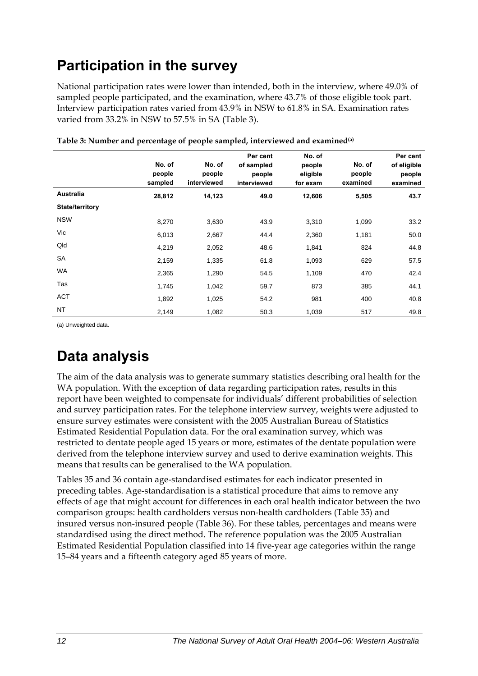## <span id="page-19-0"></span>**Participation in the survey**

National participation rates were lower than intended, both in the interview, where 49.0% of sampled people participated, and the examination, where 43.7% of those eligible took part. Interview participation rates varied from 43.9% in NSW to 61.8% in SA. Examination rates varied from 33.2% in NSW to 57.5% in SA (Table 3).

|                        | No. of<br>people<br>sampled | No. of<br>people<br>interviewed | Per cent<br>of sampled<br>people<br>interviewed | No. of<br>people<br>eligible<br>for exam | No. of<br>people<br>examined | Per cent<br>of eligible<br>people<br>examined |
|------------------------|-----------------------------|---------------------------------|-------------------------------------------------|------------------------------------------|------------------------------|-----------------------------------------------|
| Australia              | 28,812                      | 14,123                          | 49.0                                            | 12,606                                   | 5,505                        | 43.7                                          |
| <b>State/territory</b> |                             |                                 |                                                 |                                          |                              |                                               |
| <b>NSW</b>             | 8,270                       | 3,630                           | 43.9                                            | 3,310                                    | 1,099                        | 33.2                                          |
| Vic                    | 6,013                       | 2,667                           | 44.4                                            | 2,360                                    | 1,181                        | 50.0                                          |
| Qld                    | 4,219                       | 2,052                           | 48.6                                            | 1,841                                    | 824                          | 44.8                                          |
| SA                     | 2,159                       | 1,335                           | 61.8                                            | 1,093                                    | 629                          | 57.5                                          |
| WA                     | 2,365                       | 1,290                           | 54.5                                            | 1,109                                    | 470                          | 42.4                                          |
| Tas                    | 1,745                       | 1,042                           | 59.7                                            | 873                                      | 385                          | 44.1                                          |
| ACT                    | 1,892                       | 1,025                           | 54.2                                            | 981                                      | 400                          | 40.8                                          |
| <b>NT</b>              | 2,149                       | 1,082                           | 50.3                                            | 1,039                                    | 517                          | 49.8                                          |

**Table 3: Number and percentage of people sampled, interviewed and examined(a)** 

(a) Unweighted data.

## **Data analysis**

The aim of the data analysis was to generate summary statistics describing oral health for the [WA](#page-9-1) population. With the exception of data regarding participation rates, results in this report have been weighted to compensate for individuals' different probabilities of selection and survey participation rates. For the telephone interview survey, weights were adjusted to ensure survey estimates were consistent with the 2005 Australian Bureau of Statistics Estimated Residential Population data. For the oral examination survey, which was restricted to dentate people aged 15 years or more, estimates of the dentate population were derived from the telephone interview survey and used to derive examination weights. This means that results can be generalised to the [WA](#page-9-1) population.

Tables 35 and 36 contain age-standardised estimates for each indicator presented in preceding tables. Age-standardisation is a statistical procedure that aims to remove any effects of age that might account for differences in each oral health indicator between the two comparison groups: health cardholders versus non-health cardholders (Table 35) and insured versus non-insured people (Table 36). For these tables, percentages and means were standardised using the direct method. The reference population was the 2005 Australian Estimated Residential Population classified into 14 five-year age categories within the range 15–84 years and a fifteenth category aged 85 years of more.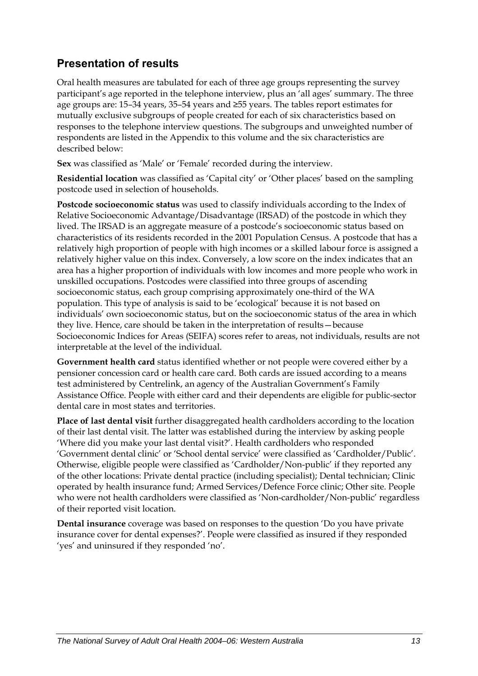### **Presentation of results**

Oral health measures are tabulated for each of three age groups representing the survey participant's age reported in the telephone interview, plus an 'all ages' summary. The three age groups are: 15–34 years, 35–54 years and ≥55 years. The tables report estimates for mutually exclusive subgroups of people created for each of six characteristics based on responses to the telephone interview questions. The subgroups and unweighted number of respondents are listed in the Appendix to this volume and the six characteristics are described below:

**Sex** was classified as 'Male' or 'Female' recorded during the interview.

**Residential location** was classified as 'Capital city' or 'Other places' based on the sampling postcode used in selection of households.

**Postcode socioeconomic status** was used to classify individuals according to the Index of Relative Socioeconomic Advantage/Disadvantage (IRSAD) of the postcode in which they lived. The IRSAD is an aggregate measure of a postcode's socioeconomic status based on characteristics of its residents recorded in the 2001 Population Census. A postcode that has a relatively high proportion of people with high incomes or a skilled labour force is assigned a relatively higher value on this index. Conversely, a low score on the index indicates that an area has a higher proportion of individuals with low incomes and more people who work in unskilled occupations. Postcodes were classified into three groups of ascending socioeconomic status, each group comprising approximately one-third of the WA population. This type of analysis is said to be 'ecological' because it is not based on individuals' own socioeconomic status, but on the socioeconomic status of the area in which they live. Hence, care should be taken in the interpretation of results—because Socioeconomic Indices for Areas (SEIFA) scores refer to areas, not individuals, results are not interpretable at the level of the individual.

**Government health card** status identified whether or not people were covered either by a pensioner concession card or health care card. Both cards are issued according to a means test administered by Centrelink, an agency of the Australian Government's Family Assistance Office. People with either card and their dependents are eligible for public-sector dental care in most states and territories.

**Place of last dental visit** further disaggregated health cardholders according to the location of their last dental visit. The latter was established during the interview by asking people 'Where did you make your last dental visit?'. Health cardholders who responded 'Government dental clinic' or 'School dental service' were classified as 'Cardholder/Public'. Otherwise, eligible people were classified as 'Cardholder/Non-public' if they reported any of the other locations: Private dental practice (including specialist); Dental technician; Clinic operated by health insurance fund; Armed Services/Defence Force clinic; Other site. People who were not health cardholders were classified as 'Non-cardholder/Non-public' regardless of their reported visit location.

**Dental insurance** coverage was based on responses to the question 'Do you have private insurance cover for dental expenses?'. People were classified as insured if they responded 'yes' and uninsured if they responded 'no'.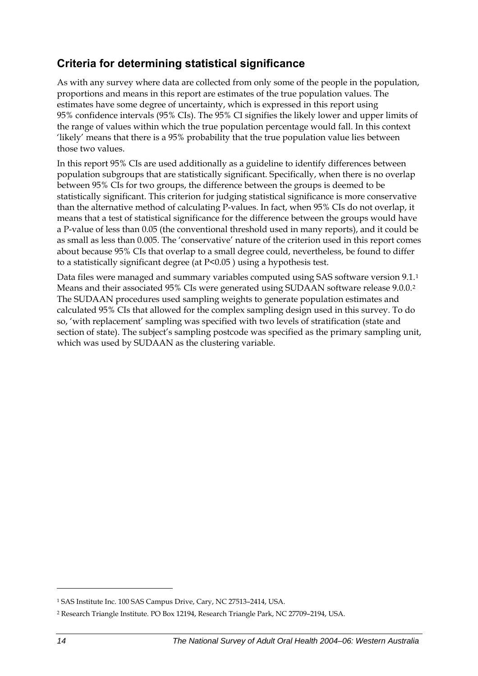### <span id="page-21-0"></span>**Criteria for determining statistical significance**

As with any survey where data are collected from only some of the people in the population, proportions and means in this report are estimates of the true population values. The estimates have some degree of uncertainty, which is expressed in this report using 95% confidence intervals (95% CIs). The 95% CI signifies the likely lower and upper limits of the range of values within which the true population percentage would fall. In this context 'likely' means that there is a 95% probability that the true population value lies between those two values.

In this report 95% CIs are used additionally as a guideline to identify differences between population subgroups that are statistically significant. Specifically, when there is no overlap between 95% CIs for two groups, the difference between the groups is deemed to be statistically significant. This criterion for judging statistical significance is more conservative than the alternative method of calculating P-values. In fact, when 95% CIs do not overlap, it means that a test of statistical significance for the difference between the groups would have a P-value of less than 0.05 (the conventional threshold used in many reports), and it could be as small as less than 0.005. The 'conservative' nature of the criterion used in this report comes about because 95% CIs that overlap to a small degree could, nevertheless, be found to differ to a statistically significant degree (at P<0.05 ) using a hypothesis test.

Data files were managed and summary variables computed using SAS software version 9[.1](#page-21-0).<sup>1</sup> Means and their associated 95% CIs were generated using SUDAAN software release 9.0.0.[2](#page-21-0) The SUDAAN procedures used sampling weights to generate population estimates and calculated 95% CIs that allowed for the complex sampling design used in this survey. To do so, 'with replacement' sampling was specified with two levels of stratification (state and section of state). The subject's sampling postcode was specified as the primary sampling unit, which was used by SUDAAN as the clustering variable.

 $\overline{a}$ 

<sup>1</sup> SAS Institute Inc. 100 SAS Campus Drive, Cary, NC 27513–2414, USA.

<sup>2</sup> Research Triangle Institute. PO Box 12194, Research Triangle Park, NC 27709–2194, USA.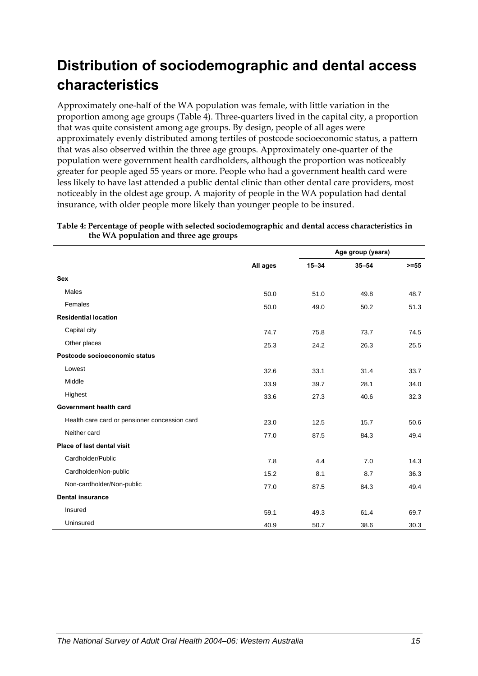## <span id="page-22-0"></span>**Distribution of sociodemographic and dental access characteristics**

Approximately one-half of the [WA](#page-9-1) population was female, with little variation in the proportion among age groups (Table 4). Three-quarters lived in the capital city, a proportion that was quite consistent among age groups. By design, people of all ages were approximately evenly distributed among tertiles of postcode socioeconomic status, a pattern that was also observed within the three age groups. Approximately one-quarter of the population were government health cardholders, although the proportion was noticeably greater for people aged 55 years or more. People who had a government health card were less likely to have last attended a public dental clinic than other dental care providers, most noticeably in the oldest age group. A majority of people in the [WA](#page-9-1) population had dental insurance, with older people more likely than younger people to be insured.

**Table 4: Percentage of people with selected sociodemographic and dental access characteristics in** 

|                                               |          |           | Age group (years) |         |
|-----------------------------------------------|----------|-----------|-------------------|---------|
|                                               | All ages | $15 - 34$ | $35 - 54$         | $>= 55$ |
| <b>Sex</b>                                    |          |           |                   |         |
| Males                                         | 50.0     | 51.0      | 49.8              | 48.7    |
| Females                                       | 50.0     | 49.0      | 50.2              | 51.3    |
| <b>Residential location</b>                   |          |           |                   |         |
| Capital city                                  | 74.7     | 75.8      | 73.7              | 74.5    |
| Other places                                  | 25.3     | 24.2      | 26.3              | 25.5    |
| Postcode socioeconomic status                 |          |           |                   |         |
| Lowest                                        | 32.6     | 33.1      | 31.4              | 33.7    |
| Middle                                        | 33.9     | 39.7      | 28.1              | 34.0    |
| Highest                                       | 33.6     | 27.3      | 40.6              | 32.3    |
| Government health card                        |          |           |                   |         |
| Health care card or pensioner concession card | 23.0     | 12.5      | 15.7              | 50.6    |
| Neither card                                  | 77.0     | 87.5      | 84.3              | 49.4    |
| Place of last dental visit                    |          |           |                   |         |
| Cardholder/Public                             | 7.8      | 4.4       | 7.0               | 14.3    |
| Cardholder/Non-public                         | 15.2     | 8.1       | 8.7               | 36.3    |
| Non-cardholder/Non-public                     | 77.0     | 87.5      | 84.3              | 49.4    |
| <b>Dental insurance</b>                       |          |           |                   |         |
| Insured                                       | 59.1     | 49.3      | 61.4              | 69.7    |
| Uninsured                                     | 40.9     | 50.7      | 38.6              | 30.3    |

**the [WA](#page-9-1) population and three age groups**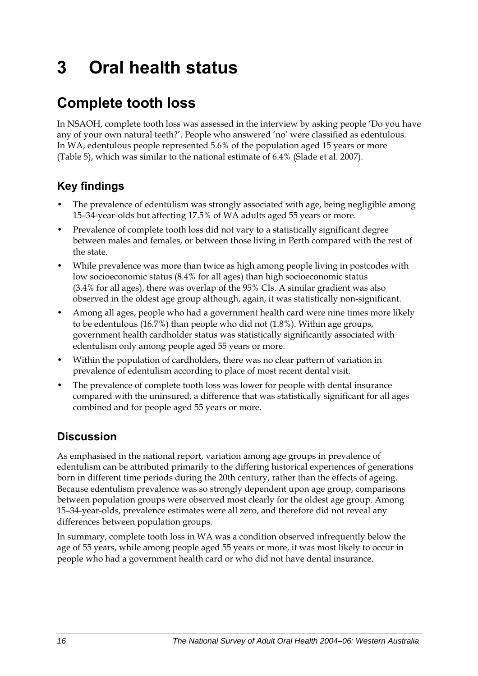# <span id="page-23-0"></span>**3 Oral health status**

## **Complete tooth loss**

In NSAOH, complete tooth loss was assessed in the interview by asking people 'Do you have any of your own natural teeth?'. People who answered 'no' were classified as edentulous. In WA, edentulous people represented 5.6% of the population aged 15 years or more (Table 5), which was similar to the national estimate of 6.4% (Slade et al. 2007).

## **Key findings**

- The prevalence of edentulism was strongly associated with age, being negligible among 15–34-year-olds but affecting 17.5% of WA adults aged 55 years or more.
- Prevalence of complete tooth loss did not vary to a statistically significant degree between males and females, or between those living in Perth compared with the rest of the state.
- While prevalence was more than twice as high among people living in postcodes with low socioeconomic status (8.4% for all ages) than high socioeconomic status (3.4% for all ages), there was overlap of the 95% CIs. A similar gradient was also observed in the oldest age group although, again, it was statistically non-significant.
- Among all ages, people who had a government health card were nine times more likely to be edentulous (16.7%) than people who did not (1.8%). Within age groups, government health cardholder status was statistically significantly associated with edentulism only among people aged 55 years or more.
- Within the population of cardholders, there was no clear pattern of variation in prevalence of edentulism according to place of most recent dental visit.
- The prevalence of complete tooth loss was lower for people with dental insurance compared with the uninsured, a difference that was statistically significant for all ages combined and for people aged 55 years or more.

## **Discussion**

As emphasised in the national report, variation among age groups in prevalence of edentulism can be attributed primarily to the differing historical experiences of generations born in different time periods during the 20th century, rather than the effects of ageing. Because edentulism prevalence was so strongly dependent upon age group, comparisons between population groups were observed most clearly for the oldest age group. Among 15–34-year-olds, prevalence estimates were all zero, and therefore did not reveal any differences between population groups.

In summary, complete tooth loss in WA was a condition observed infrequently below the age of 55 years, while among people aged 55 years or more, it was most likely to occur in people who had a government health card or who did not have dental insurance.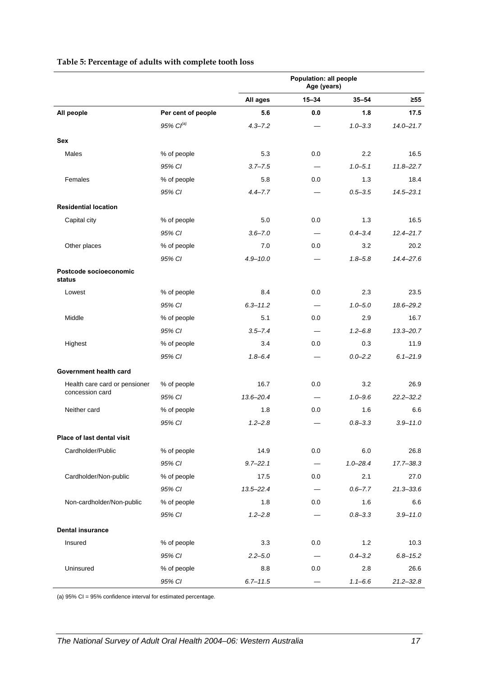|                                  |                       |               | Population: all people<br>Age (years) |              |               |
|----------------------------------|-----------------------|---------------|---------------------------------------|--------------|---------------|
|                                  |                       | All ages      | $15 - 34$                             | $35 - 54$    | $\geq 55$     |
| All people                       | Per cent of people    | 5.6           | 0.0                                   | 1.8          | 17.5          |
|                                  | 95% Cl <sup>(a)</sup> | $4.3 - 7.2$   |                                       | $1.0 - 3.3$  | $14.0 - 21.7$ |
| <b>Sex</b>                       |                       |               |                                       |              |               |
| Males                            | % of people           | 5.3           | 0.0                                   | 2.2          | 16.5          |
|                                  | 95% CI                | $3.7 - 7.5$   | $\overline{\phantom{0}}$              | $1.0 - 5.1$  | $11.8 - 22.7$ |
| Females                          | % of people           | 5.8           | 0.0                                   | 1.3          | 18.4          |
|                                  | 95% CI                | $4.4 - 7.7$   |                                       | $0.5 - 3.5$  | $14.5 - 23.1$ |
| <b>Residential location</b>      |                       |               |                                       |              |               |
| Capital city                     | % of people           | 5.0           | 0.0                                   | 1.3          | 16.5          |
|                                  | 95% CI                | $3.6 - 7.0$   |                                       | $0.4 - 3.4$  | $12.4 - 21.7$ |
| Other places                     | % of people           | 7.0           | 0.0                                   | 3.2          | 20.2          |
|                                  | 95% CI                | $4.9 - 10.0$  |                                       | $1.8 - 5.8$  | $14.4 - 27.6$ |
| Postcode socioeconomic<br>status |                       |               |                                       |              |               |
| Lowest                           | % of people           | 8.4           | 0.0                                   | 2.3          | 23.5          |
|                                  | 95% CI                | $6.3 - 11.2$  |                                       | $1.0 - 5.0$  | 18.6-29.2     |
| Middle                           | % of people           | 5.1           | 0.0                                   | 2.9          | 16.7          |
|                                  | 95% CI                | $3.5 - 7.4$   | $\overline{\phantom{0}}$              | $1.2 - 6.8$  | $13.3 - 20.7$ |
| Highest                          | % of people           | 3.4           | 0.0                                   | 0.3          | 11.9          |
|                                  | 95% CI                | $1.8 - 6.4$   |                                       | $0.0 - 2.2$  | $6.1 - 21.9$  |
| Government health card           |                       |               |                                       |              |               |
| Health care card or pensioner    | % of people           | 16.7          | 0.0                                   | 3.2          | 26.9          |
| concession card                  | 95% CI                | $13.6 - 20.4$ |                                       | $1.0 - 9.6$  | $22.2 - 32.2$ |
| Neither card                     | % of people           | 1.8           | 0.0                                   | 1.6          | 6.6           |
|                                  | 95% CI                | $1.2 - 2.8$   |                                       | $0.8 - 3.3$  | $3.9 - 11.0$  |
| Place of last dental visit       |                       |               |                                       |              |               |
| Cardholder/Public                | % of people           | 14.9          | 0.0                                   | 6.0          | 26.8          |
|                                  | 95% CI                | $9.7 - 22.1$  |                                       | $1.0 - 28.4$ | $17.7 - 38.3$ |
| Cardholder/Non-public            | % of people           | 17.5          | $0.0\,$                               | 2.1          | 27.0          |
|                                  | 95% CI                | $13.5 - 22.4$ | $\overline{\phantom{0}}$              | $0.6 - 7.7$  | $21.3 - 33.6$ |
| Non-cardholder/Non-public        | % of people           | 1.8           | 0.0                                   | 1.6          | 6.6           |
|                                  | 95% CI                | $1.2 - 2.8$   |                                       | $0.8 - 3.3$  | $3.9 - 11.0$  |
| <b>Dental insurance</b>          |                       |               |                                       |              |               |
| Insured                          | % of people           | 3.3           | 0.0                                   | 1.2          | 10.3          |
|                                  | 95% CI                | $2.2 - 5.0$   |                                       | $0.4 - 3.2$  | $6.8 - 15.2$  |
| Uninsured                        | % of people           | 8.8           | 0.0                                   | 2.8          | 26.6          |
|                                  | 95% CI                | $6.7 - 11.5$  | $\equiv$                              | $1.1 - 6.6$  | $21.2 - 32.8$ |

#### **Table 5: Percentage of adults with complete tooth loss**

(a) 95% CI = 95% confidence interval for estimated percentage.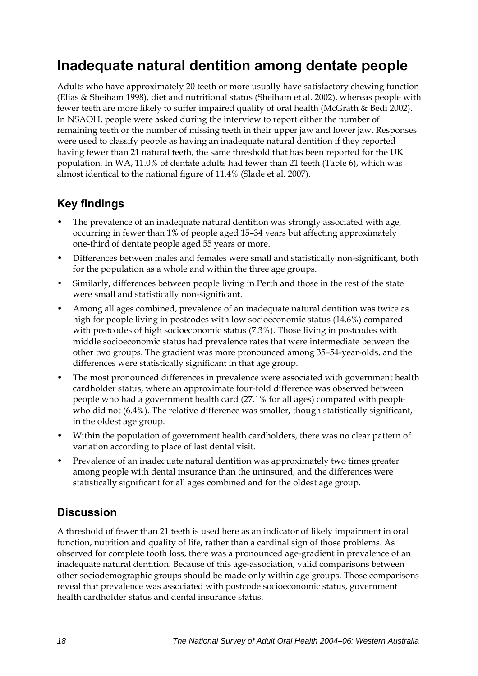## <span id="page-25-0"></span>**Inadequate natural dentition among dentate people**

Adults who have approximately 20 teeth or more usually have satisfactory chewing function (Elias & Sheiham 1998), diet and nutritional status (Sheiham et al. 2002), whereas people with fewer teeth are more likely to suffer impaired quality of oral health (McGrath & Bedi 2002). In NSAOH, people were asked during the interview to report either the number of remaining teeth or the number of missing teeth in their upper jaw and lower jaw. Responses were used to classify people as having an inadequate natural dentition if they reported having fewer than 21 natural teeth, the same threshold that has been reported for the UK population. In WA, 11.0% of dentate adults had fewer than 21 teeth (Table 6), which was almost identical to the national figure of 11.4% (Slade et al. 2007).

### **Key findings**

- The prevalence of an inadequate natural dentition was strongly associated with age, occurring in fewer than 1% of people aged 15–34 years but affecting approximately one-third of dentate people aged 55 years or more.
- Differences between males and females were small and statistically non-significant, both for the population as a whole and within the three age groups.
- Similarly, differences between people living in Perth and those in the rest of the state were small and statistically non-significant.
- Among all ages combined, prevalence of an inadequate natural dentition was twice as high for people living in postcodes with low socioeconomic status (14.6%) compared with postcodes of high socioeconomic status (7.3%). Those living in postcodes with middle socioeconomic status had prevalence rates that were intermediate between the other two groups. The gradient was more pronounced among 35–54-year-olds, and the differences were statistically significant in that age group.
- The most pronounced differences in prevalence were associated with government health cardholder status, where an approximate four-fold difference was observed between people who had a government health card (27.1% for all ages) compared with people who did not (6.4%). The relative difference was smaller, though statistically significant, in the oldest age group.
- Within the population of government health cardholders, there was no clear pattern of variation according to place of last dental visit.
- Prevalence of an inadequate natural dentition was approximately two times greater among people with dental insurance than the uninsured, and the differences were statistically significant for all ages combined and for the oldest age group.

### **Discussion**

A threshold of fewer than 21 teeth is used here as an indicator of likely impairment in oral function, nutrition and quality of life, rather than a cardinal sign of those problems. As observed for complete tooth loss, there was a pronounced age-gradient in prevalence of an inadequate natural dentition. Because of this age-association, valid comparisons between other sociodemographic groups should be made only within age groups. Those comparisons reveal that prevalence was associated with postcode socioeconomic status, government health cardholder status and dental insurance status.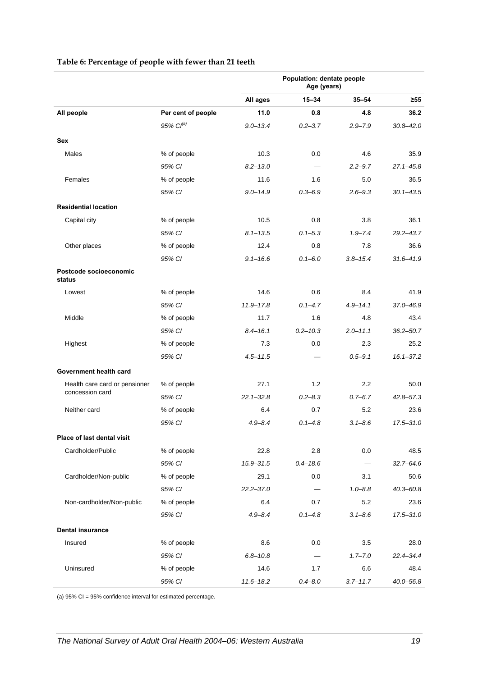|                                  |                       | Population: dentate people<br>Age (years) |                 |              |               |
|----------------------------------|-----------------------|-------------------------------------------|-----------------|--------------|---------------|
|                                  |                       | All ages                                  | $15 - 34$       | $35 - 54$    | $\geq 55$     |
| All people                       | Per cent of people    | 11.0                                      | 0.8             | 4.8          | 36.2          |
|                                  | 95% Cl <sup>(a)</sup> | $9.0 - 13.4$                              | $0.2 - 3.7$     | $2.9 - 7.9$  | $30.8 - 42.0$ |
| <b>Sex</b>                       |                       |                                           |                 |              |               |
| Males                            | % of people           | 10.3                                      | 0.0             | 4.6          | 35.9          |
|                                  | 95% CI                | $8.2 - 13.0$                              |                 | $2.2 - 9.7$  | $27.1 - 45.8$ |
| Females                          | % of people           | 11.6                                      | 1.6             | 5.0          | 36.5          |
|                                  | 95% CI                | $9.0 - 14.9$                              | $0.3 - 6.9$     | $2.6 - 9.3$  | $30.1 - 43.5$ |
| <b>Residential location</b>      |                       |                                           |                 |              |               |
| Capital city                     | % of people           | 10.5                                      | 0.8             | 3.8          | 36.1          |
|                                  | 95% CI                | $8.1 - 13.5$                              | $0.1 - 5.3$     | $1.9 - 7.4$  | $29.2 - 43.7$ |
| Other places                     | % of people           | 12.4                                      | 0.8             | 7.8          | 36.6          |
|                                  | 95% CI                | $9.1 - 16.6$                              | $0.1 - 6.0$     | $3.8 - 15.4$ | $31.6 - 41.9$ |
| Postcode socioeconomic<br>status |                       |                                           |                 |              |               |
| Lowest                           | % of people           | 14.6                                      | 0.6             | 8.4          | 41.9          |
|                                  | 95% CI                | $11.9 - 17.8$                             | $0.1 - 4.7$     | $4.9 - 14.1$ | $37.0 - 46.9$ |
| Middle                           | % of people           | 11.7                                      | 1.6             | 4.8          | 43.4          |
|                                  | 95% CI                | $8.4 - 16.1$                              | $0.2 - 10.3$    | $2.0 - 11.1$ | $36.2 - 50.7$ |
| Highest                          | % of people           | 7.3                                       | 0.0             | 2.3          | 25.2          |
|                                  | 95% CI                | $4.5 - 11.5$                              |                 | $0.5 - 9.1$  | $16.1 - 37.2$ |
| Government health card           |                       |                                           |                 |              |               |
| Health care card or pensioner    | % of people           | 27.1                                      | 1.2             | 2.2          | 50.0          |
| concession card                  | 95% CI                | $22.1 - 32.8$                             | $0.2 - 8.3$     | $0.7 - 6.7$  | $42.8 - 57.3$ |
| Neither card                     | % of people           | 6.4                                       | 0.7             | 5.2          | 23.6          |
|                                  | 95% CI                | $4.9 - 8.4$                               | $0.1 - 4.8$     | $3.1 - 8.6$  | $17.5 - 31.0$ |
| Place of last dental visit       |                       |                                           |                 |              |               |
| Cardholder/Public                | % of people           | 22.8                                      | 2.8             | 0.0          | 48.5          |
|                                  | 95% CI                | $15.9 - 31.5$                             | $0.4 - 18.6$    |              | $32.7 - 64.6$ |
| Cardholder/Non-public            | % of people           | 29.1                                      | 0.0             | 3.1          | 50.6          |
|                                  | 95% CI                | $22.2 - 37.0$                             | $\qquad \qquad$ | $1.0 - 8.8$  | $40.3 - 60.8$ |
| Non-cardholder/Non-public        | % of people           | 6.4                                       | 0.7             | 5.2          | 23.6          |
|                                  | 95% CI                | $4.9 - 8.4$                               | $0.1 - 4.8$     | $3.1 - 8.6$  | $17.5 - 31.0$ |
| <b>Dental insurance</b>          |                       |                                           |                 |              |               |
| Insured                          | % of people           | 8.6                                       | 0.0             | 3.5          | 28.0          |
|                                  | 95% CI                | $6.8 - 10.8$                              |                 | $1.7 - 7.0$  | $22.4 - 34.4$ |
| Uninsured                        | % of people           | 14.6                                      | 1.7             | 6.6          | 48.4          |
|                                  | 95% CI                | $11.6 - 18.2$                             | $0.4 - 8.0$     | $3.7 - 11.7$ | $40.0 - 56.8$ |

#### **Table 6: Percentage of people with fewer than 21 teeth**

(a) 95% CI = 95% confidence interval for estimated percentage.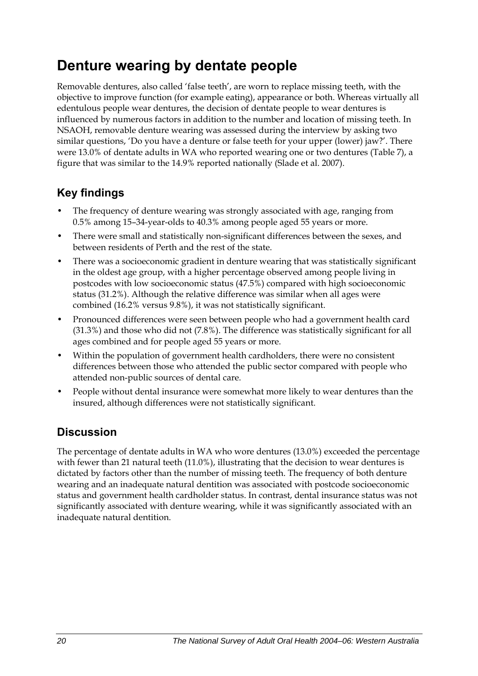## <span id="page-27-0"></span>**Denture wearing by dentate people**

Removable dentures, also called 'false teeth', are worn to replace missing teeth, with the objective to improve function (for example eating), appearance or both. Whereas virtually all edentulous people wear dentures, the decision of dentate people to wear dentures is influenced by numerous factors in addition to the number and location of missing teeth. In NSAOH, removable denture wearing was assessed during the interview by asking two similar questions, 'Do you have a denture or false teeth for your upper (lower) jaw?'. There were 13.0% of dentate adults in WA who reported wearing one or two dentures [\(Table 7](#page-28-0)), a figure that was similar to the 14.9% reported nationally (Slade et al. 2007).

## **Key findings**

- The frequency of denture wearing was strongly associated with age, ranging from 0.5% among 15–34-year-olds to 40.3% among people aged 55 years or more.
- There were small and statistically non-significant differences between the sexes, and between residents of Perth and the rest of the state.
- There was a socioeconomic gradient in denture wearing that was statistically significant in the oldest age group, with a higher percentage observed among people living in postcodes with low socioeconomic status (47.5%) compared with high socioeconomic status (31.2%). Although the relative difference was similar when all ages were combined (16.2% versus 9.8%), it was not statistically significant.
- Pronounced differences were seen between people who had a government health card (31.3%) and those who did not (7.8%). The difference was statistically significant for all ages combined and for people aged 55 years or more.
- Within the population of government health cardholders, there were no consistent differences between those who attended the public sector compared with people who attended non-public sources of dental care.
- People without dental insurance were somewhat more likely to wear dentures than the insured, although differences were not statistically significant.

### **Discussion**

The percentage of dentate adults in WA who wore dentures (13.0%) exceeded the percentage with fewer than 21 natural teeth (11.0%), illustrating that the decision to wear dentures is dictated by factors other than the number of missing teeth. The frequency of both denture wearing and an inadequate natural dentition was associated with postcode socioeconomic status and government health cardholder status. In contrast, dental insurance status was not significantly associated with denture wearing, while it was significantly associated with an inadequate natural dentition.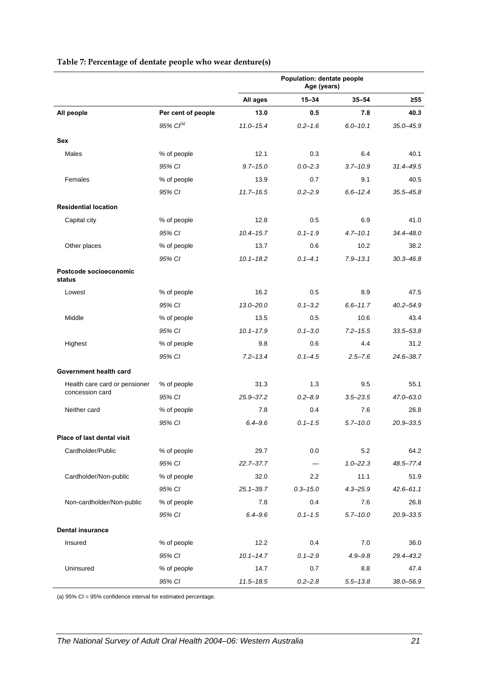<span id="page-28-0"></span>

|                                  |                       | Population: dentate people<br>Age (years) |                  |              |               |
|----------------------------------|-----------------------|-------------------------------------------|------------------|--------------|---------------|
|                                  |                       | All ages                                  | $15 - 34$        | $35 - 54$    | $\geq 55$     |
| All people                       | Per cent of people    | 13.0                                      | 0.5              | 7.8          | 40.3          |
|                                  | 95% Cl <sup>(a)</sup> | $11.0 - 15.4$                             | $0.2 - 1.6$      | $6.0 - 10.1$ | $35.0 - 45.9$ |
| <b>Sex</b>                       |                       |                                           |                  |              |               |
| Males                            | % of people           | 12.1                                      | 0.3              | 6.4          | 40.1          |
|                                  | 95% CI                | $9.7 - 15.0$                              | $0.0 - 2.3$      | $3.7 - 10.9$ | $31.4 - 49.5$ |
| Females                          | % of people           | 13.9                                      | 0.7              | 9.1          | 40.5          |
|                                  | 95% CI                | $11.7 - 16.5$                             | $0.2 - 2.9$      | $6.6 - 12.4$ | $35.5 - 45.8$ |
| <b>Residential location</b>      |                       |                                           |                  |              |               |
| Capital city                     | % of people           | 12.8                                      | 0.5              | 6.9          | 41.0          |
|                                  | 95% CI                | $10.4 - 15.7$                             | $0.1 - 1.9$      | $4.7 - 10.1$ | 34.4-48.0     |
| Other places                     | % of people           | 13.7                                      | 0.6              | 10.2         | 38.2          |
|                                  | 95% CI                | $10.1 - 18.2$                             | $0.1 - 4.1$      | $7.9 - 13.1$ | $30.3 - 46.8$ |
| Postcode socioeconomic<br>status |                       |                                           |                  |              |               |
| Lowest                           | % of people           | 16.2                                      | 0.5              | 8.9          | 47.5          |
|                                  | 95% CI                | $13.0 - 20.0$                             | $0.1 - 3.2$      | $6.6 - 11.7$ | $40.2 - 54.9$ |
| Middle                           | % of people           | 13.5                                      | 0.5              | 10.6         | 43.4          |
|                                  | 95% CI                | $10.1 - 17.9$                             | $0.1 - 3.0$      | $7.2 - 15.5$ | $33.5 - 53.8$ |
| Highest                          | % of people           | 9.8                                       | 0.6              | 4.4          | 31.2          |
|                                  | 95% CI                | $7.2 - 13.4$                              | $0.1 - 4.5$      | $2.5 - 7.6$  | $24.6 - 38.7$ |
| Government health card           |                       |                                           |                  |              |               |
| Health care card or pensioner    | % of people           | 31.3                                      | 1.3              | 9.5          | 55.1          |
| concession card                  | 95% CI                | 25.9-37.2                                 | $0.2 - 8.9$      | $3.5 - 23.5$ | 47.0-63.0     |
| Neither card                     | % of people           | 7.8                                       | 0.4              | 7.6          | 26.8          |
|                                  | 95% CI                | $6.4 - 9.6$                               | $0.1 - 1.5$      | $5.7 - 10.0$ | 20.9-33.5     |
| Place of last dental visit       |                       |                                           |                  |              |               |
| Cardholder/Public                | % of people           | 29.7                                      | 0.0              | 5.2          | 64.2          |
|                                  | 95% CI                | $22.7 - 37.7$                             |                  | $1.0 - 22.3$ | 48.5-77.4     |
| Cardholder/Non-public            | % of people           | 32.0                                      | $2.2\phantom{0}$ | 11.1         | 51.9          |
|                                  | 95% CI                | $25.1 - 39.7$                             | $0.3 - 15.0$     | $4.3 - 25.9$ | $42.6 - 61.1$ |
| Non-cardholder/Non-public        | % of people           | 7.8                                       | 0.4              | 7.6          | 26.8          |
|                                  | 95% CI                | $6.4 - 9.6$                               | $0.1 - 1.5$      | $5.7 - 10.0$ | $20.9 - 33.5$ |
| <b>Dental insurance</b>          |                       |                                           |                  |              |               |
| Insured                          | % of people           | 12.2                                      | 0.4              | 7.0          | 36.0          |
|                                  | 95% CI                | $10.1 - 14.7$                             | $0.1 - 2.9$      | $4.9 - 9.8$  | 29.4-43.2     |
| Uninsured                        | % of people           | 14.7                                      | 0.7              | 8.8          | 47.4          |
|                                  | 95% CI                | $11.5 - 18.5$                             | $0.2 - 2.8$      | $5.5 - 13.8$ | 38.0-56.9     |

#### **Table 7: Percentage of dentate people who wear denture(s)**

(a) 95% CI = 95% confidence interval for estimated percentage.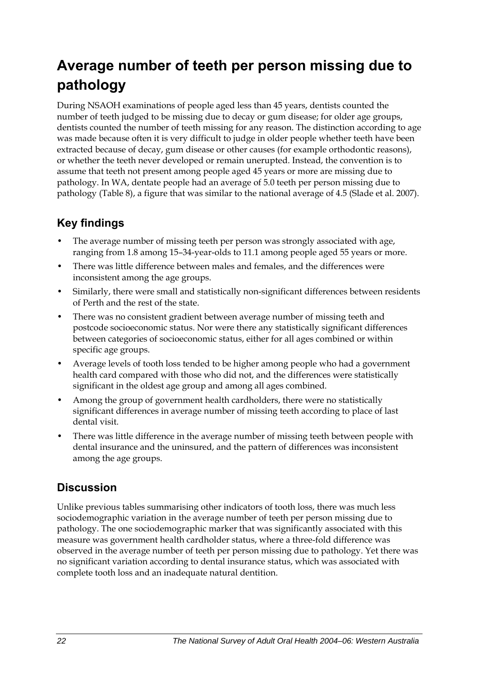## <span id="page-29-0"></span>**Average number of teeth per person missing due to pathology**

During NSAOH examinations of people aged less than 45 years, dentists counted the number of teeth judged to be missing due to decay or gum disease; for older age groups, dentists counted the number of teeth missing for any reason. The distinction according to age was made because often it is very difficult to judge in older people whether teeth have been extracted because of decay, gum disease or other causes (for example orthodontic reasons), or whether the teeth never developed or remain unerupted. Instead, the convention is to assume that teeth not present among people aged 45 years or more are missing due to pathology. In WA, dentate people had an average of 5.0 teeth per person missing due to pathology ([Table 8\)](#page-30-0), a figure that was similar to the national average of 4.5 (Slade et al. 2007).

### **Key findings**

- The average number of missing teeth per person was strongly associated with age, ranging from 1.8 among 15–34-year-olds to 11.1 among people aged 55 years or more.
- There was little difference between males and females, and the differences were inconsistent among the age groups.
- Similarly, there were small and statistically non-significant differences between residents of Perth and the rest of the state.
- There was no consistent gradient between average number of missing teeth and postcode socioeconomic status. Nor were there any statistically significant differences between categories of socioeconomic status, either for all ages combined or within specific age groups.
- Average levels of tooth loss tended to be higher among people who had a government health card compared with those who did not, and the differences were statistically significant in the oldest age group and among all ages combined.
- Among the group of government health cardholders, there were no statistically significant differences in average number of missing teeth according to place of last dental visit.
- There was little difference in the average number of missing teeth between people with dental insurance and the uninsured, and the pattern of differences was inconsistent among the age groups.

### **Discussion**

Unlike previous tables summarising other indicators of tooth loss, there was much less sociodemographic variation in the average number of teeth per person missing due to pathology. The one sociodemographic marker that was significantly associated with this measure was government health cardholder status, where a three-fold difference was observed in the average number of teeth per person missing due to pathology. Yet there was no significant variation according to dental insurance status, which was associated with complete tooth loss and an inadequate natural dentition.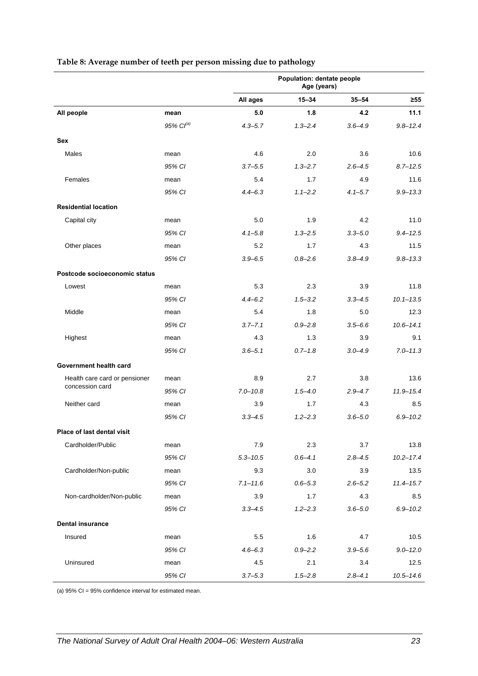<span id="page-30-0"></span>

|                               |                       | Population: dentate people<br>Age (years) |             |             |               |
|-------------------------------|-----------------------|-------------------------------------------|-------------|-------------|---------------|
|                               |                       | All ages                                  | $15 - 34$   | $35 - 54$   | $\geq 55$     |
| All people                    | mean                  | 5.0                                       | 1.8         | 4.2         | 11.1          |
|                               | 95% Cl <sup>(a)</sup> | $4.3 - 5.7$                               | $1.3 - 2.4$ | $3.6 - 4.9$ | $9.8 - 12.4$  |
| <b>Sex</b>                    |                       |                                           |             |             |               |
| Males                         | mean                  | 4.6                                       | 2.0         | 3.6         | 10.6          |
|                               | 95% CI                | $3.7 - 5.5$                               | $1.3 - 2.7$ | $2.6 - 4.5$ | $8.7 - 12.5$  |
| Females                       | mean                  | 5.4                                       | 1.7         | 4.9         | 11.6          |
|                               | 95% CI                | $4.4 - 6.3$                               | $1.1 - 2.2$ | $4.1 - 5.7$ | $9.9 - 13.3$  |
| <b>Residential location</b>   |                       |                                           |             |             |               |
| Capital city                  | mean                  | 5.0                                       | 1.9         | 4.2         | 11.0          |
|                               | 95% CI                | $4.1 - 5.8$                               | $1.3 - 2.5$ | $3.3 - 5.0$ | $9.4 - 12.5$  |
| Other places                  | mean                  | 5.2                                       | 1.7         | 4.3         | 11.5          |
|                               | 95% CI                | $3.9 - 6.5$                               | $0.8 - 2.6$ | $3.8 - 4.9$ | $9.8 - 13.3$  |
| Postcode socioeconomic status |                       |                                           |             |             |               |
| Lowest                        | mean                  | 5.3                                       | 2.3         | 3.9         | 11.8          |
|                               | 95% CI                | $4.4 - 6.2$                               | $1.5 - 3.2$ | $3.3 - 4.5$ | $10.1 - 13.5$ |
| Middle                        | mean                  | 5.4                                       | 1.8         | 5.0         | 12.3          |
|                               | 95% CI                | $3.7 - 7.1$                               | $0.9 - 2.8$ | $3.5 - 6.6$ | $10.6 - 14.1$ |
| Highest                       | mean                  | 4.3                                       | 1.3         | 3.9         | 9.1           |
|                               | 95% CI                | $3.6 - 5.1$                               | $0.7 - 1.8$ | $3.0 - 4.9$ | $7.0 - 11.3$  |
| Government health card        |                       |                                           |             |             |               |
| Health care card or pensioner | mean                  | 8.9                                       | 2.7         | 3.8         | 13.6          |
| concession card               | 95% CI                | $7.0 - 10.8$                              | $1.5 - 4.0$ | $2.9 - 4.7$ | $11.9 - 15.4$ |
| Neither card                  | mean                  | 3.9                                       | 1.7         | 4.3         | 8.5           |
|                               | 95% CI                | $3.3 - 4.5$                               | $1.2 - 2.3$ | $3.6 - 5.0$ | $6.9 - 10.2$  |
| Place of last dental visit    |                       |                                           |             |             |               |
| Cardholder/Public             | mean                  | 7.9                                       | 2.3         | 3.7         | 13.8          |
|                               | 95% CI                | $5.3 - 10.5$                              | $0.6 - 4.1$ | $2.8 - 4.5$ | $10.2 - 17.4$ |
| Cardholder/Non-public         | mean                  | 9.3                                       | 3.0         | 3.9         | 13.5          |
|                               | 95% CI                | $7.1 - 11.6$                              | $0.6 - 5.3$ | $2.6 - 5.2$ | $11.4 - 15.7$ |
| Non-cardholder/Non-public     | mean                  | 3.9                                       | 1.7         | 4.3         | 8.5           |
|                               | 95% CI                | $3.3 - 4.5$                               | $1.2 - 2.3$ | $3.6 - 5.0$ | $6.9 - 10.2$  |
| <b>Dental insurance</b>       |                       |                                           |             |             |               |
| Insured                       | mean                  | 5.5                                       | 1.6         | 4.7         | 10.5          |
|                               | 95% CI                | $4.6 - 6.3$                               | $0.9 - 2.2$ | $3.9 - 5.6$ | $9.0 - 12.0$  |
| Uninsured                     | mean                  | 4.5                                       | 2.1         | 3.4         | 12.5          |
|                               | 95% CI                | $3.7 - 5.3$                               | $1.5 - 2.8$ | $2.8 - 4.1$ | $10.5 - 14.6$ |

#### **Table 8: Average number of teeth per person missing due to pathology**

(a) 95% CI = 95% confidence interval for estimated mean.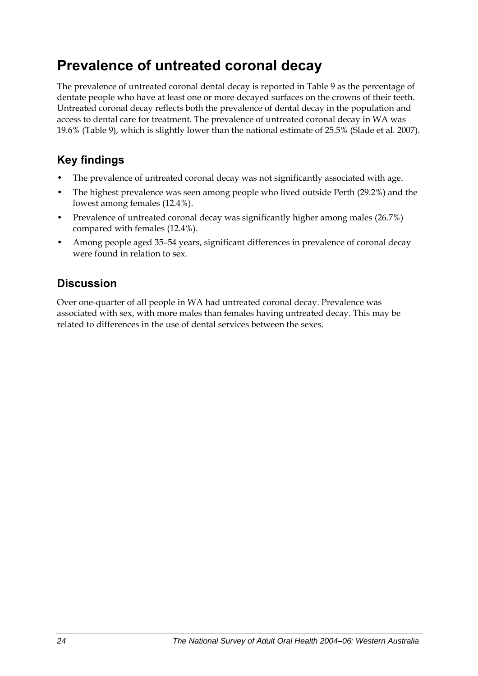## <span id="page-31-0"></span>**Prevalence of untreated coronal decay**

The prevalence of untreated coronal dental decay is reported in [Table 9](#page-32-0) as the percentage of dentate people who have at least one or more decayed surfaces on the crowns of their teeth. Untreated coronal decay reflects both the prevalence of dental decay in the population and access to dental care for treatment. The prevalence of untreated coronal decay in WA was 19.6% (Table 9), which is slightly lower than the national estimate of 25.5% (Slade et al. 2007).

## **Key findings**

- The prevalence of untreated coronal decay was not significantly associated with age.
- The highest prevalence was seen among people who lived outside Perth (29.2%) and the lowest among females (12.4%).
- Prevalence of untreated coronal decay was significantly higher among males (26.7%) compared with females (12.4%).
- Among people aged 35–54 years, significant differences in prevalence of coronal decay were found in relation to sex.

## **Discussion**

Over one-quarter of all people in WA had untreated coronal decay. Prevalence was associated with sex, with more males than females having untreated decay. This may be related to differences in the use of dental services between the sexes.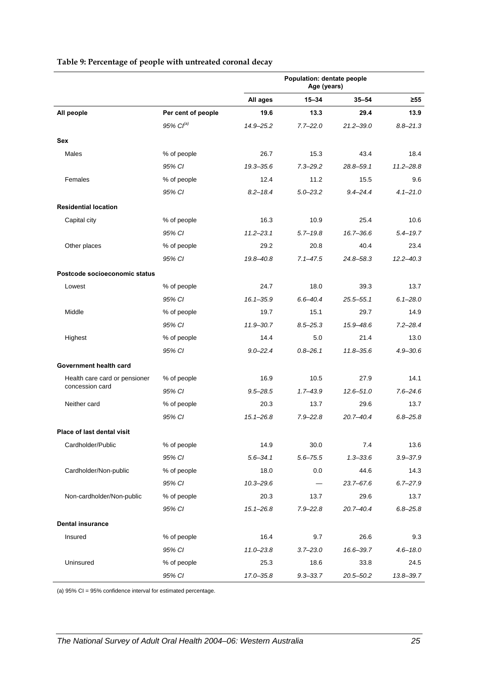<span id="page-32-0"></span>

|                               |                    | Population: dentate people<br>Age (years) |              |               |               |
|-------------------------------|--------------------|-------------------------------------------|--------------|---------------|---------------|
|                               |                    | All ages                                  | $15 - 34$    | $35 - 54$     | ≥55           |
| All people                    | Per cent of people | 19.6                                      | 13.3         | 29.4          | 13.9          |
|                               | $95\%$ $Cl^{(a)}$  | 14.9-25.2                                 | $7.7 - 22.0$ | $21.2 - 39.0$ | $8.8 - 21.3$  |
| <b>Sex</b>                    |                    |                                           |              |               |               |
| Males                         | % of people        | 26.7                                      | 15.3         | 43.4          | 18.4          |
|                               | 95% CI             | 19.3-35.6                                 | $7.3 - 29.2$ | $28.8 - 59.1$ | $11.2 - 28.8$ |
| Females                       | % of people        | 12.4                                      | 11.2         | 15.5          | 9.6           |
|                               | 95% CI             | $8.2 - 18.4$                              | $5.0 - 23.2$ | $9.4 - 24.4$  | $4.1 - 21.0$  |
| <b>Residential location</b>   |                    |                                           |              |               |               |
| Capital city                  | % of people        | 16.3                                      | 10.9         | 25.4          | 10.6          |
|                               | 95% CI             | $11.2 - 23.1$                             | $5.7 - 19.8$ | 16.7-36.6     | $5.4 - 19.7$  |
| Other places                  | % of people        | 29.2                                      | 20.8         | 40.4          | 23.4          |
|                               | 95% CI             | 19.8-40.8                                 | $7.1 - 47.5$ | 24.8-58.3     | $12.2 - 40.3$ |
| Postcode socioeconomic status |                    |                                           |              |               |               |
| Lowest                        | % of people        | 24.7                                      | 18.0         | 39.3          | 13.7          |
|                               | 95% CI             | $16.1 - 35.9$                             | $6.6 - 40.4$ | $25.5 - 55.1$ | $6.1 - 28.0$  |
| Middle                        | % of people        | 19.7                                      | 15.1         | 29.7          | 14.9          |
|                               | 95% CI             | $11.9 - 30.7$                             | $8.5 - 25.3$ | 15.9-48.6     | $7.2 - 28.4$  |
| Highest                       | % of people        | 14.4                                      | 5.0          | 21.4          | 13.0          |
|                               | 95% CI             | $9.0 - 22.4$                              | $0.8 - 26.1$ | $11.8 - 35.6$ | $4.9 - 30.6$  |
| Government health card        |                    |                                           |              |               |               |
| Health care card or pensioner | % of people        | 16.9                                      | 10.5         | 27.9          | 14.1          |
| concession card               | 95% CI             | $9.5 - 28.5$                              | $1.7 - 43.9$ | $12.6 - 51.0$ | $7.6 - 24.6$  |
| Neither card                  | % of people        | 20.3                                      | 13.7         | 29.6          | 13.7          |
|                               | 95% CI             | $15.1 - 26.8$                             | $7.9 - 22.8$ | $20.7 - 40.4$ | $6.8 - 25.8$  |
| Place of last dental visit    |                    |                                           |              |               |               |
| Cardholder/Public             | % of people        | 14.9                                      | 30.0         | 7.4           | 13.6          |
|                               | 95% CI             | $5.6 - 34.1$                              | $5.6 - 75.5$ | $1.3 - 33.6$  | $3.9 - 37.9$  |
| Cardholder/Non-public         | % of people        | 18.0                                      | 0.0          | 44.6          | 14.3          |
|                               | 95% CI             | $10.3 - 29.6$                             |              | $23.7 - 67.6$ | $6.7 - 27.9$  |
| Non-cardholder/Non-public     | % of people        | 20.3                                      | 13.7         | 29.6          | 13.7          |
|                               | 95% CI             | $15.1 - 26.8$                             | $7.9 - 22.8$ | $20.7 - 40.4$ | $6.8 - 25.8$  |
| <b>Dental insurance</b>       |                    |                                           |              |               |               |
| Insured                       | % of people        | 16.4                                      | 9.7          | 26.6          | 9.3           |
|                               | 95% CI             | $11.0 - 23.8$                             | $3.7 - 23.0$ | 16.6-39.7     | $4.6 - 18.0$  |
| Uninsured                     | % of people        | 25.3                                      | 18.6         | 33.8          | 24.5          |
|                               | 95% CI             | 17.0-35.8                                 | $9.3 - 33.7$ | $20.5 - 50.2$ | 13.8-39.7     |

#### **Table 9: Percentage of people with untreated coronal decay**

(a) 95% CI = 95% confidence interval for estimated percentage.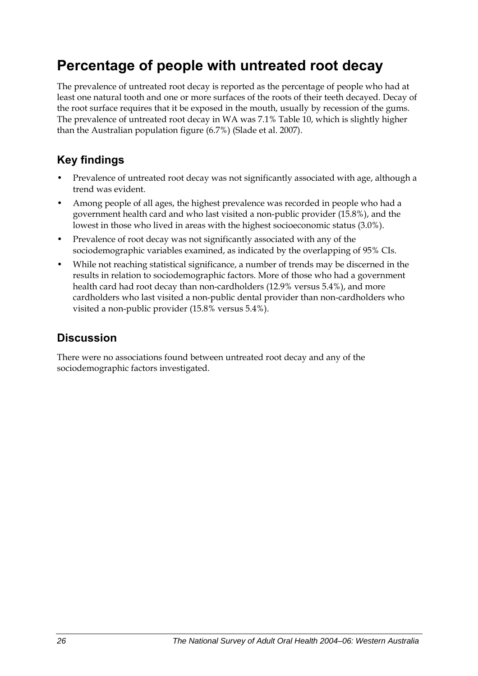## <span id="page-33-0"></span>**Percentage of people with untreated root decay**

The prevalence of untreated root decay is reported as the percentage of people who had at least one natural tooth and one or more surfaces of the roots of their teeth decayed. Decay of the root surface requires that it be exposed in the mouth, usually by recession of the gums. The prevalence of untreated root decay in WA was 7.1% [Table 10](#page-34-0), which is slightly higher than the Australian population figure (6.7%) (Slade et al. 2007).

### **Key findings**

- Prevalence of untreated root decay was not significantly associated with age, although a trend was evident.
- Among people of all ages, the highest prevalence was recorded in people who had a government health card and who last visited a non-public provider (15.8%), and the lowest in those who lived in areas with the highest socioeconomic status (3.0%).
- Prevalence of root decay was not significantly associated with any of the sociodemographic variables examined, as indicated by the overlapping of 95% CIs.
- While not reaching statistical significance, a number of trends may be discerned in the results in relation to sociodemographic factors. More of those who had a government health card had root decay than non-cardholders (12.9% versus 5.4%), and more cardholders who last visited a non-public dental provider than non-cardholders who visited a non-public provider (15.8% versus 5.4%).

### **Discussion**

There were no associations found between untreated root decay and any of the sociodemographic factors investigated.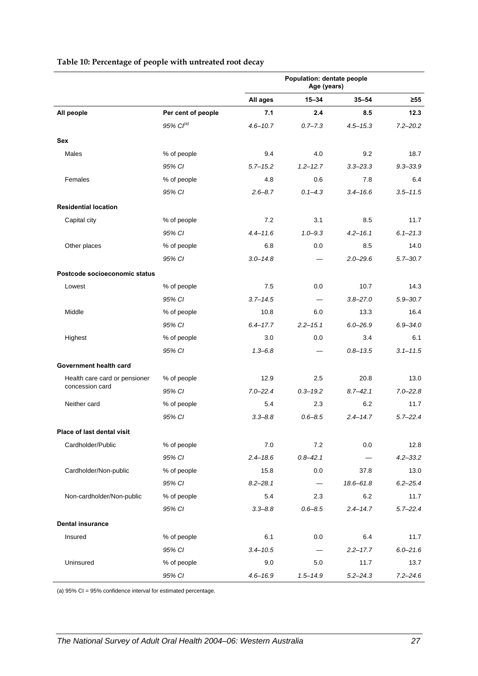<span id="page-34-0"></span>

|                               |                       | Population: dentate people<br>Age (years) |              |               |              |
|-------------------------------|-----------------------|-------------------------------------------|--------------|---------------|--------------|
|                               |                       | All ages                                  | $15 - 34$    | $35 - 54$     | $\geq 55$    |
| All people                    | Per cent of people    | 7.1                                       | 2.4          | 8.5           | 12.3         |
|                               | 95% Cl <sup>(a)</sup> | $4.6 - 10.7$                              | $0.7 - 7.3$  | $4.5 - 15.3$  | $7.2 - 20.2$ |
| <b>Sex</b>                    |                       |                                           |              |               |              |
| Males                         | % of people           | 9.4                                       | 4.0          | 9.2           | 18.7         |
|                               | 95% CI                | $5.7 - 15.2$                              | $1.2 - 12.7$ | $3.3 - 23.3$  | $9.3 - 33.9$ |
| Females                       | % of people           | 4.8                                       | 0.6          | 7.8           | 6.4          |
|                               | 95% CI                | $2.6 - 8.7$                               | $0.1 - 4.3$  | $3.4 - 16.6$  | $3.5 - 11.5$ |
| <b>Residential location</b>   |                       |                                           |              |               |              |
| Capital city                  | % of people           | 7.2                                       | 3.1          | 8.5           | 11.7         |
|                               | 95% CI                | $4.4 - 11.6$                              | $1.0 - 9.3$  | $4.2 - 16.1$  | $6.1 - 21.3$ |
| Other places                  | % of people           | 6.8                                       | 0.0          | 8.5           | 14.0         |
|                               | 95% CI                | $3.0 - 14.8$                              |              | $2.0 - 29.6$  | $5.7 - 30.7$ |
| Postcode socioeconomic status |                       |                                           |              |               |              |
| Lowest                        | % of people           | 7.5                                       | 0.0          | 10.7          | 14.3         |
|                               | 95% CI                | $3.7 - 14.5$                              |              | $3.8 - 27.0$  | $5.9 - 30.7$ |
| Middle                        | % of people           | 10.8                                      | 6.0          | 13.3          | 16.4         |
|                               | 95% CI                | $6.4 - 17.7$                              | $2.2 - 15.1$ | $6.0 - 26.9$  | $6.9 - 34.0$ |
| Highest                       | % of people           | 3.0                                       | 0.0          | 3.4           | 6.1          |
|                               | 95% CI                | $1.3 - 6.8$                               |              | $0.8 - 13.5$  | $3.1 - 11.5$ |
| Government health card        |                       |                                           |              |               |              |
| Health care card or pensioner | % of people           | 12.9                                      | 2.5          | 20.8          | 13.0         |
| concession card               | 95% CI                | $7.0 - 22.4$                              | $0.3 - 19.2$ | $8.7 - 42.1$  | $7.0 - 22.8$ |
| Neither card                  | % of people           | 5.4                                       | 2.3          | 6.2           | 11.7         |
|                               | 95% CI                | $3.3 - 8.8$                               | $0.6 - 8.5$  | $2.4 - 14.7$  | $5.7 - 22.4$ |
| Place of last dental visit    |                       |                                           |              |               |              |
| Cardholder/Public             | % of people           | 7.0                                       | 7.2          | 0.0           | 12.8         |
|                               | 95% CI                | $2.4 - 18.6$                              | $0.8 - 42.1$ |               | $4.2 - 33.2$ |
| Cardholder/Non-public         | % of people           | 15.8                                      | 0.0          | 37.8          | 13.0         |
|                               | 95% CI                | $8.2 - 28.1$                              |              | $18.6 - 61.8$ | $6.2 - 25.4$ |
| Non-cardholder/Non-public     | % of people           | 5.4                                       | 2.3          | 6.2           | 11.7         |
|                               | 95% CI                | $3.3 - 8.8$                               | $0.6 - 8.5$  | $2.4 - 14.7$  | $5.7 - 22.4$ |
| <b>Dental insurance</b>       |                       |                                           |              |               |              |
| Insured                       |                       | 6.1                                       |              | 6.4           | 11.7         |
|                               | % of people<br>95% CI | $3.4 - 10.5$                              | 0.0          | $2.2 - 17.7$  | $6.0 - 21.6$ |
| Uninsured                     | % of people           | 9.0                                       | 5.0          | 11.7          | 13.7         |
|                               | 95% CI                | $4.6 - 16.9$                              | $1.5 - 14.9$ | $5.2 - 24.3$  | $7.2 - 24.6$ |

#### **Table 10: Percentage of people with untreated root decay**

(a) 95% CI = 95% confidence interval for estimated percentage.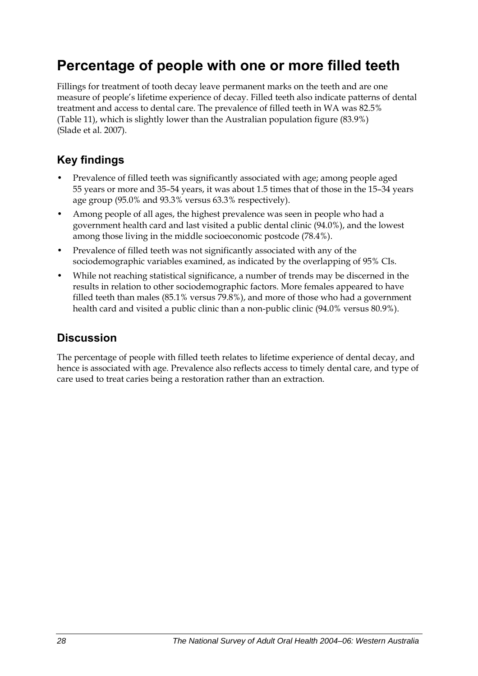## <span id="page-35-0"></span>**Percentage of people with one or more filled teeth**

Fillings for treatment of tooth decay leave permanent marks on the teeth and are one measure of people's lifetime experience of decay. Filled teeth also indicate patterns of dental treatment and access to dental care. The prevalence of filled teeth in WA was 82.5% ([Table 11](#page-36-0)), which is slightly lower than the Australian population figure (83.9%) (Slade et al. 2007).

### **Key findings**

- Prevalence of filled teeth was significantly associated with age; among people aged 55 years or more and 35–54 years, it was about 1.5 times that of those in the 15–34 years age group (95.0% and 93.3% versus 63.3% respectively).
- Among people of all ages, the highest prevalence was seen in people who had a government health card and last visited a public dental clinic (94.0%), and the lowest among those living in the middle socioeconomic postcode (78.4%).
- Prevalence of filled teeth was not significantly associated with any of the sociodemographic variables examined, as indicated by the overlapping of 95% CIs.
- While not reaching statistical significance, a number of trends may be discerned in the results in relation to other sociodemographic factors. More females appeared to have filled teeth than males (85.1% versus 79.8%), and more of those who had a government health card and visited a public clinic than a non-public clinic (94.0% versus 80.9%).

### **Discussion**

The percentage of people with filled teeth relates to lifetime experience of dental decay, and hence is associated with age. Prevalence also reflects access to timely dental care, and type of care used to treat caries being a restoration rather than an extraction.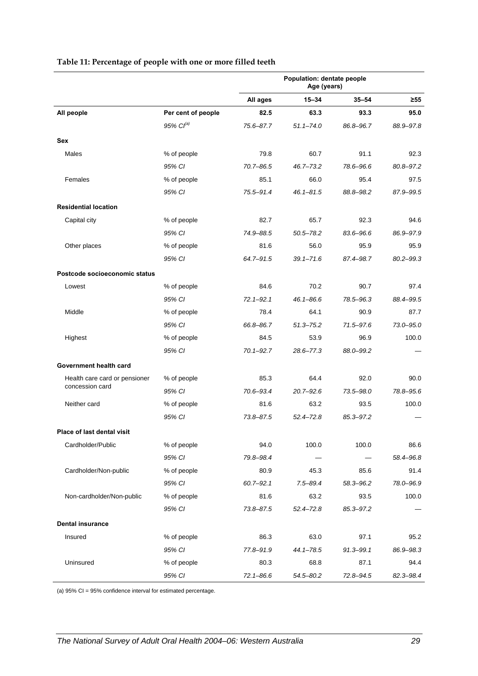|                               |                    | Population: dentate people<br>Age (years) |               |               |               |
|-------------------------------|--------------------|-------------------------------------------|---------------|---------------|---------------|
|                               |                    | All ages                                  | $15 - 34$     | $35 - 54$     | $\geq 55$     |
| All people                    | Per cent of people | 82.5                                      | 63.3          | 93.3          | 95.0          |
|                               | $95\%$ $Cl^{(a)}$  | 75.6-87.7                                 | $51.1 - 74.0$ | 86.8-96.7     | 88.9-97.8     |
| <b>Sex</b>                    |                    |                                           |               |               |               |
| Males                         | % of people        | 79.8                                      | 60.7          | 91.1          | 92.3          |
|                               | 95% CI             | 70.7-86.5                                 | $46.7 - 73.2$ | 78.6-96.6     | 80.8-97.2     |
| Females                       | % of people        | 85.1                                      | 66.0          | 95.4          | 97.5          |
|                               | 95% CI             | 75.5-91.4                                 | $46.1 - 81.5$ | 88.8-98.2     | 87.9-99.5     |
| <b>Residential location</b>   |                    |                                           |               |               |               |
| Capital city                  | % of people        | 82.7                                      | 65.7          | 92.3          | 94.6          |
|                               | 95% CI             | 74.9-88.5                                 | $50.5 - 78.2$ | 83.6-96.6     | 86.9-97.9     |
| Other places                  | % of people        | 81.6                                      | 56.0          | 95.9          | 95.9          |
|                               | 95% CI             | 64.7-91.5                                 | $39.1 - 71.6$ | 87.4-98.7     | $80.2 - 99.3$ |
| Postcode socioeconomic status |                    |                                           |               |               |               |
| Lowest                        | % of people        | 84.6                                      | 70.2          | 90.7          | 97.4          |
|                               | 95% CI             | $72.1 - 92.1$                             | $46.1 - 86.6$ | 78.5-96.3     | 88.4-99.5     |
| Middle                        | % of people        | 78.4                                      | 64.1          | 90.9          | 87.7          |
|                               | 95% CI             | 66.8-86.7                                 | $51.3 - 75.2$ | 71.5-97.6     | 73.0-95.0     |
| Highest                       | % of people        | 84.5                                      | 53.9          | 96.9          | 100.0         |
|                               | 95% CI             | $70.1 - 92.7$                             | $28.6 - 77.3$ | 88.0-99.2     |               |
| Government health card        |                    |                                           |               |               |               |
| Health care card or pensioner | % of people        | 85.3                                      | 64.4          | 92.0          | 90.0          |
| concession card               | 95% CI             | 70.6-93.4                                 | $20.7 - 92.6$ | $73.5 - 98.0$ | 78.8-95.6     |
| Neither card                  | % of people        | 81.6                                      | 63.2          | 93.5          | 100.0         |
|                               | 95% CI             | 73.8-87.5                                 | $52.4 - 72.8$ | 85.3-97.2     |               |
| Place of last dental visit    |                    |                                           |               |               |               |
| Cardholder/Public             | % of people        | 94.0                                      | 100.0         | 100.0         | 86.6          |
|                               | 95% CI             | 79.8-98.4                                 |               |               | 58.4-96.8     |
| Cardholder/Non-public         | % of people        | 80.9                                      | 45.3          | 85.6          | 91.4          |
|                               | 95% CI             | $60.7 - 92.1$                             | $7.5 - 89.4$  | 58.3-96.2     | 78.0-96.9     |
| Non-cardholder/Non-public     | % of people        | 81.6                                      | 63.2          | 93.5          | 100.0         |
|                               | 95% CI             | 73.8-87.5                                 | $52.4 - 72.8$ | 85.3-97.2     |               |
| <b>Dental insurance</b>       |                    |                                           |               |               |               |
| Insured                       | % of people        | 86.3                                      | 63.0          | 97.1          | 95.2          |
|                               | 95% CI             | 77.8-91.9                                 | 44.1-78.5     | $91.3 - 99.1$ | 86.9-98.3     |
| Uninsured                     | % of people        | 80.3                                      | 68.8          | 87.1          | 94.4          |
|                               | 95% CI             | $72.1 - 86.6$                             | 54.5-80.2     | 72.8-94.5     | 82.3-98.4     |

#### **Table 11: Percentage of people with one or more filled teeth**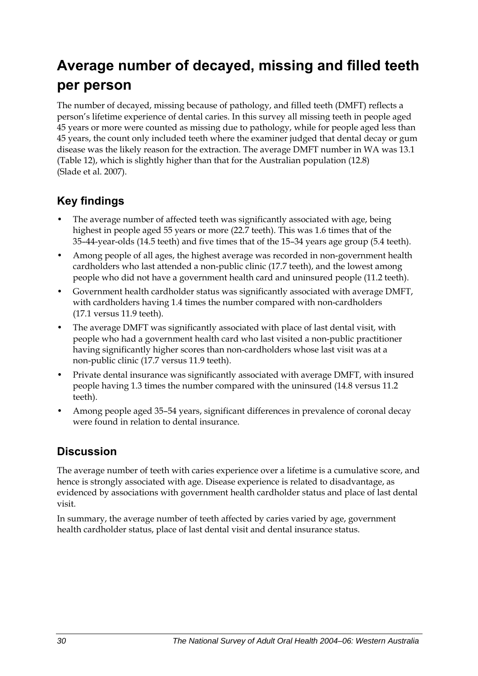## **Average number of decayed, missing and filled teeth per person**

The number of decayed, missing because of pathology, and filled teeth (DMFT) reflects a person's lifetime experience of dental caries. In this survey all missing teeth in people aged 45 years or more were counted as missing due to pathology, while for people aged less than 45 years, the count only included teeth where the examiner judged that dental decay or gum disease was the likely reason for the extraction. The average DMFT number in WA was 13.1 ([Table 12](#page-38-0)), which is slightly higher than that for the Australian population (12.8) (Slade et al. 2007).

### **Key findings**

- The average number of affected teeth was significantly associated with age, being highest in people aged 55 years or more (22.7 teeth). This was 1.6 times that of the 35–44-year-olds (14.5 teeth) and five times that of the 15–34 years age group (5.4 teeth).
- Among people of all ages, the highest average was recorded in non-government health cardholders who last attended a non-public clinic (17.7 teeth), and the lowest among people who did not have a government health card and uninsured people (11.2 teeth).
- Government health cardholder status was significantly associated with average DMFT, with cardholders having 1.4 times the number compared with non-cardholders (17.1 versus 11.9 teeth).
- The average DMFT was significantly associated with place of last dental visit, with people who had a government health card who last visited a non-public practitioner having significantly higher scores than non-cardholders whose last visit was at a non-public clinic (17.7 versus 11.9 teeth).
- Private dental insurance was significantly associated with average DMFT, with insured people having 1.3 times the number compared with the uninsured (14.8 versus 11.2 teeth).
- Among people aged 35–54 years, significant differences in prevalence of coronal decay were found in relation to dental insurance.

#### **Discussion**

The average number of teeth with caries experience over a lifetime is a cumulative score, and hence is strongly associated with age. Disease experience is related to disadvantage, as evidenced by associations with government health cardholder status and place of last dental visit.

In summary, the average number of teeth affected by caries varied by age, government health cardholder status, place of last dental visit and dental insurance status.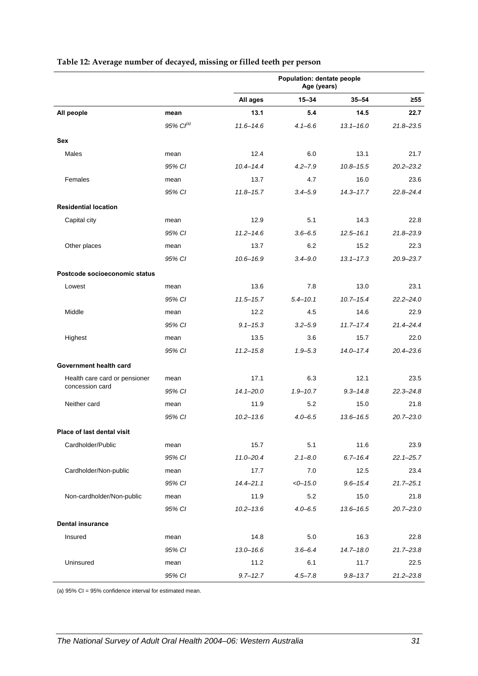<span id="page-38-0"></span>

|                               |                   | Population: dentate people<br>Age (years) |              |               |               |
|-------------------------------|-------------------|-------------------------------------------|--------------|---------------|---------------|
|                               |                   | All ages                                  | $15 - 34$    | $35 - 54$     | $\geq 55$     |
| All people                    | mean              | 13.1                                      | 5.4          | 14.5          | 22.7          |
|                               | $95\%$ $Cl^{(a)}$ | $11.6 - 14.6$                             | $4.1 - 6.6$  | $13.1 - 16.0$ | $21.8 - 23.5$ |
| <b>Sex</b>                    |                   |                                           |              |               |               |
| Males                         | mean              | 12.4                                      | 6.0          | 13.1          | 21.7          |
|                               | 95% CI            | $10.4 - 14.4$                             | $4.2 - 7.9$  | $10.8 - 15.5$ | $20.2 - 23.2$ |
| Females                       | mean              | 13.7                                      | 4.7          | 16.0          | 23.6          |
|                               | 95% CI            | $11.8 - 15.7$                             | $3.4 - 5.9$  | 14.3-17.7     | $22.8 - 24.4$ |
| <b>Residential location</b>   |                   |                                           |              |               |               |
| Capital city                  | mean              | 12.9                                      | 5.1          | 14.3          | 22.8          |
|                               | 95% CI            | $11.2 - 14.6$                             | $3.6 - 6.5$  | $12.5 - 16.1$ | $21.8 - 23.9$ |
| Other places                  | mean              | 13.7                                      | 6.2          | 15.2          | 22.3          |
|                               | 95% CI            | $10.6 - 16.9$                             | $3.4 - 9.0$  | $13.1 - 17.3$ | $20.9 - 23.7$ |
| Postcode socioeconomic status |                   |                                           |              |               |               |
| Lowest                        | mean              | 13.6                                      | 7.8          | 13.0          | 23.1          |
|                               | 95% CI            | $11.5 - 15.7$                             | $5.4 - 10.1$ | $10.7 - 15.4$ | $22.2 - 24.0$ |
| Middle                        | mean              | 12.2                                      | 4.5          | 14.6          | 22.9          |
|                               | 95% CI            | $9.1 - 15.3$                              | $3.2 - 5.9$  | $11.7 - 17.4$ | $21.4 - 24.4$ |
| Highest                       | mean              | 13.5                                      | 3.6          | 15.7          | 22.0          |
|                               | 95% CI            | $11.2 - 15.8$                             | $1.9 - 5.3$  | 14.0-17.4     | $20.4 - 23.6$ |
| Government health card        |                   |                                           |              |               |               |
| Health care card or pensioner | mean              | 17.1                                      | 6.3          | 12.1          | 23.5          |
| concession card               | 95% CI            | $14.1 - 20.0$                             | $1.9 - 10.7$ | $9.3 - 14.8$  | $22.3 - 24.8$ |
| Neither card                  | mean              | 11.9                                      | 5.2          | 15.0          | 21.8          |
|                               | 95% CI            | $10.2 - 13.6$                             | $4.0 - 6.5$  | $13.6 - 16.5$ | $20.7 - 23.0$ |
| Place of last dental visit    |                   |                                           |              |               |               |
| Cardholder/Public             | mean              | 15.7                                      | 5.1          | 11.6          | 23.9          |
|                               | 95% CI            | $11.0 - 20.4$                             | $2.1 - 8.0$  | $6.7 - 16.4$  | $22.1 - 25.7$ |
| Cardholder/Non-public         | mean              | 17.7                                      | 7.0          | 12.5          | 23.4          |
|                               | 95% CI            | $14.4 - 21.1$                             | $<0-15.0$    | $9.6 - 15.4$  | $21.7 - 25.1$ |
| Non-cardholder/Non-public     | mean              | 11.9                                      | 5.2          | 15.0          | 21.8          |
|                               | 95% CI            | $10.2 - 13.6$                             | $4.0 - 6.5$  | $13.6 - 16.5$ | $20.7 - 23.0$ |
| <b>Dental insurance</b>       |                   |                                           |              |               |               |
| Insured                       | mean              | 14.8                                      | 5.0          | 16.3          | 22.8          |
|                               | 95% CI            | $13.0 - 16.6$                             | $3.6 - 6.4$  | $14.7 - 18.0$ | $21.7 - 23.8$ |
| Uninsured                     | mean              | 11.2                                      | 6.1          | 11.7          | 22.5          |
|                               | 95% CI            | $9.7 - 12.7$                              | $4.5 - 7.8$  | $9.8 - 13.7$  | $21.2 - 23.8$ |

#### **Table 12: Average number of decayed, missing or filled teeth per person**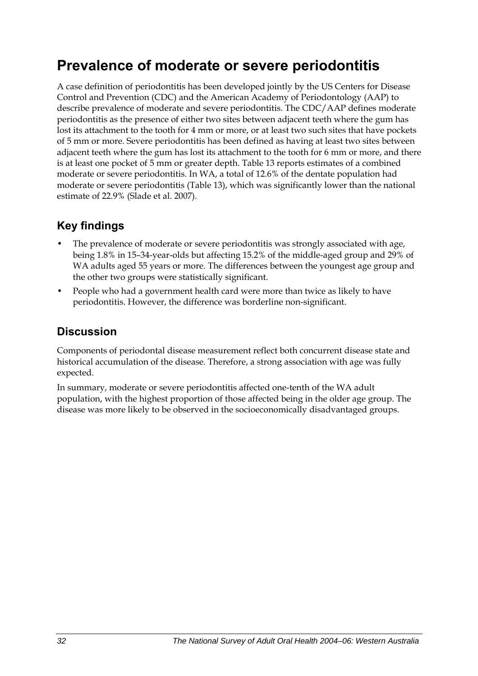## **Prevalence of moderate or severe periodontitis**

A case definition of periodontitis has been developed jointly by the US Centers for Disease Control and Prevention (CDC) and the American Academy of Periodontology (AAP) to describe prevalence of moderate and severe periodontitis. The CDC/AAP defines moderate periodontitis as the presence of either two sites between adjacent teeth where the gum has lost its attachment to the tooth for 4 mm or more, or at least two such sites that have pockets of 5 mm or more. Severe periodontitis has been defined as having at least two sites between adjacent teeth where the gum has lost its attachment to the tooth for 6 mm or more, and there is at least one pocket of 5 mm or greater depth. [Table 13](#page-40-0) reports estimates of a combined moderate or severe periodontitis. In WA, a total of 12.6% of the dentate population had moderate or severe periodontitis (Table 13), which was significantly lower than the national estimate of 22.9% (Slade et al. 2007).

### **Key findings**

- The prevalence of moderate or severe periodontitis was strongly associated with age, being 1.8% in 15–34-year-olds but affecting 15.2% of the middle-aged group and 29% of WA adults aged 55 years or more. The differences between the youngest age group and the other two groups were statistically significant.
- People who had a government health card were more than twice as likely to have periodontitis. However, the difference was borderline non-significant.

### **Discussion**

Components of periodontal disease measurement reflect both concurrent disease state and historical accumulation of the disease. Therefore, a strong association with age was fully expected.

In summary, moderate or severe periodontitis affected one-tenth of the WA adult population, with the highest proportion of those affected being in the older age group. The disease was more likely to be observed in the socioeconomically disadvantaged groups.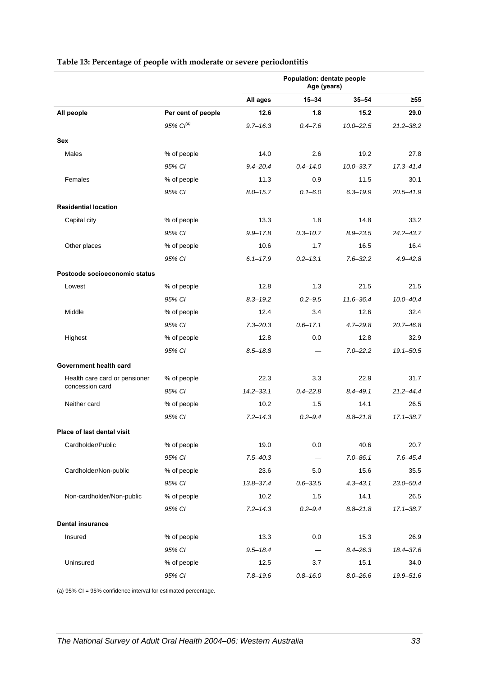<span id="page-40-0"></span>

|                               |                       | Population: dentate people<br>Age (years) |                                |               |               |
|-------------------------------|-----------------------|-------------------------------------------|--------------------------------|---------------|---------------|
|                               |                       | All ages                                  | $15 - 34$                      | $35 - 54$     | $\geq 55$     |
| All people                    | Per cent of people    | 12.6                                      | 1.8                            | 15.2          | 29.0          |
|                               | 95% Cl <sup>(a)</sup> | $9.7 - 16.3$                              | $0.4 - 7.6$                    | $10.0 - 22.5$ | $21.2 - 38.2$ |
| Sex                           |                       |                                           |                                |               |               |
| Males                         | % of people           | 14.0                                      | 2.6                            | 19.2          | 27.8          |
|                               | 95% CI                | $9.4 - 20.4$                              | $0.4 - 14.0$                   | $10.0 - 33.7$ | $17.3 - 41.4$ |
| Females                       | % of people           | 11.3                                      | 0.9                            | 11.5          | 30.1          |
|                               | 95% CI                | $8.0 - 15.7$                              | $0.1 - 6.0$                    | $6.3 - 19.9$  | $20.5 - 41.9$ |
| <b>Residential location</b>   |                       |                                           |                                |               |               |
| Capital city                  | % of people           | 13.3                                      | 1.8                            | 14.8          | 33.2          |
|                               | 95% CI                | $9.9 - 17.8$                              | $0.3 - 10.7$                   | $8.9 - 23.5$  | $24.2 - 43.7$ |
| Other places                  | % of people           | 10.6                                      | 1.7                            | 16.5          | 16.4          |
|                               | 95% CI                | $6.1 - 17.9$                              | $0.2 - 13.1$                   | $7.6 - 32.2$  | $4.9 - 42.8$  |
| Postcode socioeconomic status |                       |                                           |                                |               |               |
| Lowest                        | % of people           | 12.8                                      | 1.3                            | 21.5          | 21.5          |
|                               | 95% CI                | $8.3 - 19.2$                              | $0.2 - 9.5$                    | $11.6 - 36.4$ | $10.0 - 40.4$ |
| Middle                        | % of people           | 12.4                                      | 3.4                            | 12.6          | 32.4          |
|                               | 95% CI                | $7.3 - 20.3$                              | $0.6 - 17.1$                   | $4.7 - 29.8$  | $20.7 - 46.8$ |
| Highest                       | % of people           | 12.8                                      | 0.0                            | 12.8          | 32.9          |
|                               | 95% CI                | $8.5 - 18.8$                              |                                | $7.0 - 22.2$  | $19.1 - 50.5$ |
| Government health card        |                       |                                           |                                |               |               |
| Health care card or pensioner | % of people           | 22.3                                      | 3.3                            | 22.9          | 31.7          |
| concession card               | 95% CI                | $14.2 - 33.1$                             | $0.4 - 22.8$                   | $8.4 - 49.1$  | $21.2 - 44.4$ |
| Neither card                  | % of people           | 10.2                                      | 1.5                            | 14.1          | 26.5          |
|                               | 95% CI                | $7.2 - 14.3$                              | $0.2 - 9.4$                    | $8.8 - 21.8$  | $17.1 - 38.7$ |
| Place of last dental visit    |                       |                                           |                                |               |               |
| Cardholder/Public             | % of people           | 19.0                                      | 0.0                            | 40.6          | 20.7          |
|                               | 95% CI                | $7.5 - 40.3$                              | $\qquad \qquad \longleftarrow$ | $7.0 - 86.1$  | $7.6 - 45.4$  |
| Cardholder/Non-public         | % of people           | 23.6                                      | 5.0                            | 15.6          | 35.5          |
|                               | 95% CI                | 13.8-37.4                                 | $0.6 - 33.5$                   | $4.3 - 43.1$  | $23.0 - 50.4$ |
| Non-cardholder/Non-public     | % of people           | 10.2                                      | 1.5                            | 14.1          | 26.5          |
|                               | 95% CI                | $7.2 - 14.3$                              | $0.2 - 9.4$                    | $8.8 - 21.8$  | $17.1 - 38.7$ |
| <b>Dental insurance</b>       |                       |                                           |                                |               |               |
| Insured                       | % of people           | 13.3                                      | 0.0                            | 15.3          | 26.9          |
|                               | 95% CI                | $9.5 - 18.4$                              |                                | $8.4 - 26.3$  | 18.4-37.6     |
| Uninsured                     | % of people           | 12.5                                      | 3.7                            | 15.1          | 34.0          |
|                               | 95% CI                | $7.8 - 19.6$                              | $0.8 - 16.0$                   | $8.0 - 26.6$  | 19.9-51.6     |

#### **Table 13: Percentage of people with moderate or severe periodontitis**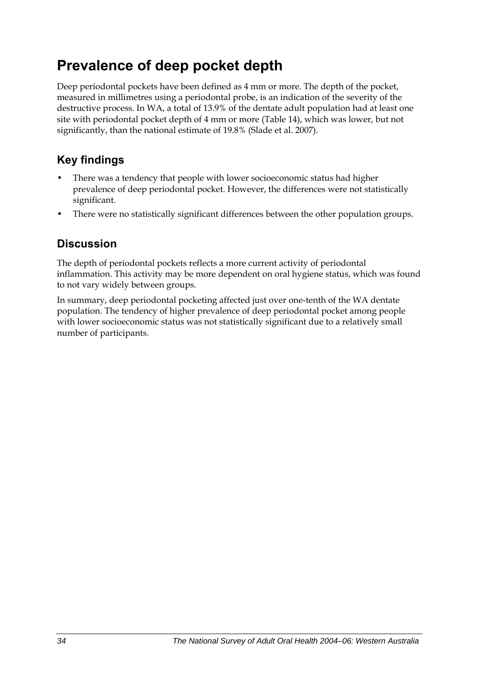## **Prevalence of deep pocket depth**

Deep periodontal pockets have been defined as 4 mm or more. The depth of the pocket, measured in millimetres using a periodontal probe, is an indication of the severity of the destructive process. In WA, a total of 13.9% of the dentate adult population had at least one site with periodontal pocket depth of 4 mm or more [\(Table 14\)](#page-42-0), which was lower, but not significantly, than the national estimate of 19.8% (Slade et al. 2007).

## **Key findings**

- There was a tendency that people with lower socioeconomic status had higher prevalence of deep periodontal pocket. However, the differences were not statistically significant.
- There were no statistically significant differences between the other population groups.

### **Discussion**

The depth of periodontal pockets reflects a more current activity of periodontal inflammation. This activity may be more dependent on oral hygiene status, which was found to not vary widely between groups.

In summary, deep periodontal pocketing affected just over one-tenth of the WA dentate population. The tendency of higher prevalence of deep periodontal pocket among people with lower socioeconomic status was not statistically significant due to a relatively small number of participants.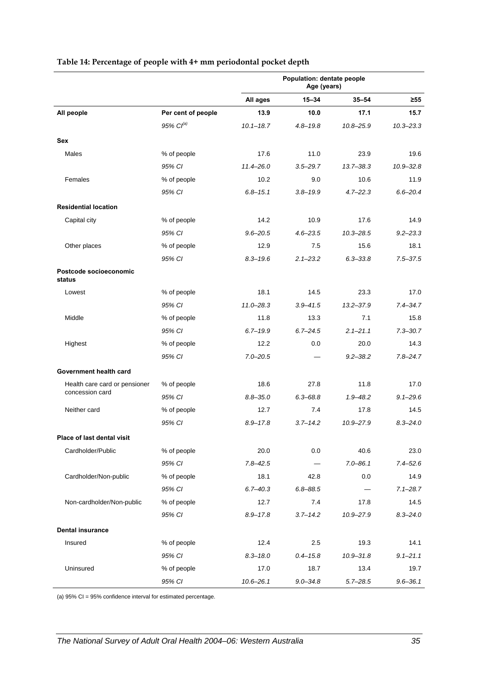<span id="page-42-0"></span>

|                                  |                       | Population: dentate people<br>Age (years) |              |               |               |  |
|----------------------------------|-----------------------|-------------------------------------------|--------------|---------------|---------------|--|
|                                  |                       | All ages                                  | $15 - 34$    | $35 - 54$     | $\geq 55$     |  |
| All people                       | Per cent of people    | 13.9                                      | 10.0         | 17.1          | 15.7          |  |
|                                  | 95% Cl <sup>(a)</sup> | $10.1 - 18.7$                             | $4.8 - 19.8$ | $10.8 - 25.9$ | $10.3 - 23.3$ |  |
| Sex                              |                       |                                           |              |               |               |  |
| <b>Males</b>                     | % of people           | 17.6                                      | 11.0         | 23.9          | 19.6          |  |
|                                  | 95% CI                | $11.4 - 26.0$                             | $3.5 - 29.7$ | $13.7 - 38.3$ | $10.9 - 32.8$ |  |
| Females                          | % of people           | 10.2                                      | 9.0          | 10.6          | 11.9          |  |
|                                  | 95% CI                | $6.8 - 15.1$                              | $3.8 - 19.9$ | $4.7 - 22.3$  | $6.6 - 20.4$  |  |
| <b>Residential location</b>      |                       |                                           |              |               |               |  |
| Capital city                     | % of people           | 14.2                                      | 10.9         | 17.6          | 14.9          |  |
|                                  | 95% CI                | $9.6 - 20.5$                              | $4.6 - 23.5$ | $10.3 - 28.5$ | $9.2 - 23.3$  |  |
| Other places                     | % of people           | 12.9                                      | 7.5          | 15.6          | 18.1          |  |
|                                  | 95% CI                | $8.3 - 19.6$                              | $2.1 - 23.2$ | $6.3 - 33.8$  | $7.5 - 37.5$  |  |
| Postcode socioeconomic<br>status |                       |                                           |              |               |               |  |
| Lowest                           | % of people           | 18.1                                      | 14.5         | 23.3          | 17.0          |  |
|                                  | 95% CI                | $11.0 - 28.3$                             | $3.9 - 41.5$ | $13.2 - 37.9$ | $7.4 - 34.7$  |  |
| Middle                           | % of people           | 11.8                                      | 13.3         | 7.1           | 15.8          |  |
|                                  | 95% CI                | $6.7 - 19.9$                              | $6.7 - 24.5$ | $2.1 - 21.1$  | $7.3 - 30.7$  |  |
| Highest                          | % of people           | 12.2                                      | 0.0          | 20.0          | 14.3          |  |
|                                  | 95% CI                | $7.0 - 20.5$                              |              | $9.2 - 38.2$  | $7.8 - 24.7$  |  |
| Government health card           |                       |                                           |              |               |               |  |
| Health care card or pensioner    | % of people           | 18.6                                      | 27.8         | 11.8          | 17.0          |  |
| concession card                  | 95% CI                | $8.8 - 35.0$                              | $6.3 - 68.8$ | $1.9 - 48.2$  | $9.1 - 29.6$  |  |
| Neither card                     | % of people           | 12.7                                      | 7.4          | 17.8          | 14.5          |  |
|                                  | 95% CI                | $8.9 - 17.8$                              | $3.7 - 14.2$ | $10.9 - 27.9$ | $8.3 - 24.0$  |  |
| Place of last dental visit       |                       |                                           |              |               |               |  |
| Cardholder/Public                | % of people           | 20.0                                      | 0.0          | 40.6          | 23.0          |  |
|                                  | 95% CI                | $7.8 - 42.5$                              | $\equiv$     | $7.0 - 86.1$  | $7.4 - 52.6$  |  |
| Cardholder/Non-public            | % of people           | 18.1                                      | 42.8         | 0.0           | 14.9          |  |
|                                  | 95% CI                | $6.7 - 40.3$                              | $6.8 - 88.5$ |               | $7.1 - 28.7$  |  |
| Non-cardholder/Non-public        | % of people           | 12.7                                      | 7.4          | 17.8          | 14.5          |  |
|                                  | 95% CI                | $8.9 - 17.8$                              | $3.7 - 14.2$ | 10.9-27.9     | $8.3 - 24.0$  |  |
| <b>Dental insurance</b>          |                       |                                           |              |               |               |  |
| Insured                          | % of people           | 12.4                                      | 2.5          | 19.3          | 14.1          |  |
|                                  | 95% CI                | $8.3 - 18.0$                              | $0.4 - 15.8$ | $10.9 - 31.8$ | $9.1 - 21.1$  |  |
| Uninsured                        | % of people           | 17.0                                      | 18.7         | 13.4          | 19.7          |  |
|                                  | 95% CI                | $10.6 - 26.1$                             | $9.0 - 34.8$ | $5.7 - 28.5$  | $9.6 - 36.1$  |  |

#### **Table 14: Percentage of people with 4+ mm periodontal pocket depth**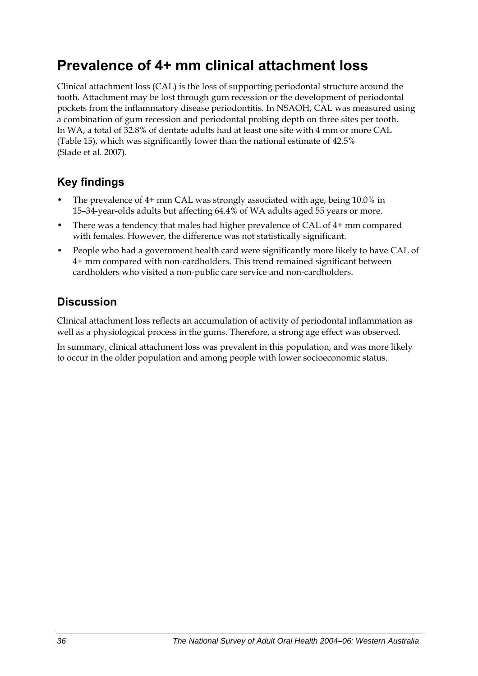## **Prevalence of 4+ mm clinical attachment loss**

Clinical attachment loss (CAL) is the loss of supporting periodontal structure around the tooth. Attachment may be lost through gum recession or the development of periodontal pockets from the inflammatory disease periodontitis. In NSAOH, CAL was measured using a combination of gum recession and periodontal probing depth on three sites per tooth. In WA, a total of 32.8% of dentate adults had at least one site with 4 mm or more CAL ([Table 15](#page-44-0)), which was significantly lower than the national estimate of 42.5% (Slade et al. 2007).

### **Key findings**

- The prevalence of 4+ mm CAL was strongly associated with age, being 10.0% in 15–34-year-olds adults but affecting 64.4% of WA adults aged 55 years or more.
- There was a tendency that males had higher prevalence of CAL of 4+ mm compared with females. However, the difference was not statistically significant.
- People who had a government health card were significantly more likely to have CAL of 4+ mm compared with non-cardholders. This trend remained significant between cardholders who visited a non-public care service and non-cardholders.

#### **Discussion**

Clinical attachment loss reflects an accumulation of activity of periodontal inflammation as well as a physiological process in the gums. Therefore, a strong age effect was observed.

In summary, clinical attachment loss was prevalent in this population, and was more likely to occur in the older population and among people with lower socioeconomic status.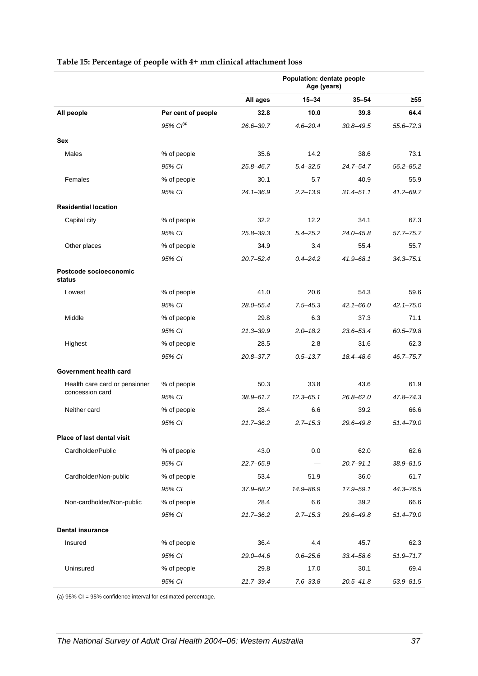<span id="page-44-0"></span>

|                                  |                       | Population: dentate people<br>Age (years) |               |               |               |
|----------------------------------|-----------------------|-------------------------------------------|---------------|---------------|---------------|
|                                  |                       | All ages                                  | 15-34         | $35 - 54$     | ≥55           |
| All people                       | Per cent of people    | 32.8                                      | 10.0          | 39.8          | 64.4          |
|                                  | 95% Cl <sup>(a)</sup> | $26.6 - 39.7$                             | $4.6 - 20.4$  | $30.8 - 49.5$ | $55.6 - 72.3$ |
| Sex                              |                       |                                           |               |               |               |
| Males                            | % of people           | 35.6                                      | 14.2          | 38.6          | 73.1          |
|                                  | 95% CI                | $25.8 - 46.7$                             | $5.4 - 32.5$  | $24.7 - 54.7$ | $56.2 - 85.2$ |
| Females                          | % of people           | 30.1                                      | 5.7           | 40.9          | 55.9          |
|                                  | 95% CI                | $24.1 - 36.9$                             | $2.2 - 13.9$  | $31.4 - 51.1$ | 41.2-69.7     |
| <b>Residential location</b>      |                       |                                           |               |               |               |
| Capital city                     | % of people           | 32.2                                      | 12.2          | 34.1          | 67.3          |
|                                  | 95% CI                | $25.8 - 39.3$                             | $5.4 - 25.2$  | $24.0 - 45.8$ | $57.7 - 75.7$ |
| Other places                     | % of people           | 34.9                                      | 3.4           | 55.4          | 55.7          |
|                                  | 95% CI                | $20.7 - 52.4$                             | $0.4 - 24.2$  | $41.9 - 68.1$ | $34.3 - 75.1$ |
| Postcode socioeconomic<br>status |                       |                                           |               |               |               |
| Lowest                           | % of people           | 41.0                                      | 20.6          | 54.3          | 59.6          |
|                                  | 95% CI                | $28.0 - 55.4$                             | $7.5 - 45.3$  | $42.1 - 66.0$ | $42.1 - 75.0$ |
| Middle                           | % of people           | 29.8                                      | 6.3           | 37.3          | 71.1          |
|                                  | 95% CI                | $21.3 - 39.9$                             | $2.0 - 18.2$  | 23.6-53.4     | 60.5-79.8     |
| Highest                          | % of people           | 28.5                                      | 2.8           | 31.6          | 62.3          |
|                                  | 95% CI                | $20.8 - 37.7$                             | $0.5 - 13.7$  | 18.4-48.6     | $46.7 - 75.7$ |
| Government health card           |                       |                                           |               |               |               |
| Health care card or pensioner    | % of people           | 50.3                                      | 33.8          | 43.6          | 61.9          |
| concession card                  | 95% CI                | $38.9 - 61.7$                             | $12.3 - 65.1$ | $26.8 - 62.0$ | 47.8-74.3     |
| Neither card                     | % of people           | 28.4                                      | 6.6           | 39.2          | 66.6          |
|                                  | 95% CI                | $21.7 - 36.2$                             | $2.7 - 15.3$  | 29.6-49.8     | 51.4-79.0     |
| Place of last dental visit       |                       |                                           |               |               |               |
| Cardholder/Public                | % of people           | 43.0                                      | 0.0           | 62.0          | 62.6          |
|                                  | 95% CI                | $22.7 - 65.9$                             |               | $20.7 - 91.1$ | $38.9 - 81.5$ |
| Cardholder/Non-public            | % of people           | 53.4                                      | 51.9          | 36.0          | 61.7          |
|                                  | 95% CI                | 37.9-68.2                                 | 14.9-86.9     | 17.9-59.1     | 44.3-76.5     |
| Non-cardholder/Non-public        | % of people           | 28.4                                      | 6.6           | 39.2          | 66.6          |
|                                  | 95% CI                | $21.7 - 36.2$                             | $2.7 - 15.3$  | 29.6-49.8     | 51.4-79.0     |
| <b>Dental insurance</b>          |                       |                                           |               |               |               |
| Insured                          | % of people           | 36.4                                      | 4.4           | 45.7          | 62.3          |
|                                  | 95% CI                | 29.0-44.6                                 | $0.6 - 25.6$  | $33.4 - 58.6$ | $51.9 - 71.7$ |
| Uninsured                        | % of people           | 29.8                                      | 17.0          | 30.1          | 69.4          |
|                                  | 95% CI                | $21.7 - 39.4$                             | $7.6 - 33.8$  | $20.5 - 41.8$ | $53.9 - 81.5$ |

#### **Table 15: Percentage of people with 4+ mm clinical attachment loss**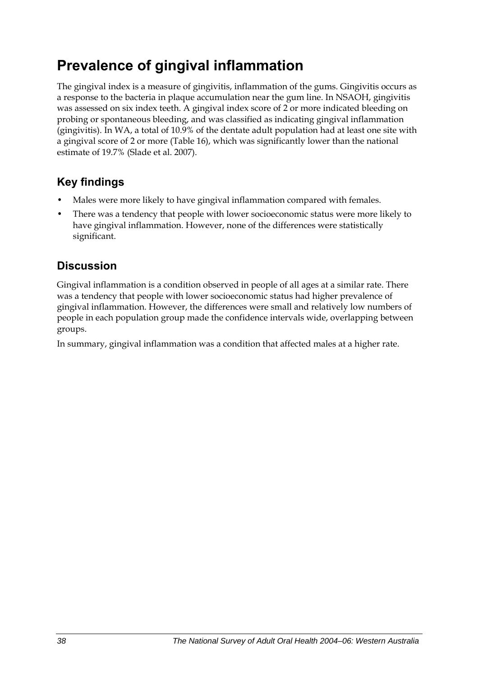## **Prevalence of gingival inflammation**

The gingival index is a measure of gingivitis, inflammation of the gums. Gingivitis occurs as a response to the bacteria in plaque accumulation near the gum line. In NSAOH, gingivitis was assessed on six index teeth. A gingival index score of 2 or more indicated bleeding on probing or spontaneous bleeding, and was classified as indicating gingival inflammation (gingivitis). In WA, a total of 10.9% of the dentate adult population had at least one site with a gingival score of 2 or more [\(Table 16\)](#page-46-0), which was significantly lower than the national estimate of 19.7% (Slade et al. 2007).

### **Key findings**

- Males were more likely to have gingival inflammation compared with females.
- There was a tendency that people with lower socioeconomic status were more likely to have gingival inflammation. However, none of the differences were statistically significant.

### **Discussion**

Gingival inflammation is a condition observed in people of all ages at a similar rate. There was a tendency that people with lower socioeconomic status had higher prevalence of gingival inflammation. However, the differences were small and relatively low numbers of people in each population group made the confidence intervals wide, overlapping between groups.

In summary, gingival inflammation was a condition that affected males at a higher rate.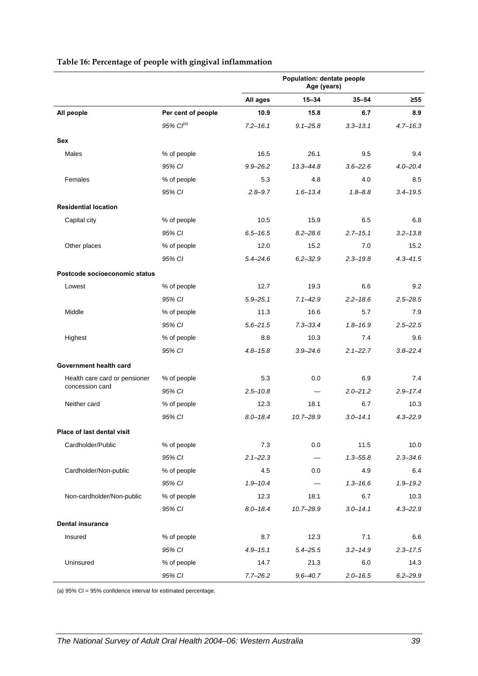#### **Age (years) All ages 15–34 35–54 ≥55 All people Per cent of people 10.9 15.8 6.7 8.9** *95% CI(a) 7.2–16.1 9.1–25.8 3.3–13.1 4.7–16.3* **Sex**  Males % of people 16.5 26.1 9.5 9.4 *95% CI 9.9–26.2 13.3–44.8 3.6–22.6 4.0–20.4* Females % of people 5.3 4.8 4.0 8.5 *95% CI 2.8–9.7 1.6–13.4 1.8–8.8 3.4–19.5* **Residential location**  Capital city % of people 10.5 15.9 6.5 6.8 *95% CI 6.5–16.5 8.2–28.6 2.7–15.1 3.2–13.8* Other places 6 to the complement of the complete the complex of people that the 12.0 15.2 15.2 15.2 *95% CI 5.4–24.6 6.2–32.9 2.3–19.8 4.3–41.5* **Postcode socioeconomic status**  Lowest % of people 12.7 19.3 6.6 9.2 *95% CI 5.9–25.1 7.1–42.9 2.2–18.6 2.5–28.5* Middle % of people 11.3 16.6 5.7 7.9 *95% CI 5.6–21.5 7.3–33.4 1.8–16.9 2.5–22.5* Highest % of people 8.8 10.3 7.4 9.6 *95% CI 4.8–15.8 3.9–24.6 2.1–22.7 3.8–22.4* **Government health card**  Health care card or pensioner % of people 5.3 0.0 6.9 5.3 concession card *95% CI 2.5–10.8 — 2.0–21.2 2.9–17.4* Neither card % of people 12.3 18.1 6.7 10.3 *95% CI 8.0–18.4 10.7–28.9 3.0–14.1 4.3–22.9* **Place of last dental visit**  Cardholder/Public % of people 7.3 0.0 11.5 10.0 *95% CI 2.1–22.3 — 1.3–55.8 2.3–34.6* Cardholder/Non-public % of people  $4.5$  0.0  $4.9$  6.4 *95% CI 1.9–10.4 — 1.3–16.6 1.9–19.2* Non-cardholder/Non-public % of people 12.3 18.1 6.7 10.3 *95% CI 8.0–18.4 10.7–28.9 3.0–14.1 4.3–22.9* **Dental insurance**  Insured % of people 8.7 12.3 7.1 6.6

*95% CI 4.9–15.1 5.4–25.5 3.2–14.9 2.3–17.5*

*95% CI 7.7–26.2 9.6–40.7 2.0–16.5 6.2–29.9*

Uninsured % of people 14.7 21.3 6.0 14.3

**Population: dentate people** 

#### <span id="page-46-0"></span>**Table 16: Percentage of people with gingival inflammation**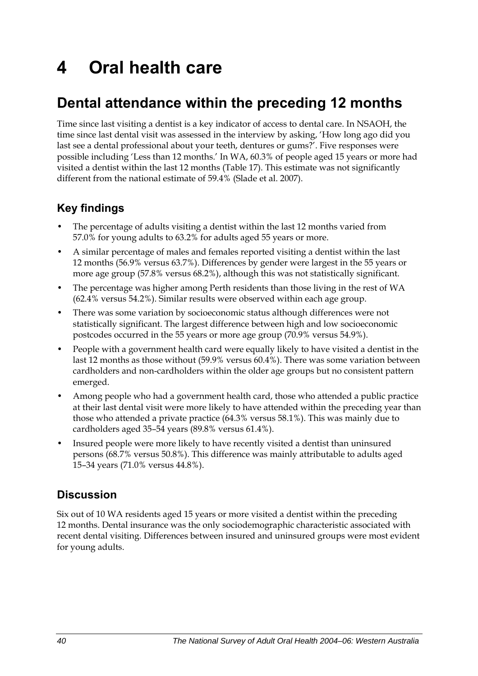# **4 Oral health care**

## **Dental attendance within the preceding 12 months**

Time since last visiting a dentist is a key indicator of access to dental care. In NSAOH, the time since last dental visit was assessed in the interview by asking, 'How long ago did you last see a dental professional about your teeth, dentures or gums?'. Five responses were possible including 'Less than 12 months.' In WA, 60.3% of people aged 15 years or more had visited a dentist within the last 12 months [\(Table 17\)](#page-48-0). This estimate was not significantly different from the national estimate of 59.4% (Slade et al. 2007).

### **Key findings**

- The percentage of adults visiting a dentist within the last 12 months varied from 57.0% for young adults to 63.2% for adults aged 55 years or more.
- A similar percentage of males and females reported visiting a dentist within the last 12 months (56.9% versus 63.7%). Differences by gender were largest in the 55 years or more age group (57.8% versus 68.2%), although this was not statistically significant.
- The percentage was higher among Perth residents than those living in the rest of WA (62.4% versus 54.2%). Similar results were observed within each age group.
- There was some variation by socioeconomic status although differences were not statistically significant. The largest difference between high and low socioeconomic postcodes occurred in the 55 years or more age group (70.9% versus 54.9%).
- People with a government health card were equally likely to have visited a dentist in the last 12 months as those without (59.9% versus 60.4%). There was some variation between cardholders and non-cardholders within the older age groups but no consistent pattern emerged.
- Among people who had a government health card, those who attended a public practice at their last dental visit were more likely to have attended within the preceding year than those who attended a private practice (64.3% versus 58.1%). This was mainly due to cardholders aged 35–54 years (89.8% versus 61.4%).
- Insured people were more likely to have recently visited a dentist than uninsured persons (68.7% versus 50.8%). This difference was mainly attributable to adults aged 15–34 years (71.0% versus 44.8%).

### **Discussion**

Six out of 10 WA residents aged 15 years or more visited a dentist within the preceding 12 months. Dental insurance was the only sociodemographic characteristic associated with recent dental visiting. Differences between insured and uninsured groups were most evident for young adults.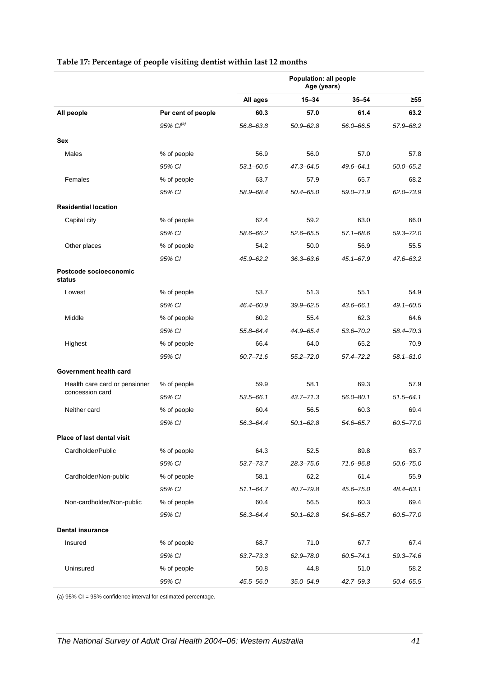|                                  |                    | Population: all people<br>Age (years) |               |               |               |
|----------------------------------|--------------------|---------------------------------------|---------------|---------------|---------------|
|                                  |                    | All ages                              | $15 - 34$     | $35 - 54$     | $\geq 55$     |
| All people                       | Per cent of people | 60.3                                  | 57.0          | 61.4          | 63.2          |
|                                  | $95\%$ $CI^{(a)}$  | 56.8-63.8                             | $50.9 - 62.8$ | 56.0-66.5     | 57.9-68.2     |
| Sex                              |                    |                                       |               |               |               |
| Males                            | % of people        | 56.9                                  | 56.0          | 57.0          | 57.8          |
|                                  | 95% CI             | $53.1 - 60.6$                         | $47.3 - 64.5$ | $49.6 - 64.1$ | $50.0 - 65.2$ |
| Females                          | % of people        | 63.7                                  | 57.9          | 65.7          | 68.2          |
|                                  | 95% CI             | 58.9-68.4                             | $50.4 - 65.0$ | $59.0 - 71.9$ | $62.0 - 73.9$ |
| <b>Residential location</b>      |                    |                                       |               |               |               |
| Capital city                     | % of people        | 62.4                                  | 59.2          | 63.0          | 66.0          |
|                                  | 95% CI             | 58.6-66.2                             | $52.6 - 65.5$ | $57.1 - 68.6$ | $59.3 - 72.0$ |
| Other places                     | % of people        | 54.2                                  | 50.0          | 56.9          | 55.5          |
|                                  | 95% CI             | $45.9 - 62.2$                         | $36.3 - 63.6$ | $45.1 - 67.9$ | $47.6 - 63.2$ |
| Postcode socioeconomic<br>status |                    |                                       |               |               |               |
| Lowest                           | % of people        | 53.7                                  | 51.3          | 55.1          | 54.9          |
|                                  | 95% CI             | 46.4-60.9                             | $39.9 - 62.5$ | $43.6 - 66.1$ | $49.1 - 60.5$ |
| Middle                           | % of people        | 60.2                                  | 55.4          | 62.3          | 64.6          |
|                                  | 95% CI             | 55.8-64.4                             | 44.9-65.4     | $53.6 - 70.2$ | 58.4-70.3     |
| Highest                          | % of people        | 66.4                                  | 64.0          | 65.2          | 70.9          |
|                                  | 95% CI             | $60.7 - 71.6$                         | $55.2 - 72.0$ | $57.4 - 72.2$ | $58.1 - 81.0$ |
| Government health card           |                    |                                       |               |               |               |
| Health care card or pensioner    | % of people        | 59.9                                  | 58.1          | 69.3          | 57.9          |
| concession card                  | 95% CI             | $53.5 - 66.1$                         | $43.7 - 71.3$ | $56.0 - 80.1$ | $51.5 - 64.1$ |
| Neither card                     | % of people        | 60.4                                  | 56.5          | 60.3          | 69.4          |
|                                  | 95% CI             | 56.3-64.4                             | $50.1 - 62.8$ | 54.6-65.7     | 60.5-77.0     |
| Place of last dental visit       |                    |                                       |               |               |               |
| Cardholder/Public                | % of people        | 64.3                                  | 52.5          | 89.8          | 63.7          |
|                                  | 95% CI             | $53.7 - 73.7$                         | $28.3 - 75.6$ | 71.6-96.8     | $50.6 - 75.0$ |
| Cardholder/Non-public            | % of people        | 58.1                                  | 62.2          | 61.4          | 55.9          |
|                                  | 95% CI             | $51.1 - 64.7$                         | $40.7 - 79.8$ | $45.6 - 75.0$ | 48.4-63.1     |
| Non-cardholder/Non-public        | % of people        | 60.4                                  | 56.5          | 60.3          | 69.4          |
|                                  | 95% CI             | 56.3-64.4                             | $50.1 - 62.8$ | 54.6-65.7     | 60.5-77.0     |
| <b>Dental insurance</b>          |                    |                                       |               |               |               |
| Insured                          | % of people        | 68.7                                  | 71.0          | 67.7          | 67.4          |
|                                  | 95% CI             | $63.7 - 73.3$                         | 62.9-78.0     | $60.5 - 74.1$ | 59.3-74.6     |
| Uninsured                        | % of people        | 50.8                                  | 44.8          | 51.0          | 58.2          |
|                                  | 95% CI             | $45.5 - 56.0$                         | $35.0 - 54.9$ | $42.7 - 59.3$ | $50.4 - 65.5$ |

#### <span id="page-48-0"></span>**Table 17: Percentage of people visiting dentist within last 12 months**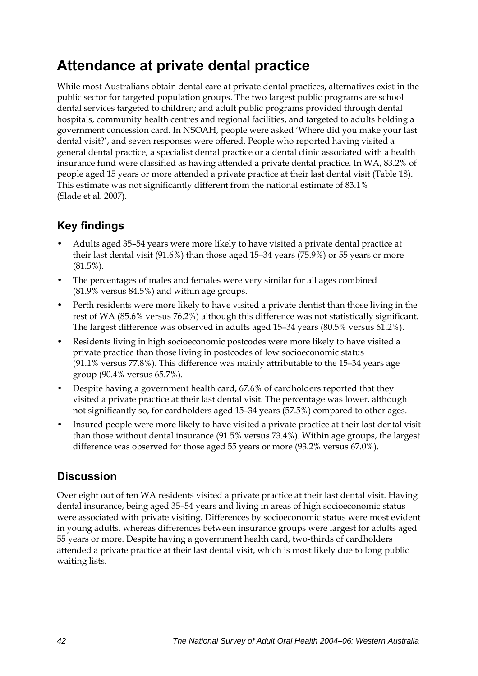## **Attendance at private dental practice**

While most Australians obtain dental care at private dental practices, alternatives exist in the public sector for targeted population groups. The two largest public programs are school dental services targeted to children; and adult public programs provided through dental hospitals, community health centres and regional facilities, and targeted to adults holding a government concession card. In NSOAH, people were asked 'Where did you make your last dental visit?', and seven responses were offered. People who reported having visited a general dental practice, a specialist dental practice or a dental clinic associated with a health insurance fund were classified as having attended a private dental practice. In WA, 83.2% of people aged 15 years or more attended a private practice at their last dental visit (Table 18). This estimate was not significantly different from the national estimate of 83.1% (Slade et al. 2007).

### **Key findings**

- Adults aged 35–54 years were more likely to have visited a private dental practice at their last dental visit (91.6%) than those aged 15–34 years (75.9%) or 55 years or more  $(81.5\%)$ .
- The percentages of males and females were very similar for all ages combined (81.9% versus 84.5%) and within age groups.
- Perth residents were more likely to have visited a private dentist than those living in the rest of WA (85.6% versus 76.2%) although this difference was not statistically significant. The largest difference was observed in adults aged 15–34 years (80.5% versus 61.2%).
- Residents living in high socioeconomic postcodes were more likely to have visited a private practice than those living in postcodes of low socioeconomic status (91.1% versus 77.8%). This difference was mainly attributable to the 15–34 years age group (90.4% versus 65.7%).
- Despite having a government health card, 67.6% of cardholders reported that they visited a private practice at their last dental visit. The percentage was lower, although not significantly so, for cardholders aged 15–34 years (57.5%) compared to other ages.
- Insured people were more likely to have visited a private practice at their last dental visit than those without dental insurance (91.5% versus 73.4%). Within age groups, the largest difference was observed for those aged 55 years or more (93.2% versus 67.0%).

### **Discussion**

Over eight out of ten WA residents visited a private practice at their last dental visit. Having dental insurance, being aged 35–54 years and living in areas of high socioeconomic status were associated with private visiting. Differences by socioeconomic status were most evident in young adults, whereas differences between insurance groups were largest for adults aged 55 years or more. Despite having a government health card, two-thirds of cardholders attended a private practice at their last dental visit, which is most likely due to long public waiting lists.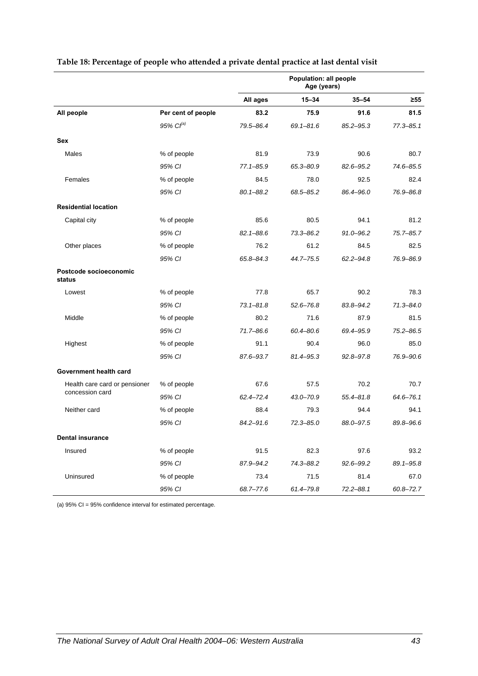|                                  |                    | Population: all people<br>Age (years) |               |               |               |
|----------------------------------|--------------------|---------------------------------------|---------------|---------------|---------------|
|                                  |                    | All ages                              | $15 - 34$     | $35 - 54$     | $\geq 55$     |
| All people                       | Per cent of people | 83.2                                  | 75.9          | 91.6          | 81.5          |
|                                  | 95% $Cl^{(a)}$     | 79.5-86.4                             | $69.1 - 81.6$ | $85.2 - 95.3$ | $77.3 - 85.1$ |
| <b>Sex</b>                       |                    |                                       |               |               |               |
| Males                            | % of people        | 81.9                                  | 73.9          | 90.6          | 80.7          |
|                                  | 95% CI             | $77.1 - 85.9$                         | 65.3-80.9     | 82.6-95.2     | 74.6-85.5     |
| Females                          | % of people        | 84.5                                  | 78.0          | 92.5          | 82.4          |
|                                  | 95% CI             | $80.1 - 88.2$                         | 68.5-85.2     | 86.4-96.0     | 76.9-86.8     |
| <b>Residential location</b>      |                    |                                       |               |               |               |
| Capital city                     | % of people        | 85.6                                  | 80.5          | 94.1          | 81.2          |
|                                  | 95% CI             | $82.1 - 88.6$                         | $73.3 - 86.2$ | $91.0 - 96.2$ | 75.7-85.7     |
| Other places                     | % of people        | 76.2                                  | 61.2          | 84.5          | 82.5          |
|                                  | 95% CI             | 65.8-84.3                             | 44.7-75.5     | $62.2 - 94.8$ | 76.9-86.9     |
| Postcode socioeconomic<br>status |                    |                                       |               |               |               |
| Lowest                           | % of people        | 77.8                                  | 65.7          | 90.2          | 78.3          |
|                                  | 95% CI             | $73.1 - 81.8$                         | $52.6 - 76.8$ | 83.8-94.2     | $71.3 - 84.0$ |
| Middle                           | % of people        | 80.2                                  | 71.6          | 87.9          | 81.5          |
|                                  | 95% CI             | $71.7 - 86.6$                         | 60.4-80.6     | 69.4-95.9     | $75.2 - 86.5$ |
| Highest                          | % of people        | 91.1                                  | 90.4          | 96.0          | 85.0          |
|                                  | 95% CI             | 87.6-93.7                             | 81.4-95.3     | $92.8 - 97.8$ | 76.9-90.6     |
| Government health card           |                    |                                       |               |               |               |
| Health care card or pensioner    | % of people        | 67.6                                  | 57.5          | 70.2          | 70.7          |
| concession card                  | 95% CI             | 62.4-72.4                             | 43.0-70.9     | $55.4 - 81.8$ | $64.6 - 76.1$ |
| Neither card                     | % of people        | 88.4                                  | 79.3          | 94.4          | 94.1          |
|                                  | 95% CI             | $84.2 - 91.6$                         | $72.3 - 85.0$ | 88.0-97.5     | 89.8-96.6     |
| <b>Dental insurance</b>          |                    |                                       |               |               |               |
| Insured                          | % of people        | 91.5                                  | 82.3          | 97.6          | 93.2          |
|                                  | 95% CI             | 87.9-94.2                             | 74.3-88.2     | 92.6-99.2     | 89.1-95.8     |
| Uninsured                        | % of people        | 73.4                                  | 71.5          | 81.4          | 67.0          |
|                                  | 95% CI             | 68.7-77.6                             | 61.4-79.8     | $72.2 - 88.1$ | $60.8 - 72.7$ |

#### **Table 18: Percentage of people who attended a private dental practice at last dental visit**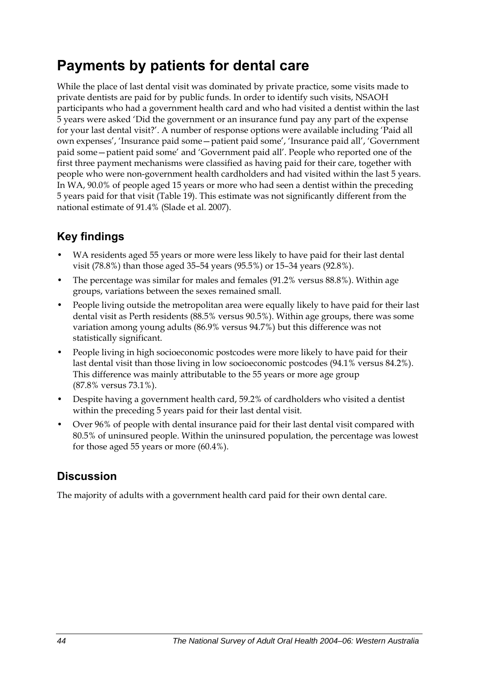## **Payments by patients for dental care**

While the place of last dental visit was dominated by private practice, some visits made to private dentists are paid for by public funds. In order to identify such visits, NSAOH participants who had a government health card and who had visited a dentist within the last 5 years were asked 'Did the government or an insurance fund pay any part of the expense for your last dental visit?'. A number of response options were available including 'Paid all own expenses', 'Insurance paid some—patient paid some', 'Insurance paid all', 'Government paid some—patient paid some' and 'Government paid all'. People who reported one of the first three payment mechanisms were classified as having paid for their care, together with people who were non-government health cardholders and had visited within the last 5 years. In WA, 90.0% of people aged 15 years or more who had seen a dentist within the preceding 5 years paid for that visit [\(Table 19\)](#page-52-0). This estimate was not significantly different from the national estimate of 91.4% (Slade et al. 2007).

### **Key findings**

- WA residents aged 55 years or more were less likely to have paid for their last dental visit (78.8%) than those aged 35–54 years (95.5%) or 15–34 years (92.8%).
- The percentage was similar for males and females (91.2% versus 88.8%). Within age groups, variations between the sexes remained small.
- People living outside the metropolitan area were equally likely to have paid for their last dental visit as Perth residents (88.5% versus 90.5%). Within age groups, there was some variation among young adults (86.9% versus 94.7%) but this difference was not statistically significant.
- People living in high socioeconomic postcodes were more likely to have paid for their last dental visit than those living in low socioeconomic postcodes (94.1% versus 84.2%). This difference was mainly attributable to the 55 years or more age group (87.8% versus 73.1%).
- Despite having a government health card, 59.2% of cardholders who visited a dentist within the preceding 5 years paid for their last dental visit.
- Over 96% of people with dental insurance paid for their last dental visit compared with 80.5% of uninsured people. Within the uninsured population, the percentage was lowest for those aged 55 years or more (60.4%).

#### **Discussion**

The majority of adults with a government health card paid for their own dental care.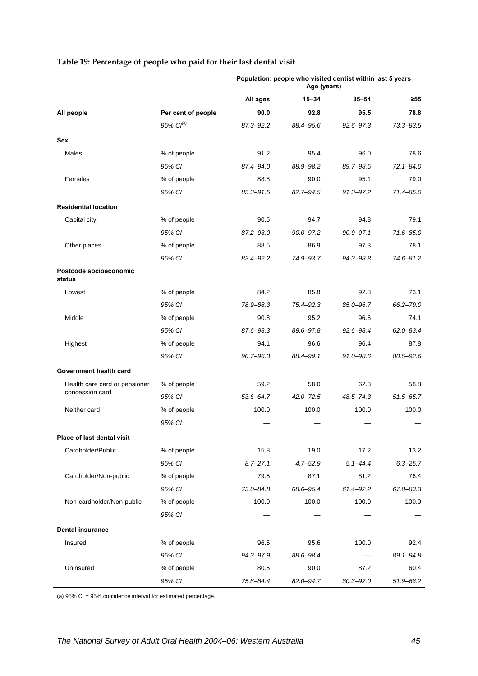|                                  |                    | Population: people who visited dentist within last 5 years<br>Age (years) |               |               |               |
|----------------------------------|--------------------|---------------------------------------------------------------------------|---------------|---------------|---------------|
|                                  |                    | All ages                                                                  | $15 - 34$     | $35 - 54$     | ≥55           |
| All people                       | Per cent of people | 90.0                                                                      | 92.8          | 95.5          | 78.8          |
|                                  | $95\%$ $Cl^{(a)}$  | 87.3-92.2                                                                 | 88.4-95.6     | $92.6 - 97.3$ | $73.3 - 83.5$ |
| <b>Sex</b>                       |                    |                                                                           |               |               |               |
| Males                            | % of people        | 91.2                                                                      | 95.4          | 96.0          | 78.6          |
|                                  | 95% CI             | 87.4-94.0                                                                 | 88.9-98.2     | 89.7-98.5     | $72.1 - 84.0$ |
| Females                          | % of people        | 88.8                                                                      | 90.0          | 95.1          | 79.0          |
|                                  | 95% CI             | $85.3 - 91.5$                                                             | 82.7-94.5     | $91.3 - 97.2$ | $71.4 - 85.0$ |
| <b>Residential location</b>      |                    |                                                                           |               |               |               |
| Capital city                     | % of people        | 90.5                                                                      | 94.7          | 94.8          | 79.1          |
|                                  | 95% CI             | $87.2 - 93.0$                                                             | $90.0 - 97.2$ | 90.9-97.1     | $71.6 - 85.0$ |
| Other places                     | % of people        | 88.5                                                                      | 86.9          | 97.3          | 78.1          |
|                                  | 95% CI             | 83.4-92.2                                                                 | 74.9-93.7     | 94.3-98.8     | 74.6-81.2     |
| Postcode socioeconomic<br>status |                    |                                                                           |               |               |               |
| Lowest                           | % of people        | 84.2                                                                      | 85.8          | 92.8          | 73.1          |
|                                  | 95% CI             | 78.9-88.3                                                                 | 75.4-92.3     | $85.0 - 96.7$ | 66.2-79.0     |
| Middle                           | % of people        | 90.8                                                                      | 95.2          | 96.6          | 74.1          |
|                                  | 95% CI             | 87.6-93.3                                                                 | 89.6-97.8     | 92.6-98.4     | $62.0 - 83.4$ |
| Highest                          | % of people        | 94.1                                                                      | 96.6          | 96.4          | 87.8          |
|                                  | 95% CI             | $90.7 - 96.3$                                                             | 88.4-99.1     | 91.0-98.6     | $80.5 - 92.6$ |
| Government health card           |                    |                                                                           |               |               |               |
| Health care card or pensioner    | % of people        | 59.2                                                                      | 58.0          | 62.3          | 58.8          |
| concession card                  | 95% CI             | $53.6 - 64.7$                                                             | $42.0 - 72.5$ | 48.5-74.3     | $51.5 - 65.7$ |
| Neither card                     | % of people        | 100.0                                                                     | 100.0         | 100.0         | 100.0         |
|                                  | 95% CI             |                                                                           |               |               |               |
| Place of last dental visit       |                    |                                                                           |               |               |               |
| Cardholder/Public                | % of people        | 15.8                                                                      | 19.0          | 17.2          | 13.2          |
|                                  | 95% CI             | $8.7 - 27.1$                                                              | $4.7 - 52.9$  | $5.1 - 44.4$  | $6.3 - 25.7$  |
| Cardholder/Non-public            | % of people        | 79.5                                                                      | 87.1          | 81.2          | 76.4          |
|                                  | 95% CI             | $73.0 - 84.8$                                                             | 68.6-95.4     | 61.4-92.2     | 67.8-83.3     |
| Non-cardholder/Non-public        | % of people        | 100.0                                                                     | 100.0         | 100.0         | 100.0         |
|                                  | 95% CI             |                                                                           |               |               |               |
| <b>Dental insurance</b>          |                    |                                                                           |               |               |               |
| Insured                          | % of people        | 96.5                                                                      | 95.6          | 100.0         | 92.4          |
|                                  | 95% CI             | 94.3-97.9                                                                 | 88.6-98.4     |               | 89.1-94.8     |
| Uninsured                        | % of people        | 80.5                                                                      | 90.0          | 87.2          | 60.4          |
|                                  | 95% CI             | 75.8-84.4                                                                 | 82.0-94.7     | 80.3-92.0     | 51.9-68.2     |

#### <span id="page-52-0"></span>**Table 19: Percentage of people who paid for their last dental visit**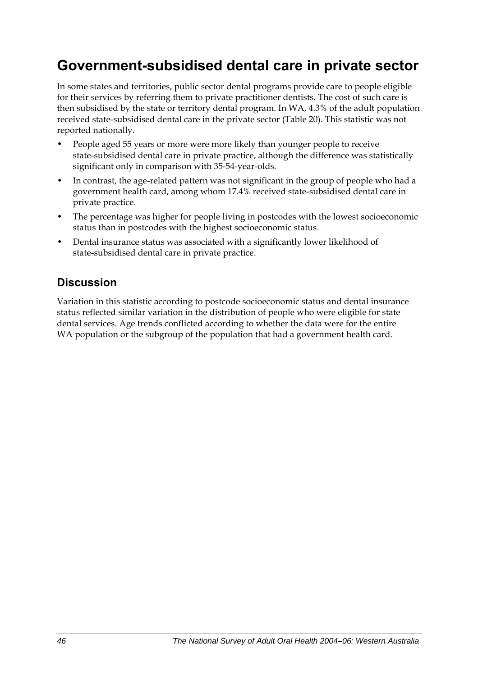## **Government-subsidised dental care in private sector**

In some states and territories, public sector dental programs provide care to people eligible for their services by referring them to private practitioner dentists. The cost of such care is then subsidised by the state or territory dental program. In WA, 4.3% of the adult population received state-subsidised dental care in the private sector ([Table 20](#page-54-0)). This statistic was not reported nationally.

- People aged 55 years or more were more likely than younger people to receive state-subsidised dental care in private practice, although the difference was statistically significant only in comparison with 35-54-year-olds.
- In contrast, the age-related pattern was not significant in the group of people who had a government health card, among whom 17.4% received state-subsidised dental care in private practice.
- The percentage was higher for people living in postcodes with the lowest socioeconomic status than in postcodes with the highest socioeconomic status.
- Dental insurance status was associated with a significantly lower likelihood of state-subsidised dental care in private practice.

### **Discussion**

Variation in this statistic according to postcode socioeconomic status and dental insurance status reflected similar variation in the distribution of people who were eligible for state dental services. Age trends conflicted according to whether the data were for the entire WA population or the subgroup of the population that had a government health card.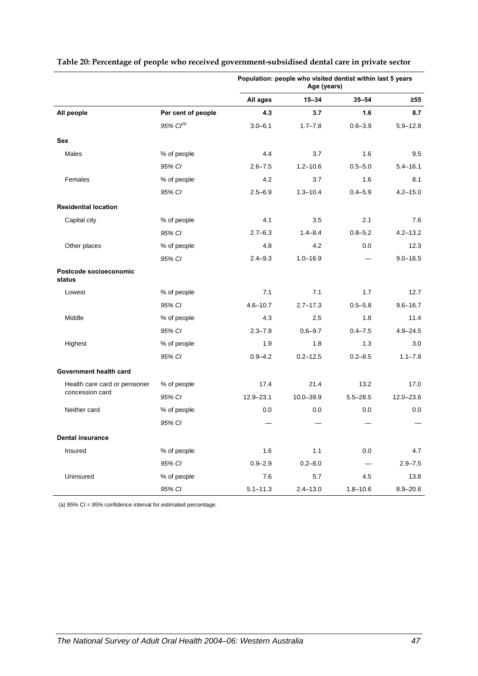|                                  |                       | Population: people who visited dentist within last 5 years<br>Age (years) |              |              |               |
|----------------------------------|-----------------------|---------------------------------------------------------------------------|--------------|--------------|---------------|
|                                  |                       | All ages                                                                  | $15 - 34$    | $35 - 54$    | ≥55           |
| All people                       | Per cent of people    | 4.3                                                                       | 3.7          | 1.6          | 8.7           |
|                                  | 95% Cl <sup>(a)</sup> | $3.0 - 6.1$                                                               | $1.7 - 7.8$  | $0.6 - 3.9$  | $5.9 - 12.8$  |
| Sex                              |                       |                                                                           |              |              |               |
| Males                            | % of people           | 4.4                                                                       | 3.7          | 1.6          | 9.5           |
|                                  | 95% CI                | $2.6 - 7.5$                                                               | $1.2 - 10.6$ | $0.5 - 5.0$  | $5.4 - 16.1$  |
| Females                          | % of people           | 4.2                                                                       | 3.7          | 1.6          | 8.1           |
|                                  | 95% CI                | $2.5 - 6.9$                                                               | $1.3 - 10.4$ | $0.4 - 5.9$  | $4.2 - 15.0$  |
| <b>Residential location</b>      |                       |                                                                           |              |              |               |
| Capital city                     | % of people           | 4.1                                                                       | 3.5          | 2.1          | 7.6           |
|                                  | 95% CI                | $2.7 - 6.3$                                                               | $1.4 - 8.4$  | $0.8 - 5.2$  | $4.2 - 13.2$  |
| Other places                     | % of people           | 4.8                                                                       | 4.2          | 0.0          | 12.3          |
|                                  | 95% CI                | $2.4 - 9.3$                                                               | $1.0 - 16.9$ |              | $9.0 - 16.5$  |
| Postcode socioeconomic<br>status |                       |                                                                           |              |              |               |
| Lowest                           | % of people           | 7.1                                                                       | 7.1          | 1.7          | 12.7          |
|                                  | 95% CI                | $4.6 - 10.7$                                                              | $2.7 - 17.3$ | $0.5 - 5.8$  | $9.6 - 16.7$  |
| Middle                           | % of people           | 4.3                                                                       | 2.5          | 1.8          | 11.4          |
|                                  | 95% CI                | $2.3 - 7.9$                                                               | $0.6 - 9.7$  | $0.4 - 7.5$  | $4.9 - 24.5$  |
| Highest                          | % of people           | 1.9                                                                       | 1.8          | 1.3          | 3.0           |
|                                  | 95% CI                | $0.9 - 4.2$                                                               | $0.2 - 12.5$ | $0.2 - 8.5$  | $1.1 - 7.8$   |
| Government health card           |                       |                                                                           |              |              |               |
| Health care card or pensioner    | % of people           | 17.4                                                                      | 21.4         | 13.2         | 17.0          |
| concession card                  | 95% CI                | $12.9 - 23.1$                                                             | 10.0-39.9    | $5.5 - 28.5$ | $12.0 - 23.6$ |
| Neither card                     | % of people           | 0.0                                                                       | 0.0          | 0.0          | 0.0           |
|                                  | 95% CI                |                                                                           |              |              |               |
| <b>Dental insurance</b>          |                       |                                                                           |              |              |               |
| Insured                          | % of people           | 1.6                                                                       | 1.1          | $0.0\,$      | 4.7           |
|                                  | 95% CI                | $0.9 - 2.9$                                                               | $0.2 - 8.0$  |              | $2.9 - 7.5$   |
| Uninsured                        | % of people           | 7.6                                                                       | 5.7          | 4.5          | 13.8          |
|                                  | 95% CI                | $5.1 - 11.3$                                                              | $2.4 - 13.0$ | $1.8 - 10.6$ | $8.9 - 20.6$  |

#### <span id="page-54-0"></span>**Table 20: Percentage of people who received government-subsidised dental care in private sector**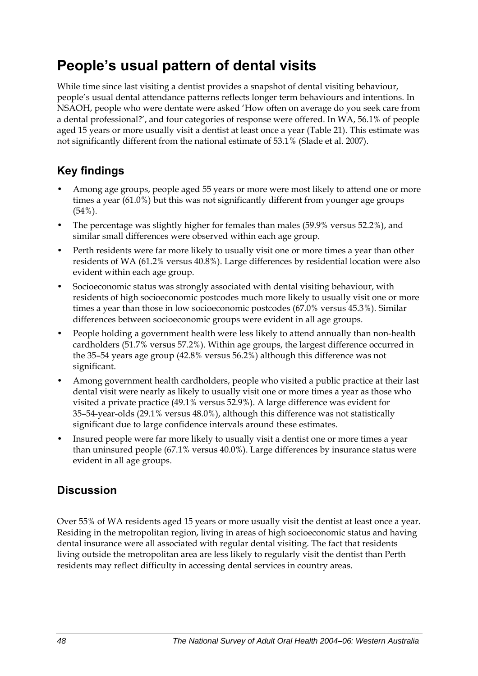## **People's usual pattern of dental visits**

While time since last visiting a dentist provides a snapshot of dental visiting behaviour, people's usual dental attendance patterns reflects longer term behaviours and intentions. In NSAOH, people who were dentate were asked 'How often on average do you seek care from a dental professional?', and four categories of response were offered. In WA, 56.1% of people aged 15 years or more usually visit a dentist at least once a year ([Table 21](#page-56-0)). This estimate was not significantly different from the national estimate of 53.1% (Slade et al. 2007).

### **Key findings**

- Among age groups, people aged 55 years or more were most likely to attend one or more times a year (61.0%) but this was not significantly different from younger age groups (54%).
- The percentage was slightly higher for females than males (59.9% versus 52.2%), and similar small differences were observed within each age group.
- Perth residents were far more likely to usually visit one or more times a year than other residents of WA (61.2% versus 40.8%). Large differences by residential location were also evident within each age group.
- Socioeconomic status was strongly associated with dental visiting behaviour, with residents of high socioeconomic postcodes much more likely to usually visit one or more times a year than those in low socioeconomic postcodes (67.0% versus 45.3%). Similar differences between socioeconomic groups were evident in all age groups.
- People holding a government health were less likely to attend annually than non-health cardholders (51.7% versus 57.2%). Within age groups, the largest difference occurred in the 35–54 years age group (42.8% versus 56.2%) although this difference was not significant.
- Among government health cardholders, people who visited a public practice at their last dental visit were nearly as likely to usually visit one or more times a year as those who visited a private practice (49.1% versus 52.9%). A large difference was evident for 35–54-year-olds (29.1% versus 48.0%), although this difference was not statistically significant due to large confidence intervals around these estimates.
- Insured people were far more likely to usually visit a dentist one or more times a year than uninsured people (67.1% versus 40.0%). Large differences by insurance status were evident in all age groups.

#### **Discussion**

Over 55% of WA residents aged 15 years or more usually visit the dentist at least once a year. Residing in the metropolitan region, living in areas of high socioeconomic status and having dental insurance were all associated with regular dental visiting. The fact that residents living outside the metropolitan area are less likely to regularly visit the dentist than Perth residents may reflect difficulty in accessing dental services in country areas.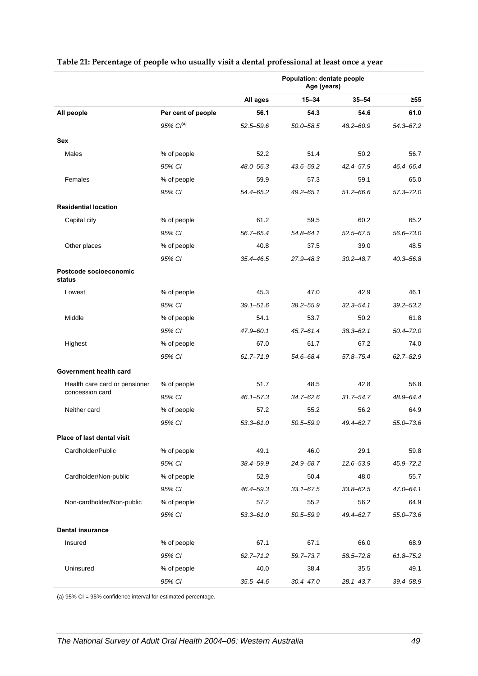|                                  |                    | Population: dentate people<br>Age (years) |               |               |               |
|----------------------------------|--------------------|-------------------------------------------|---------------|---------------|---------------|
|                                  |                    | All ages                                  | $15 - 34$     | $35 - 54$     | $\geq 55$     |
| All people                       | Per cent of people | 56.1                                      | 54.3          | 54.6          | 61.0          |
|                                  | 95% $Cl^{(a)}$     | $52.5 - 59.6$                             | $50.0 - 58.5$ | $48.2 - 60.9$ | 54.3-67.2     |
| Sex                              |                    |                                           |               |               |               |
| Males                            | % of people        | 52.2                                      | 51.4          | 50.2          | 56.7          |
|                                  | 95% CI             | $48.0 - 56.3$                             | 43.6-59.2     | 42.4-57.9     | 46.4-66.4     |
| Females                          | % of people        | 59.9                                      | 57.3          | 59.1          | 65.0          |
|                                  | 95% CI             | 54.4-65.2                                 | $49.2 - 65.1$ | $51.2 - 66.6$ | $57.3 - 72.0$ |
| <b>Residential location</b>      |                    |                                           |               |               |               |
| Capital city                     | % of people        | 61.2                                      | 59.5          | 60.2          | 65.2          |
|                                  | 95% CI             | 56.7-65.4                                 | $54.8 - 64.1$ | $52.5 - 67.5$ | 56.6-73.0     |
| Other places                     | % of people        | 40.8                                      | 37.5          | 39.0          | 48.5          |
|                                  | 95% CI             | 35.4-46.5                                 | 27.9-48.3     | $30.2 - 48.7$ | $40.3 - 56.8$ |
| Postcode socioeconomic<br>status |                    |                                           |               |               |               |
| Lowest                           | % of people        | 45.3                                      | 47.0          | 42.9          | 46.1          |
|                                  | 95% CI             | $39.1 - 51.6$                             | $38.2 - 55.9$ | $32.3 - 54.1$ | $39.2 - 53.2$ |
| Middle                           | % of people        | 54.1                                      | 53.7          | 50.2          | 61.8          |
|                                  | 95% CI             | $47.9 - 60.1$                             | $45.7 - 61.4$ | $38.3 - 62.1$ | $50.4 - 72.0$ |
| Highest                          | % of people        | 67.0                                      | 61.7          | 67.2          | 74.0          |
|                                  | 95% CI             | $61.7 - 71.9$                             | 54.6-68.4     | 57.8-75.4     | $62.7 - 82.9$ |
| Government health card           |                    |                                           |               |               |               |
| Health care card or pensioner    | % of people        | 51.7                                      | 48.5          | 42.8          | 56.8          |
| concession card                  | 95% CI             | $46.1 - 57.3$                             | $34.7 - 62.6$ | $31.7 - 54.7$ | 48.9-64.4     |
| Neither card                     | % of people        | 57.2                                      | 55.2          | 56.2          | 64.9          |
|                                  | 95% CI             | $53.3 - 61.0$                             | 50.5-59.9     | 49.4-62.7     | $55.0 - 73.6$ |
| Place of last dental visit       |                    |                                           |               |               |               |
| Cardholder/Public                | % of people        | 49.1                                      | 46.0          | 29.1          | 59.8          |
|                                  | 95% CI             | 38.4-59.9                                 | 24.9-68.7     | $12.6 - 53.9$ | $45.9 - 72.2$ |
| Cardholder/Non-public            | % of people        | 52.9                                      | 50.4          | 48.0          | 55.7          |
|                                  | 95% CI             | 46.4–59.3                                 | $33.1 - 67.5$ | $33.8 - 62.5$ | $47.0 - 64.1$ |
| Non-cardholder/Non-public        | % of people        | 57.2                                      | 55.2          | 56.2          | 64.9          |
|                                  | 95% CI             | $53.3 - 61.0$                             | $50.5 - 59.9$ | 49.4-62.7     | $55.0 - 73.6$ |
| <b>Dental insurance</b>          |                    |                                           |               |               |               |
| Insured                          | % of people        | 67.1                                      | 67.1          | 66.0          | 68.9          |
|                                  | 95% CI             | $62.7 - 71.2$                             | 59.7-73.7     | $58.5 - 72.8$ | $61.8 - 75.2$ |
| Uninsured                        | % of people        | 40.0                                      | 38.4          | 35.5          | 49.1          |
|                                  | 95% CI             | $35.5 - 44.6$                             | $30.4 - 47.0$ | $28.1 - 43.7$ | 39.4-58.9     |

#### <span id="page-56-0"></span>**Table 21: Percentage of people who usually visit a dental professional at least once a year**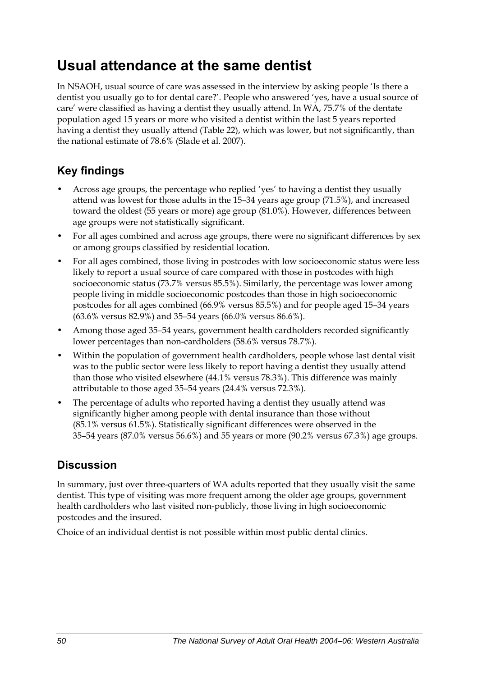## **Usual attendance at the same dentist**

In NSAOH, usual source of care was assessed in the interview by asking people 'Is there a dentist you usually go to for dental care?'. People who answered 'yes, have a usual source of care' were classified as having a dentist they usually attend. In WA, 75.7% of the dentate population aged 15 years or more who visited a dentist within the last 5 years reported having a dentist they usually attend [\(Table 22\)](#page-58-0), which was lower, but not significantly, than the national estimate of 78.6% (Slade et al. 2007).

### **Key findings**

- Across age groups, the percentage who replied 'yes' to having a dentist they usually attend was lowest for those adults in the 15–34 years age group (71.5%), and increased toward the oldest (55 years or more) age group (81.0%). However, differences between age groups were not statistically significant.
- For all ages combined and across age groups, there were no significant differences by sex or among groups classified by residential location.
- For all ages combined, those living in postcodes with low socioeconomic status were less likely to report a usual source of care compared with those in postcodes with high socioeconomic status (73.7% versus 85.5%). Similarly, the percentage was lower among people living in middle socioeconomic postcodes than those in high socioeconomic postcodes for all ages combined (66.9% versus 85.5%) and for people aged 15–34 years (63.6% versus 82.9%) and 35–54 years (66.0% versus 86.6%).
- Among those aged 35–54 years, government health cardholders recorded significantly lower percentages than non-cardholders (58.6% versus 78.7%).
- Within the population of government health cardholders, people whose last dental visit was to the public sector were less likely to report having a dentist they usually attend than those who visited elsewhere (44.1% versus 78.3%). This difference was mainly attributable to those aged 35–54 years (24.4% versus 72.3%).
- The percentage of adults who reported having a dentist they usually attend was significantly higher among people with dental insurance than those without (85.1% versus 61.5%). Statistically significant differences were observed in the 35–54 years (87.0% versus 56.6%) and 55 years or more (90.2% versus 67.3%) age groups.

### **Discussion**

In summary, just over three-quarters of WA adults reported that they usually visit the same dentist. This type of visiting was more frequent among the older age groups, government health cardholders who last visited non-publicly, those living in high socioeconomic postcodes and the insured.

Choice of an individual dentist is not possible within most public dental clinics.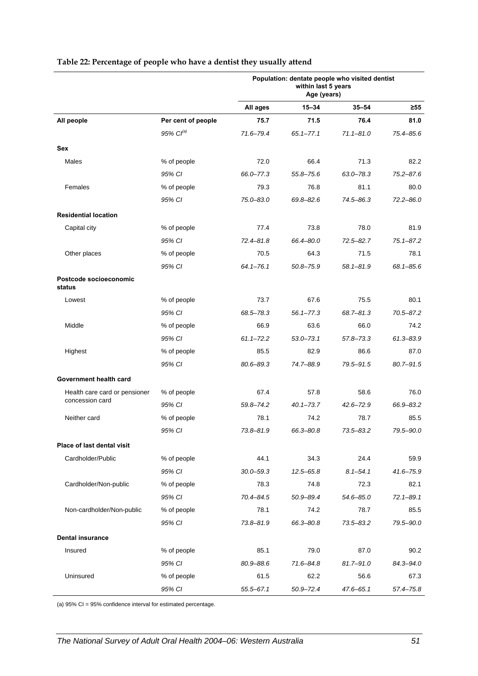|                                  |                    | Population: dentate people who visited dentist<br>within last 5 years<br>Age (years) |               |               |               |
|----------------------------------|--------------------|--------------------------------------------------------------------------------------|---------------|---------------|---------------|
|                                  |                    | All ages                                                                             | $15 - 34$     | $35 - 54$     | ≥55           |
| All people                       | Per cent of people | 75.7                                                                                 | 71.5          | 76.4          | 81.0          |
|                                  | $95\%$ $CI^{(a)}$  | 71.6-79.4                                                                            | $65.1 - 77.1$ | $71.1 - 81.0$ | 75.4-85.6     |
| Sex                              |                    |                                                                                      |               |               |               |
| Males                            | % of people        | 72.0                                                                                 | 66.4          | 71.3          | 82.2          |
|                                  | 95% CI             | 66.0-77.3                                                                            | 55.8-75.6     | $63.0 - 78.3$ | $75.2 - 87.6$ |
| Females                          | % of people        | 79.3                                                                                 | 76.8          | 81.1          | 80.0          |
|                                  | 95% CI             | 75.0-83.0                                                                            | 69.8-82.6     | 74.5-86.3     | $72.2 - 86.0$ |
| <b>Residential location</b>      |                    |                                                                                      |               |               |               |
| Capital city                     | % of people        | 77.4                                                                                 | 73.8          | 78.0          | 81.9          |
|                                  | 95% CI             | $72.4 - 81.8$                                                                        | 66.4-80.0     | $72.5 - 82.7$ | $75.1 - 87.2$ |
| Other places                     | % of people        | 70.5                                                                                 | 64.3          | 71.5          | 78.1          |
|                                  | 95% CI             | $64.1 - 76.1$                                                                        | 50.8-75.9     | $58.1 - 81.9$ | $68.1 - 85.6$ |
| Postcode socioeconomic<br>status |                    |                                                                                      |               |               |               |
| Lowest                           | % of people        | 73.7                                                                                 | 67.6          | 75.5          | 80.1          |
|                                  | 95% CI             | 68.5-78.3                                                                            | $56.1 - 77.3$ | $68.7 - 81.3$ | 70.5-87.2     |
| Middle                           | % of people        | 66.9                                                                                 | 63.6          | 66.0          | 74.2          |
|                                  | 95% CI             | $61.1 - 72.2$                                                                        | $53.0 - 73.1$ | $57.8 - 73.3$ | $61.3 - 83.9$ |
| Highest                          | % of people        | 85.5                                                                                 | 82.9          | 86.6          | 87.0          |
|                                  | 95% CI             | 80.6-89.3                                                                            | 74.7-88.9     | 79.5-91.5     | 80.7-91.5     |
| Government health card           |                    |                                                                                      |               |               |               |
| Health care card or pensioner    | % of people        | 67.4                                                                                 | 57.8          | 58.6          | 76.0          |
| concession card                  | 95% CI             | 59.8-74.2                                                                            | $40.1 - 73.7$ | $42.6 - 72.9$ | 66.9-83.2     |
| Neither card                     | % of people        | 78.1                                                                                 | 74.2          | 78.7          | 85.5          |
|                                  | 95% CI             | $73.8 - 81.9$                                                                        | 66.3-80.8     | 73.5-83.2     | 79.5-90.0     |
| Place of last dental visit       |                    |                                                                                      |               |               |               |
| Cardholder/Public                | % of people        | 44.1                                                                                 | 34.3          | 24.4          | 59.9          |
|                                  | 95% CI             | $30.0 - 59.3$                                                                        | $12.5 - 65.8$ | $8.1 - 54.1$  | 41.6-75.9     |
| Cardholder/Non-public            | % of people        | 78.3                                                                                 | 74.8          | 72.3          | 82.1          |
|                                  | 95% CI             | 70.4-84.5                                                                            | 50.9-89.4     | $54.6 - 85.0$ | $72.1 - 89.1$ |
| Non-cardholder/Non-public        | % of people        | 78.1                                                                                 | 74.2          | 78.7          | 85.5          |
|                                  | 95% CI             | $73.8 - 81.9$                                                                        | 66.3-80.8     | $73.5 - 83.2$ | 79.5-90.0     |
| <b>Dental insurance</b>          |                    |                                                                                      |               |               |               |
| Insured                          | % of people        | 85.1                                                                                 | 79.0          | 87.0          | 90.2          |
|                                  | 95% CI             | 80.9-88.6                                                                            | 71.6-84.8     | $81.7 - 91.0$ | 84.3-94.0     |
| Uninsured                        | % of people        | 61.5                                                                                 | 62.2          | 56.6          | 67.3          |
|                                  | 95% CI             | $55.5 - 67.1$                                                                        | $50.9 - 72.4$ | $47.6 - 65.1$ | 57.4-75.8     |

#### <span id="page-58-0"></span>**Table 22: Percentage of people who have a dentist they usually attend**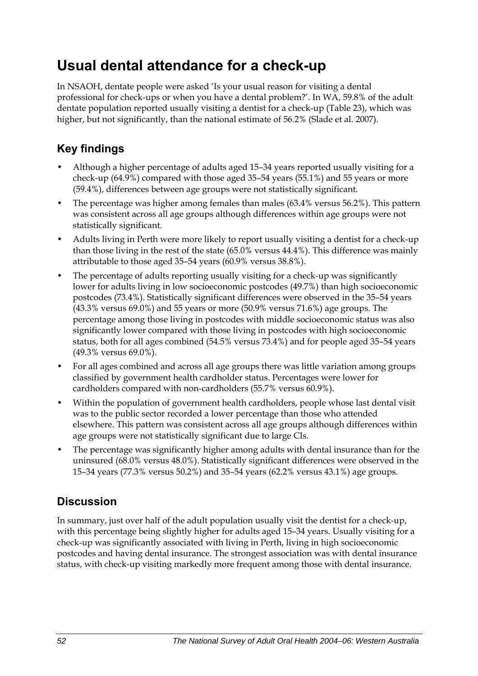## **Usual dental attendance for a check-up**

In NSAOH, dentate people were asked 'Is your usual reason for visiting a dental professional for check-ups or when you have a dental problem?'. In WA, 59.8% of the adult dentate population reported usually visiting a dentist for a check-up ([Table 23](#page-60-0)), which was higher, but not significantly, than the national estimate of 56.2% (Slade et al. 2007).

### **Key findings**

- Although a higher percentage of adults aged 15–34 years reported usually visiting for a check-up (64.9%) compared with those aged 35–54 years (55.1%) and 55 years or more (59.4%), differences between age groups were not statistically significant.
- The percentage was higher among females than males (63.4% versus 56.2%). This pattern was consistent across all age groups although differences within age groups were not statistically significant.
- Adults living in Perth were more likely to report usually visiting a dentist for a check-up than those living in the rest of the state (65.0% versus 44.4%). This difference was mainly attributable to those aged 35–54 years (60.9% versus 38.8%).
- The percentage of adults reporting usually visiting for a check-up was significantly lower for adults living in low socioeconomic postcodes (49.7%) than high socioeconomic postcodes (73.4%). Statistically significant differences were observed in the 35–54 years (43.3% versus 69.0%) and 55 years or more (50.9% versus 71.6%) age groups. The percentage among those living in postcodes with middle socioeconomic status was also significantly lower compared with those living in postcodes with high socioeconomic status, both for all ages combined (54.5% versus 73.4%) and for people aged 35–54 years (49.3% versus 69.0%).
- For all ages combined and across all age groups there was little variation among groups classified by government health cardholder status. Percentages were lower for cardholders compared with non-cardholders (55.7% versus 60.9%).
- Within the population of government health cardholders, people whose last dental visit was to the public sector recorded a lower percentage than those who attended elsewhere. This pattern was consistent across all age groups although differences within age groups were not statistically significant due to large CIs.
- The percentage was significantly higher among adults with dental insurance than for the uninsured (68.0% versus 48.0%). Statistically significant differences were observed in the 15–34 years (77.3% versus 50.2%) and 35–54 years (62.2% versus 43.1%) age groups.

#### **Discussion**

In summary, just over half of the adult population usually visit the dentist for a check-up, with this percentage being slightly higher for adults aged 15–34 years. Usually visiting for a check-up was significantly associated with living in Perth, living in high socioeconomic postcodes and having dental insurance. The strongest association was with dental insurance status, with check-up visiting markedly more frequent among those with dental insurance.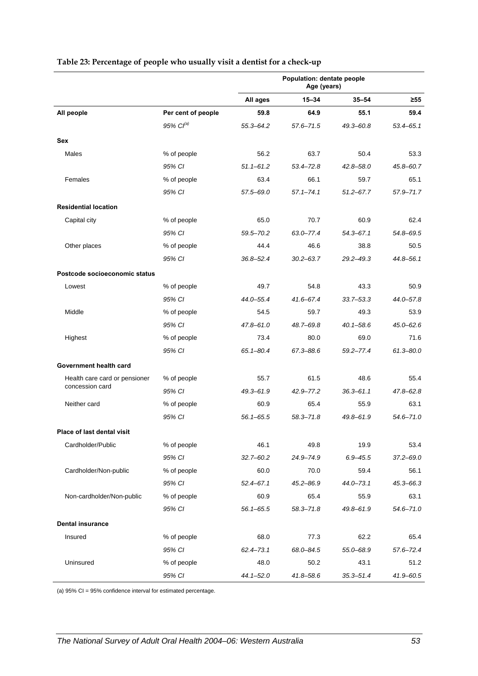|                               |                       | Population: dentate people<br>Age (years) |               |               |               |
|-------------------------------|-----------------------|-------------------------------------------|---------------|---------------|---------------|
|                               |                       | All ages                                  | $15 - 34$     | $35 - 54$     | $\geq 55$     |
| All people                    | Per cent of people    | 59.8                                      | 64.9          | 55.1          | 59.4          |
|                               | 95% Cl <sup>(a)</sup> | $55.3 - 64.2$                             | $57.6 - 71.5$ | 49.3-60.8     | $53.4 - 65.1$ |
| Sex                           |                       |                                           |               |               |               |
| Males                         | % of people           | 56.2                                      | 63.7          | 50.4          | 53.3          |
|                               | 95% CI                | $51.1 - 61.2$                             | $53.4 - 72.8$ | $42.8 - 58.0$ | 45.8-60.7     |
| Females                       | % of people           | 63.4                                      | 66.1          | 59.7          | 65.1          |
|                               | 95% CI                | 57.5-69.0                                 | $57.1 - 74.1$ | $51.2 - 67.7$ | 57.9-71.7     |
| <b>Residential location</b>   |                       |                                           |               |               |               |
| Capital city                  | % of people           | 65.0                                      | 70.7          | 60.9          | 62.4          |
|                               | 95% CI                | 59.5-70.2                                 | $63.0 - 77.4$ | $54.3 - 67.1$ | 54.8-69.5     |
| Other places                  | % of people           | 44.4                                      | 46.6          | 38.8          | 50.5          |
|                               | 95% CI                | $36.8 - 52.4$                             | $30.2 - 63.7$ | $29.2 - 49.3$ | 44.8-56.1     |
| Postcode socioeconomic status |                       |                                           |               |               |               |
| Lowest                        | % of people           | 49.7                                      | 54.8          | 43.3          | 50.9          |
|                               | 95% CI                | $44.0 - 55.4$                             | $41.6 - 67.4$ | $33.7 - 53.3$ | 44.0-57.8     |
| Middle                        | % of people           | 54.5                                      | 59.7          | 49.3          | 53.9          |
|                               | 95% CI                | $47.8 - 61.0$                             | 48.7-69.8     | $40.1 - 58.6$ | 45.0-62.6     |
| Highest                       | % of people           | 73.4                                      | 80.0          | 69.0          | 71.6          |
|                               | 95% CI                | $65.1 - 80.4$                             | 67.3-88.6     | $59.2 - 77.4$ | $61.3 - 80.0$ |
| Government health card        |                       |                                           |               |               |               |
| Health care card or pensioner | % of people           | 55.7                                      | 61.5          | 48.6          | 55.4          |
| concession card               | 95% CI                | $49.3 - 61.9$                             | $42.9 - 77.2$ | $36.3 - 61.1$ | 47.8-62.8     |
| Neither card                  | % of people           | 60.9                                      | 65.4          | 55.9          | 63.1          |
|                               | 95% CI                | $56.1 - 65.5$                             | $58.3 - 71.8$ | $49.8 - 61.9$ | 54.6-71.0     |
| Place of last dental visit    |                       |                                           |               |               |               |
| Cardholder/Public             | % of people           | 46.1                                      | 49.8          | 19.9          | 53.4          |
|                               | 95% CI                | $32.7 - 60.2$                             | 24.9-74.9     | $6.9 - 45.5$  | $37.2 - 69.0$ |
| Cardholder/Non-public         | % of people           | 60.0                                      | 70.0          | 59.4          | 56.1          |
|                               | 95% CI                | $52.4 - 67.1$                             | $45.2 - 86.9$ | $44.0 - 73.1$ | $45.3 - 66.3$ |
| Non-cardholder/Non-public     | % of people           | 60.9                                      | 65.4          | 55.9          | 63.1          |
|                               | 95% CI                | $56.1 - 65.5$                             | $58.3 - 71.8$ | 49.8-61.9     | $54.6 - 71.0$ |
| <b>Dental insurance</b>       |                       |                                           |               |               |               |
| Insured                       | % of people           | 68.0                                      | 77.3          | 62.2          | 65.4          |
|                               | 95% CI                | $62.4 - 73.1$                             | 68.0-84.5     | 55.0-68.9     | $57.6 - 72.4$ |
| Uninsured                     | % of people           | 48.0                                      | 50.2          | 43.1          | 51.2          |
|                               | 95% CI                | $44.1 - 52.0$                             | $41.8 - 58.6$ | $35.3 - 51.4$ | $41.9 - 60.5$ |

#### <span id="page-60-0"></span>**Table 23: Percentage of people who usually visit a dentist for a check-up**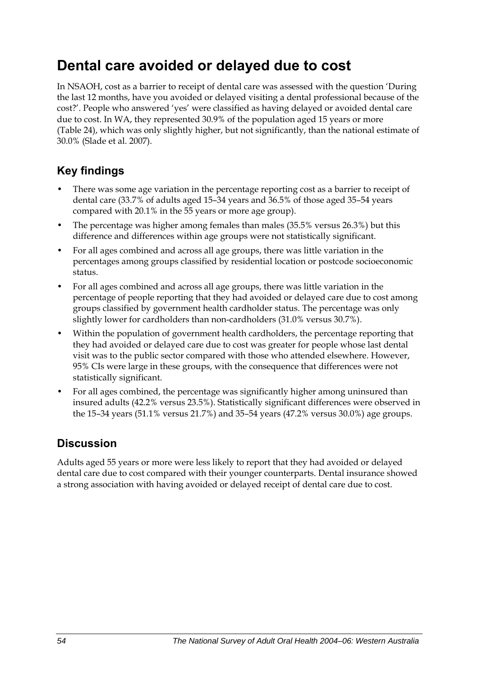## **Dental care avoided or delayed due to cost**

In NSAOH, cost as a barrier to receipt of dental care was assessed with the question 'During the last 12 months, have you avoided or delayed visiting a dental professional because of the cost?'. People who answered 'yes' were classified as having delayed or avoided dental care due to cost. In WA, they represented 30.9% of the population aged 15 years or more ([Table 24](#page-62-0)), which was only slightly higher, but not significantly, than the national estimate of 30.0% (Slade et al. 2007).

### **Key findings**

- There was some age variation in the percentage reporting cost as a barrier to receipt of dental care (33.7% of adults aged 15–34 years and 36.5% of those aged 35–54 years compared with 20.1% in the 55 years or more age group).
- The percentage was higher among females than males (35.5% versus 26.3%) but this difference and differences within age groups were not statistically significant.
- For all ages combined and across all age groups, there was little variation in the percentages among groups classified by residential location or postcode socioeconomic status.
- For all ages combined and across all age groups, there was little variation in the percentage of people reporting that they had avoided or delayed care due to cost among groups classified by government health cardholder status. The percentage was only slightly lower for cardholders than non-cardholders (31.0% versus 30.7%).
- Within the population of government health cardholders, the percentage reporting that they had avoided or delayed care due to cost was greater for people whose last dental visit was to the public sector compared with those who attended elsewhere. However, 95% CIs were large in these groups, with the consequence that differences were not statistically significant.
- For all ages combined, the percentage was significantly higher among uninsured than insured adults (42.2% versus 23.5%). Statistically significant differences were observed in the 15–34 years (51.1% versus 21.7%) and 35–54 years (47.2% versus 30.0%) age groups.

#### **Discussion**

Adults aged 55 years or more were less likely to report that they had avoided or delayed dental care due to cost compared with their younger counterparts. Dental insurance showed a strong association with having avoided or delayed receipt of dental care due to cost.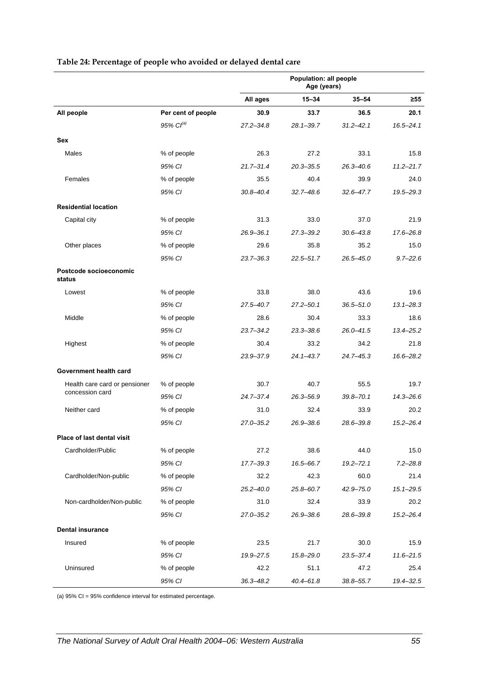<span id="page-62-0"></span>

|                                  |                       | Population: all people<br>Age (years) |               |               |               |
|----------------------------------|-----------------------|---------------------------------------|---------------|---------------|---------------|
|                                  |                       | All ages                              | $15 - 34$     | $35 - 54$     | $\geq 55$     |
| All people                       | Per cent of people    | 30.9                                  | 33.7          | 36.5          | 20.1          |
|                                  | 95% Cl <sup>(a)</sup> | $27.2 - 34.8$                         | $28.1 - 39.7$ | $31.2 - 42.1$ | $16.5 - 24.1$ |
| Sex                              |                       |                                       |               |               |               |
| Males                            | % of people           | 26.3                                  | 27.2          | 33.1          | 15.8          |
|                                  | 95% CI                | $21.7 - 31.4$                         | $20.3 - 35.5$ | $26.3 - 40.6$ | $11.2 - 21.7$ |
| Females                          | % of people           | 35.5                                  | 40.4          | 39.9          | 24.0          |
|                                  | 95% CI                | $30.8 - 40.4$                         | $32.7 - 48.6$ | $32.6 - 47.7$ | $19.5 - 29.3$ |
| <b>Residential location</b>      |                       |                                       |               |               |               |
| Capital city                     | % of people           | 31.3                                  | 33.0          | 37.0          | 21.9          |
|                                  | 95% CI                | $26.9 - 36.1$                         | $27.3 - 39.2$ | $30.6 - 43.8$ | 17.6-26.8     |
| Other places                     | % of people           | 29.6                                  | 35.8          | 35.2          | 15.0          |
|                                  | 95% CI                | $23.7 - 36.3$                         | $22.5 - 51.7$ | $26.5 - 45.0$ | $9.7 - 22.6$  |
| Postcode socioeconomic<br>status |                       |                                       |               |               |               |
| Lowest                           | % of people           | 33.8                                  | 38.0          | 43.6          | 19.6          |
|                                  | 95% CI                | $27.5 - 40.7$                         | $27.2 - 50.1$ | $36.5 - 51.0$ | $13.1 - 28.3$ |
| Middle                           | % of people           | 28.6                                  | 30.4          | 33.3          | 18.6          |
|                                  | 95% CI                | $23.7 - 34.2$                         | $23.3 - 38.6$ | $26.0 - 41.5$ | $13.4 - 25.2$ |
| Highest                          | % of people           | 30.4                                  | 33.2          | 34.2          | 21.8          |
|                                  | 95% CI                | 23.9-37.9                             | $24.1 - 43.7$ | $24.7 - 45.3$ | 16.6-28.2     |
| Government health card           |                       |                                       |               |               |               |
| Health care card or pensioner    | % of people           | 30.7                                  | 40.7          | 55.5          | 19.7          |
| concession card                  | 95% CI                | $24.7 - 37.4$                         | $26.3 - 56.9$ | $39.8 - 70.1$ | $14.3 - 26.6$ |
| Neither card                     | % of people           | 31.0                                  | 32.4          | 33.9          | 20.2          |
|                                  | 95% CI                | 27.0–35.2                             | $26.9 - 38.6$ | 28.6–39.8     | $15.2 - 26.4$ |
| Place of last dental visit       |                       |                                       |               |               |               |
| Cardholder/Public                | % of people           | 27.2                                  | 38.6          | 44.0          | 15.0          |
|                                  | 95% CI                | 17.7-39.3                             | 16.5-66.7     | $19.2 - 72.1$ | $7.2 - 28.8$  |
| Cardholder/Non-public            | % of people           | 32.2                                  | 42.3          | 60.0          | 21.4          |
|                                  | 95% CI                | $25.2 - 40.0$                         | 25.8-60.7     | $42.9 - 75.0$ | $15.1 - 29.5$ |
| Non-cardholder/Non-public        | % of people           | 31.0                                  | 32.4          | 33.9          | 20.2          |
|                                  | 95% CI                | $27.0 - 35.2$                         | 26.9-38.6     | 28.6-39.8     | $15.2 - 26.4$ |
| <b>Dental insurance</b>          |                       |                                       |               |               |               |
| Insured                          | % of people           | 23.5                                  | 21.7          | 30.0          | 15.9          |
|                                  | 95% CI                | 19.9-27.5                             | $15.8 - 29.0$ | 23.5-37.4     | $11.6 - 21.5$ |
| Uninsured                        | % of people           | 42.2                                  | 51.1          | 47.2          | 25.4          |
|                                  | 95% CI                | $36.3 - 48.2$                         | $40.4 - 61.8$ | $38.8 - 55.7$ | 19.4-32.5     |

#### **Table 24: Percentage of people who avoided or delayed dental care**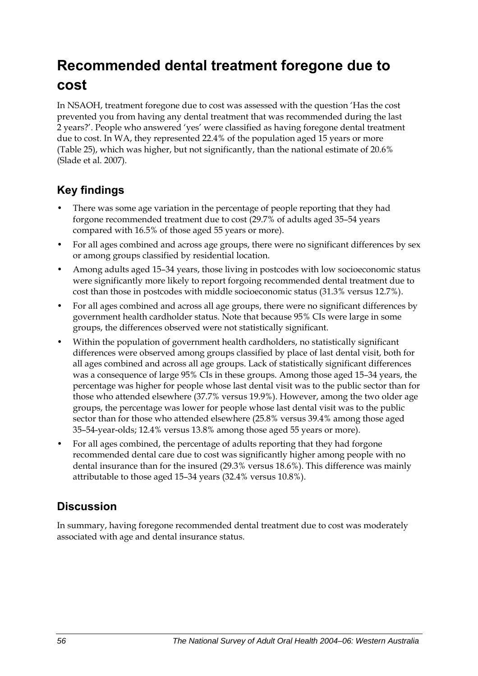## **Recommended dental treatment foregone due to cost**

In NSAOH, treatment foregone due to cost was assessed with the question 'Has the cost prevented you from having any dental treatment that was recommended during the last 2 years?'. People who answered 'yes' were classified as having foregone dental treatment due to cost. In WA, they represented 22.4% of the population aged 15 years or more ([Table 25](#page-64-0)), which was higher, but not significantly, than the national estimate of 20.6% (Slade et al. 2007).

#### **Key findings**

- There was some age variation in the percentage of people reporting that they had forgone recommended treatment due to cost (29.7% of adults aged 35–54 years compared with 16.5% of those aged 55 years or more).
- For all ages combined and across age groups, there were no significant differences by sex or among groups classified by residential location.
- Among adults aged 15–34 years, those living in postcodes with low socioeconomic status were significantly more likely to report forgoing recommended dental treatment due to cost than those in postcodes with middle socioeconomic status (31.3% versus 12.7%).
- For all ages combined and across all age groups, there were no significant differences by government health cardholder status. Note that because 95% CIs were large in some groups, the differences observed were not statistically significant.
- Within the population of government health cardholders, no statistically significant differences were observed among groups classified by place of last dental visit, both for all ages combined and across all age groups. Lack of statistically significant differences was a consequence of large 95% CIs in these groups. Among those aged 15–34 years, the percentage was higher for people whose last dental visit was to the public sector than for those who attended elsewhere (37.7% versus 19.9%). However, among the two older age groups, the percentage was lower for people whose last dental visit was to the public sector than for those who attended elsewhere (25.8% versus 39.4% among those aged 35–54-year-olds; 12.4% versus 13.8% among those aged 55 years or more).
- For all ages combined, the percentage of adults reporting that they had forgone recommended dental care due to cost was significantly higher among people with no dental insurance than for the insured (29.3% versus 18.6%). This difference was mainly attributable to those aged 15–34 years (32.4% versus 10.8%).

#### **Discussion**

In summary, having foregone recommended dental treatment due to cost was moderately associated with age and dental insurance status.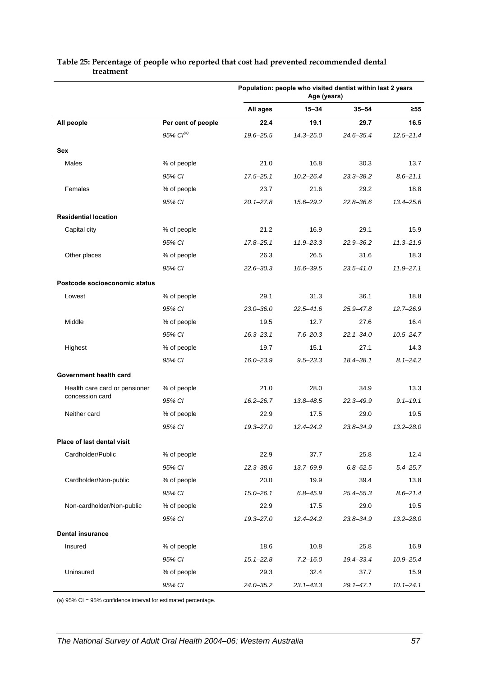|                               |                    | Population: people who visited dentist within last 2 years<br>Age (years) |               |               |               |
|-------------------------------|--------------------|---------------------------------------------------------------------------|---------------|---------------|---------------|
|                               |                    | All ages                                                                  | $15 - 34$     | $35 - 54$     | $\geq 55$     |
| All people                    | Per cent of people | 22.4                                                                      | 19.1          | 29.7          | 16.5          |
|                               | $95\%$ $Cl^{(a)}$  | 19.6-25.5                                                                 | $14.3 - 25.0$ | $24.6 - 35.4$ | $12.5 - 21.4$ |
| Sex                           |                    |                                                                           |               |               |               |
| <b>Males</b>                  | % of people        | 21.0                                                                      | 16.8          | 30.3          | 13.7          |
|                               | 95% CI             | $17.5 - 25.1$                                                             | $10.2 - 26.4$ | $23.3 - 38.2$ | $8.6 - 21.1$  |
| Females                       | % of people        | 23.7                                                                      | 21.6          | 29.2          | 18.8          |
|                               | 95% CI             | $20.1 - 27.8$                                                             | $15.6 - 29.2$ | $22.8 - 36.6$ | $13.4 - 25.6$ |
| <b>Residential location</b>   |                    |                                                                           |               |               |               |
| Capital city                  | % of people        | 21.2                                                                      | 16.9          | 29.1          | 15.9          |
|                               | 95% CI             | $17.8 - 25.1$                                                             | $11.9 - 23.3$ | $22.9 - 36.2$ | $11.3 - 21.9$ |
| Other places                  | % of people        | 26.3                                                                      | 26.5          | 31.6          | 18.3          |
|                               | 95% CI             | $22.6 - 30.3$                                                             | 16.6-39.5     | $23.5 - 41.0$ | $11.9 - 27.1$ |
| Postcode socioeconomic status |                    |                                                                           |               |               |               |
| Lowest                        | % of people        | 29.1                                                                      | 31.3          | 36.1          | 18.8          |
|                               | 95% CI             | $23.0 - 36.0$                                                             | $22.5 - 41.6$ | $25.9 - 47.8$ | $12.7 - 26.9$ |
| Middle                        | % of people        | 19.5                                                                      | 12.7          | 27.6          | 16.4          |
|                               | 95% CI             | $16.3 - 23.1$                                                             | $7.6 - 20.3$  | $22.1 - 34.0$ | $10.5 - 24.7$ |
| Highest                       | % of people        | 19.7                                                                      | 15.1          | 27.1          | 14.3          |
|                               | 95% CI             | $16.0 - 23.9$                                                             | $9.5 - 23.3$  | 18.4-38.1     | $8.1 - 24.2$  |
| Government health card        |                    |                                                                           |               |               |               |
| Health care card or pensioner | % of people        | 21.0                                                                      | 28.0          | 34.9          | 13.3          |
| concession card               | 95% CI             | $16.2 - 26.7$                                                             | 13.8-48.5     | $22.3 - 49.9$ | $9.1 - 19.1$  |
| Neither card                  | % of people        | 22.9                                                                      | 17.5          | 29.0          | 19.5          |
|                               | 95% CI             | $19.3 - 27.0$                                                             | $12.4 - 24.2$ | $23.8 - 34.9$ | $13.2 - 28.0$ |
| Place of last dental visit    |                    |                                                                           |               |               |               |
| Cardholder/Public             | % of people        | 22.9                                                                      | 37.7          | 25.8          | 12.4          |
|                               | 95% CI             | $12.3 - 38.6$                                                             | 13.7-69.9     | $6.8 - 62.5$  | $5.4 - 25.7$  |
| Cardholder/Non-public         | % of people        | 20.0                                                                      | 19.9          | 39.4          | 13.8          |
|                               | 95% CI             | $15.0 - 26.1$                                                             | $6.8 - 45.9$  | $25.4 - 55.3$ | $8.6 - 21.4$  |
| Non-cardholder/Non-public     | % of people        | 22.9                                                                      | 17.5          | 29.0          | 19.5          |
|                               | 95% CI             | $19.3 - 27.0$                                                             | $12.4 - 24.2$ | 23.8-34.9     | $13.2 - 28.0$ |
| <b>Dental insurance</b>       |                    |                                                                           |               |               |               |
| Insured                       | % of people        | 18.6                                                                      | 10.8          | 25.8          | 16.9          |
|                               | 95% CI             | $15.1 - 22.8$                                                             | $7.2 - 16.0$  | 19.4-33.4     | $10.9 - 25.4$ |
| Uninsured                     | % of people        | 29.3                                                                      | 32.4          | 37.7          | 15.9          |
|                               | 95% CI             | $24.0 - 35.2$                                                             | $23.1 - 43.3$ | $29.1 - 47.1$ | $10.1 - 24.1$ |

#### <span id="page-64-0"></span>**Table 25: Percentage of people who reported that cost had prevented recommended dental treatment**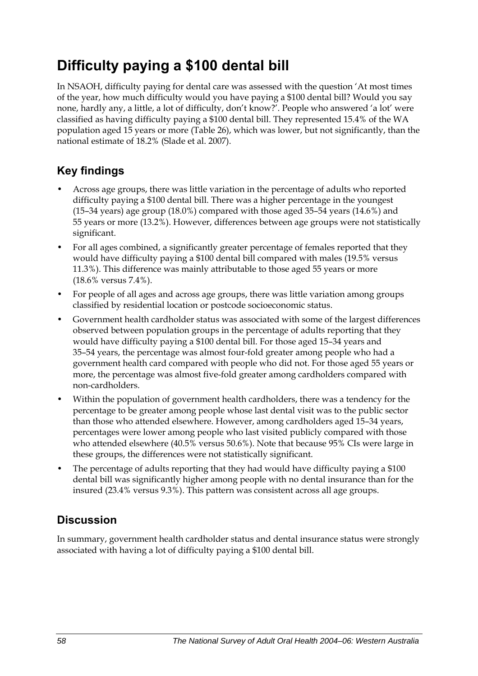## **Difficulty paying a \$100 dental bill**

In NSAOH, difficulty paying for dental care was assessed with the question 'At most times of the year, how much difficulty would you have paying a \$100 dental bill? Would you say none, hardly any, a little, a lot of difficulty, don't know?'. People who answered 'a lot' were classified as having difficulty paying a \$100 dental bill. They represented 15.4% of the WA population aged 15 years or more [\(Table 26\)](#page-66-0), which was lower, but not significantly, than the national estimate of 18.2% (Slade et al. 2007).

### **Key findings**

- Across age groups, there was little variation in the percentage of adults who reported difficulty paying a \$100 dental bill. There was a higher percentage in the youngest (15–34 years) age group (18.0%) compared with those aged 35–54 years (14.6%) and 55 years or more (13.2%). However, differences between age groups were not statistically significant.
- For all ages combined, a significantly greater percentage of females reported that they would have difficulty paying a \$100 dental bill compared with males (19.5% versus 11.3%). This difference was mainly attributable to those aged 55 years or more (18.6% versus 7.4%).
- For people of all ages and across age groups, there was little variation among groups classified by residential location or postcode socioeconomic status.
- Government health cardholder status was associated with some of the largest differences observed between population groups in the percentage of adults reporting that they would have difficulty paying a \$100 dental bill. For those aged 15–34 years and 35–54 years, the percentage was almost four-fold greater among people who had a government health card compared with people who did not. For those aged 55 years or more, the percentage was almost five-fold greater among cardholders compared with non-cardholders.
- Within the population of government health cardholders, there was a tendency for the percentage to be greater among people whose last dental visit was to the public sector than those who attended elsewhere. However, among cardholders aged 15–34 years, percentages were lower among people who last visited publicly compared with those who attended elsewhere (40.5% versus 50.6%). Note that because 95% CIs were large in these groups, the differences were not statistically significant.
- The percentage of adults reporting that they had would have difficulty paying a \$100 dental bill was significantly higher among people with no dental insurance than for the insured (23.4% versus 9.3%). This pattern was consistent across all age groups.

### **Discussion**

In summary, government health cardholder status and dental insurance status were strongly associated with having a lot of difficulty paying a \$100 dental bill.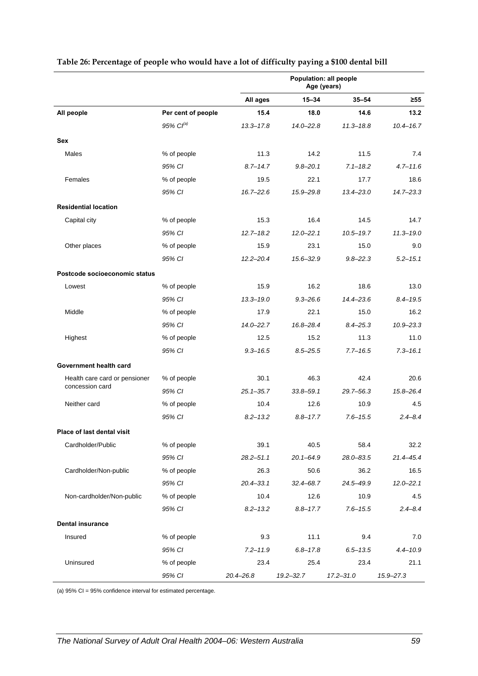|                               |                       | Population: all people<br>Age (years) |               |               |               |
|-------------------------------|-----------------------|---------------------------------------|---------------|---------------|---------------|
|                               |                       | All ages                              | $15 - 34$     | $35 - 54$     | $\geq 55$     |
| All people                    | Per cent of people    | 15.4                                  | 18.0          | 14.6          | 13.2          |
|                               | 95% Cl <sup>(a)</sup> | $13.3 - 17.8$                         | $14.0 - 22.8$ | $11.3 - 18.8$ | $10.4 - 16.7$ |
| Sex                           |                       |                                       |               |               |               |
| Males                         | % of people           | 11.3                                  | 14.2          | 11.5          | 7.4           |
|                               | 95% CI                | $8.7 - 14.7$                          | $9.8 - 20.1$  | $7.1 - 18.2$  | $4.7 - 11.6$  |
| Females                       | % of people           | 19.5                                  | 22.1          | 17.7          | 18.6          |
|                               | 95% CI                | $16.7 - 22.6$                         | 15.9-29.8     | $13.4 - 23.0$ | $14.7 - 23.3$ |
| <b>Residential location</b>   |                       |                                       |               |               |               |
| Capital city                  | % of people           | 15.3                                  | 16.4          | 14.5          | 14.7          |
|                               | 95% CI                | $12.7 - 18.2$                         | $12.0 - 22.1$ | $10.5 - 19.7$ | $11.3 - 19.0$ |
| Other places                  | % of people           | 15.9                                  | 23.1          | 15.0          | 9.0           |
|                               | 95% CI                | $12.2 - 20.4$                         | $15.6 - 32.9$ | $9.8 - 22.3$  | $5.2 - 15.1$  |
| Postcode socioeconomic status |                       |                                       |               |               |               |
| Lowest                        | % of people           | 15.9                                  | 16.2          | 18.6          | 13.0          |
|                               | 95% CI                | $13.3 - 19.0$                         | $9.3 - 26.6$  | $14.4 - 23.6$ | $8.4 - 19.5$  |
| Middle                        | % of people           | 17.9                                  | 22.1          | 15.0          | 16.2          |
|                               | 95% CI                | $14.0 - 22.7$                         | 16.8-28.4     | $8.4 - 25.3$  | $10.9 - 23.3$ |
| Highest                       | % of people           | 12.5                                  | 15.2          | 11.3          | 11.0          |
|                               | 95% CI                | $9.3 - 16.5$                          | $8.5 - 25.5$  | $7.7 - 16.5$  | $7.3 - 16.1$  |
| Government health card        |                       |                                       |               |               |               |
| Health care card or pensioner | % of people           | 30.1                                  | 46.3          | 42.4          | 20.6          |
| concession card               | 95% CI                | $25.1 - 35.7$                         | $33.8 - 59.1$ | 29.7-56.3     | 15.8-26.4     |
| Neither card                  | % of people           | 10.4                                  | 12.6          | 10.9          | 4.5           |
|                               | 95% CI                | $8.2 - 13.2$                          | $8.8 - 17.7$  | $7.6 - 15.5$  | $2.4 - 8.4$   |
| Place of last dental visit    |                       |                                       |               |               |               |
| Cardholder/Public             | % of people           | 39.1                                  | 40.5          | 58.4          | 32.2          |
|                               | 95% CI                | $28.2 - 51.1$                         | $20.1 - 64.9$ | 28.0-83.5     | $21.4 - 45.4$ |
| Cardholder/Non-public         | % of people           | 26.3                                  | 50.6          | 36.2          | 16.5          |
|                               | 95% CI                | $20.4 - 33.1$                         | $32.4 - 68.7$ | 24.5-49.9     | $12.0 - 22.1$ |
| Non-cardholder/Non-public     | % of people           | 10.4                                  | 12.6          | 10.9          | 4.5           |
|                               | 95% CI                | $8.2 - 13.2$                          | $8.8 - 17.7$  | $7.6 - 15.5$  | $2.4 - 8.4$   |
| <b>Dental insurance</b>       |                       |                                       |               |               |               |
| Insured                       | % of people           | 9.3                                   | 11.1          | 9.4           | 7.0           |
|                               | 95% CI                | $7.2 - 11.9$                          | $6.8 - 17.8$  | $6.5 - 13.5$  | $4.4 - 10.9$  |
| Uninsured                     | % of people           | 23.4                                  | 25.4          | 23.4          | 21.1          |
|                               | 95% CI                | $20.4 - 26.8$                         | $19.2 - 32.7$ | $17.2 - 31.0$ | $15.9 - 27.3$ |

#### <span id="page-66-0"></span>**Table 26: Percentage of people who would have a lot of difficulty paying a \$100 dental bill**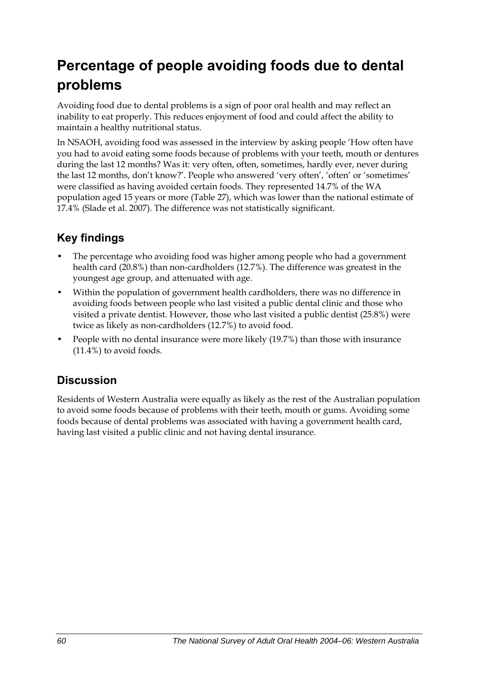## **Percentage of people avoiding foods due to dental problems**

Avoiding food due to dental problems is a sign of poor oral health and may reflect an inability to eat properly. This reduces enjoyment of food and could affect the ability to maintain a healthy nutritional status.

In NSAOH, avoiding food was assessed in the interview by asking people 'How often have you had to avoid eating some foods because of problems with your teeth, mouth or dentures during the last 12 months? Was it: very often, often, sometimes, hardly ever, never during the last 12 months, don't know?'. People who answered 'very often', 'often' or 'sometimes' were classified as having avoided certain foods. They represented 14.7% of the WA population aged 15 years or more [\(Table 27\)](#page-68-0), which was lower than the national estimate of 17.4% (Slade et al. 2007). The difference was not statistically significant.

### **Key findings**

- The percentage who avoiding food was higher among people who had a government health card (20.8%) than non-cardholders (12.7%). The difference was greatest in the youngest age group, and attenuated with age.
- Within the population of government health cardholders, there was no difference in avoiding foods between people who last visited a public dental clinic and those who visited a private dentist. However, those who last visited a public dentist (25.8%) were twice as likely as non-cardholders (12.7%) to avoid food.
- People with no dental insurance were more likely (19.7%) than those with insurance  $(11.4\%)$  to avoid foods.

#### **Discussion**

Residents of Western Australia were equally as likely as the rest of the Australian population to avoid some foods because of problems with their teeth, mouth or gums. Avoiding some foods because of dental problems was associated with having a government health card, having last visited a public clinic and not having dental insurance.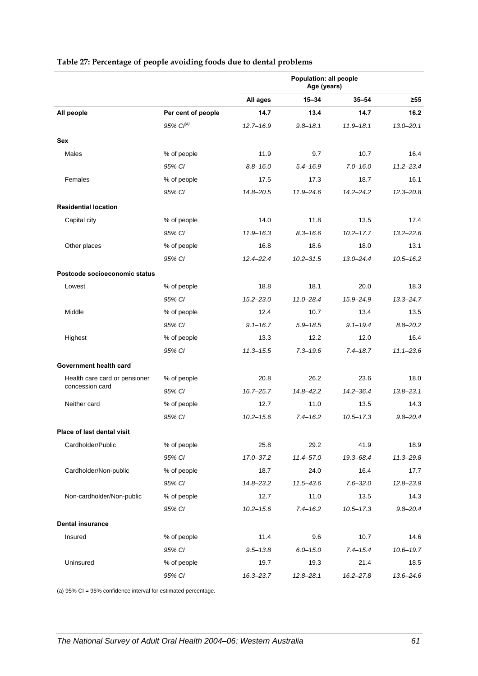|                               |                       | Population: all people<br>Age (years) |               |               |               |
|-------------------------------|-----------------------|---------------------------------------|---------------|---------------|---------------|
|                               |                       | All ages                              | $15 - 34$     | $35 - 54$     | ≥55           |
| All people                    | Per cent of people    | 14.7                                  | 13.4          | 14.7          | 16.2          |
|                               | 95% Cl <sup>(a)</sup> | $12.7 - 16.9$                         | $9.8 - 18.1$  | $11.9 - 18.1$ | $13.0 - 20.1$ |
| Sex                           |                       |                                       |               |               |               |
| Males                         | % of people           | 11.9                                  | 9.7           | 10.7          | 16.4          |
|                               | 95% CI                | $8.8 - 16.0$                          | $5.4 - 16.9$  | $7.0 - 16.0$  | $11.2 - 23.4$ |
| Females                       | % of people           | 17.5                                  | 17.3          | 18.7          | 16.1          |
|                               | 95% CI                | 14.8-20.5                             | $11.9 - 24.6$ | $14.2 - 24.2$ | $12.3 - 20.8$ |
| <b>Residential location</b>   |                       |                                       |               |               |               |
| Capital city                  | % of people           | 14.0                                  | 11.8          | 13.5          | 17.4          |
|                               | 95% CI                | $11.9 - 16.3$                         | $8.3 - 16.6$  | $10.2 - 17.7$ | $13.2 - 22.6$ |
| Other places                  | % of people           | 16.8                                  | 18.6          | 18.0          | 13.1          |
|                               | 95% CI                | $12.4 - 22.4$                         | $10.2 - 31.5$ | $13.0 - 24.4$ | $10.5 - 16.2$ |
| Postcode socioeconomic status |                       |                                       |               |               |               |
| Lowest                        | % of people           | 18.8                                  | 18.1          | 20.0          | 18.3          |
|                               | 95% CI                | $15.2 - 23.0$                         | $11.0 - 28.4$ | 15.9-24.9     | $13.3 - 24.7$ |
| Middle                        | % of people           | 12.4                                  | 10.7          | 13.4          | 13.5          |
|                               | 95% CI                | $9.1 - 16.7$                          | $5.9 - 18.5$  | $9.1 - 19.4$  | $8.8 - 20.2$  |
| Highest                       | % of people           | 13.3                                  | 12.2          | 12.0          | 16.4          |
|                               | 95% CI                | $11.3 - 15.5$                         | $7.3 - 19.6$  | $7.4 - 18.7$  | $11.1 - 23.6$ |
| Government health card        |                       |                                       |               |               |               |
| Health care card or pensioner | % of people           | 20.8                                  | 26.2          | 23.6          | 18.0          |
| concession card               | 95% CI                | $16.7 - 25.7$                         | $14.8 - 42.2$ | $14.2 - 36.4$ | $13.8 - 23.1$ |
| Neither card                  | % of people           | 12.7                                  | 11.0          | 13.5          | 14.3          |
|                               | 95% CI                | $10.2 - 15.6$                         | $7.4 - 16.2$  | $10.5 - 17.3$ | $9.8 - 20.4$  |
| Place of last dental visit    |                       |                                       |               |               |               |
| Cardholder/Public             | % of people           | 25.8                                  | 29.2          | 41.9          | 18.9          |
|                               | 95% CI                | 17.0-37.2                             | 11.4-57.0     | 19.3-68.4     | $11.3 - 29.8$ |
| Cardholder/Non-public         | % of people           | 18.7                                  | 24.0          | 16.4          | 17.7          |
|                               | 95% CI                | 14.8-23.2                             | $11.5 - 43.6$ | $7.6 - 32.0$  | $12.8 - 23.9$ |
| Non-cardholder/Non-public     | % of people           | 12.7                                  | 11.0          | 13.5          | 14.3          |
|                               | 95% CI                | $10.2 - 15.6$                         | $7.4 - 16.2$  | $10.5 - 17.3$ | $9.8 - 20.4$  |
| <b>Dental insurance</b>       |                       |                                       |               |               |               |
| Insured                       | % of people           | 11.4                                  | 9.6           | 10.7          | 14.6          |
|                               | 95% CI                | $9.5 - 13.8$                          | $6.0 - 15.0$  | $7.4 - 15.4$  | $10.6 - 19.7$ |
| Uninsured                     | % of people           | 19.7                                  | 19.3          | 21.4          | 18.5          |
|                               | 95% CI                | $16.3 - 23.7$                         | $12.8 - 28.1$ | $16.2 - 27.8$ | $13.6 - 24.6$ |

#### <span id="page-68-0"></span>**Table 27: Percentage of people avoiding foods due to dental problems**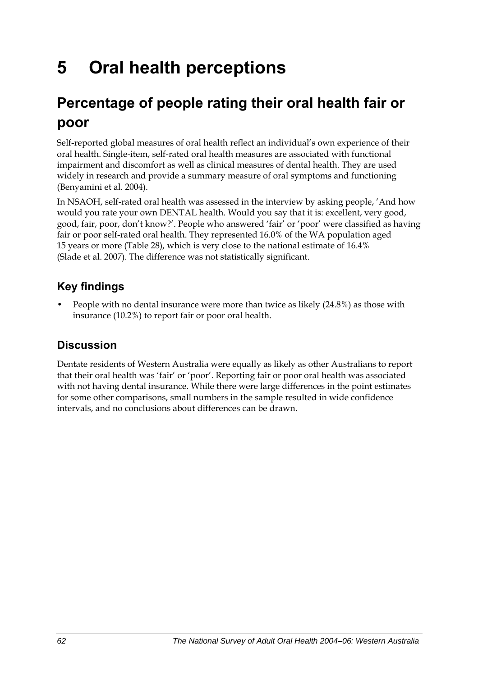# **5 Oral health perceptions**

## **Percentage of people rating their oral health fair or poor**

Self-reported global measures of oral health reflect an individual's own experience of their oral health. Single-item, self-rated oral health measures are associated with functional impairment and discomfort as well as clinical measures of dental health. They are used widely in research and provide a summary measure of oral symptoms and functioning (Benyamini et al. 2004).

In NSAOH, self-rated oral health was assessed in the interview by asking people, 'And how would you rate your own DENTAL health. Would you say that it is: excellent, very good, good, fair, poor, don't know?'. People who answered 'fair' or 'poor' were classified as having fair or poor self-rated oral health. They represented 16.0% of the WA population aged 15 years or more [\(Table 28\)](#page-70-0), which is very close to the national estimate of 16.4% (Slade et al. 2007). The difference was not statistically significant.

### **Key findings**

• People with no dental insurance were more than twice as likely (24.8%) as those with insurance (10.2%) to report fair or poor oral health.

### **Discussion**

Dentate residents of Western Australia were equally as likely as other Australians to report that their oral health was 'fair' or 'poor'. Reporting fair or poor oral health was associated with not having dental insurance. While there were large differences in the point estimates for some other comparisons, small numbers in the sample resulted in wide confidence intervals, and no conclusions about differences can be drawn.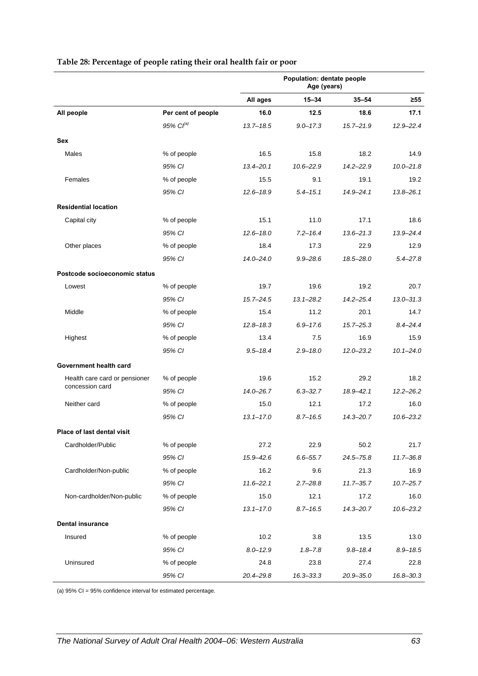<span id="page-70-0"></span>

|                               |                    | Population: dentate people<br>Age (years) |               |               |               |
|-------------------------------|--------------------|-------------------------------------------|---------------|---------------|---------------|
|                               |                    | All ages                                  | $15 - 34$     | $35 - 54$     | $\geq 55$     |
| All people                    | Per cent of people | 16.0                                      | 12.5          | 18.6          | 17.1          |
|                               | $95\%$ $Cl^{(a)}$  | $13.7 - 18.5$                             | $9.0 - 17.3$  | $15.7 - 21.9$ | $12.9 - 22.4$ |
| <b>Sex</b>                    |                    |                                           |               |               |               |
| Males                         | % of people        | 16.5                                      | 15.8          | 18.2          | 14.9          |
|                               | 95% CI             | $13.4 - 20.1$                             | $10.6 - 22.9$ | 14.2-22.9     | $10.0 - 21.8$ |
| Females                       | % of people        | 15.5                                      | 9.1           | 19.1          | 19.2          |
|                               | 95% CI             | $12.6 - 18.9$                             | $5.4 - 15.1$  | $14.9 - 24.1$ | $13.8 - 26.1$ |
| <b>Residential location</b>   |                    |                                           |               |               |               |
| Capital city                  | % of people        | 15.1                                      | 11.0          | 17.1          | 18.6          |
|                               | 95% CI             | $12.6 - 18.0$                             | $7.2 - 16.4$  | $13.6 - 21.3$ | 13.9-24.4     |
| Other places                  | % of people        | 18.4                                      | 17.3          | 22.9          | 12.9          |
|                               | 95% CI             | $14.0 - 24.0$                             | $9.9 - 28.6$  | 18.5-28.0     | $5.4 - 27.8$  |
| Postcode socioeconomic status |                    |                                           |               |               |               |
| Lowest                        | % of people        | 19.7                                      | 19.6          | 19.2          | 20.7          |
|                               | 95% CI             | $15.7 - 24.5$                             | $13.1 - 28.2$ | $14.2 - 25.4$ | $13.0 - 31.3$ |
| Middle                        | % of people        | 15.4                                      | 11.2          | 20.1          | 14.7          |
|                               | 95% CI             | $12.8 - 18.3$                             | $6.9 - 17.6$  | $15.7 - 25.3$ | $8.4 - 24.4$  |
| Highest                       | % of people        | 13.4                                      | 7.5           | 16.9          | 15.9          |
|                               | 95% CI             | $9.5 - 18.4$                              | $2.9 - 18.0$  | $12.0 - 23.2$ | $10.1 - 24.0$ |
| Government health card        |                    |                                           |               |               |               |
| Health care card or pensioner | % of people        | 19.6                                      | 15.2          | 29.2          | 18.2          |
| concession card               | 95% CI             | $14.0 - 26.7$                             | $6.3 - 32.7$  | $18.9 - 42.1$ | $12.2 - 26.2$ |
| Neither card                  | % of people        | 15.0                                      | 12.1          | 17.2          | 16.0          |
|                               | 95% CI             | $13.1 - 17.0$                             | $8.7 - 16.5$  | $14.3 - 20.7$ | $10.6 - 23.2$ |
| Place of last dental visit    |                    |                                           |               |               |               |
| Cardholder/Public             | % of people        | 27.2                                      | 22.9          | 50.2          | 21.7          |
|                               | 95% CI             | $15.9 - 42.6$                             | $6.6 - 55.7$  | $24.5 - 75.8$ | $11.7 - 36.8$ |
| Cardholder/Non-public         | % of people        | 16.2                                      | 9.6           | 21.3          | 16.9          |
|                               | 95% CI             | $11.6 - 22.1$                             | $2.7 - 28.8$  | $11.7 - 35.7$ | $10.7 - 25.7$ |
| Non-cardholder/Non-public     | % of people        | 15.0                                      | 12.1          | 17.2          | 16.0          |
|                               | 95% CI             | $13.1 - 17.0$                             | $8.7 - 16.5$  | $14.3 - 20.7$ | $10.6 - 23.2$ |
| <b>Dental insurance</b>       |                    |                                           |               |               |               |
| Insured                       | % of people        | 10.2                                      | 3.8           | 13.5          | 13.0          |
|                               | 95% CI             | $8.0 - 12.9$                              | $1.8 - 7.8$   | $9.8 - 18.4$  | $8.9 - 18.5$  |
| Uninsured                     | % of people        | 24.8                                      | 23.8          | 27.4          | 22.8          |
|                               | 95% CI             | 20.4-29.8                                 | $16.3 - 33.3$ | $20.9 - 35.0$ | 16.8-30.3     |

#### **Table 28: Percentage of people rating their oral health fair or poor**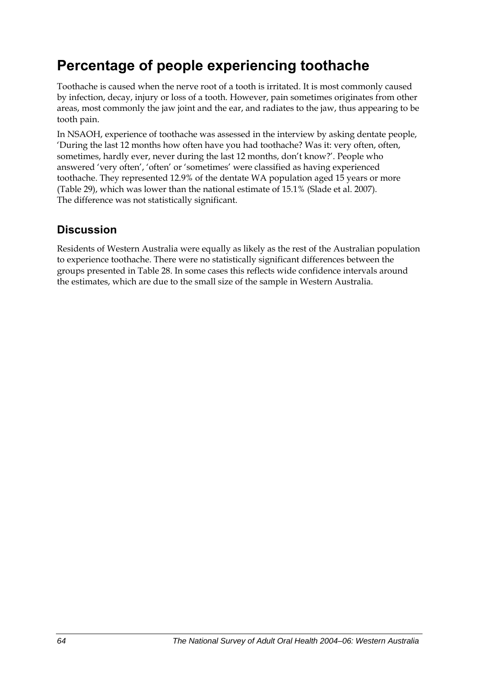## **Percentage of people experiencing toothache**

Toothache is caused when the nerve root of a tooth is irritated. It is most commonly caused by infection, decay, injury or loss of a tooth. However, pain sometimes originates from other areas, most commonly the jaw joint and the ear, and radiates to the jaw, thus appearing to be tooth pain.

In NSAOH, experience of toothache was assessed in the interview by asking dentate people, 'During the last 12 months how often have you had toothache? Was it: very often, often, sometimes, hardly ever, never during the last 12 months, don't know?'. People who answered 'very often', 'often' or 'sometimes' were classified as having experienced toothache. They represented 12.9% of the dentate WA population aged 15 years or more ([Table 29](#page-72-0)), which was lower than the national estimate of 15.1% (Slade et al. 2007). The difference was not statistically significant.

### **Discussion**

Residents of Western Australia were equally as likely as the rest of the Australian population to experience toothache. There were no statistically significant differences between the groups presented in Table 28. In some cases this reflects wide confidence intervals around the estimates, which are due to the small size of the sample in Western Australia.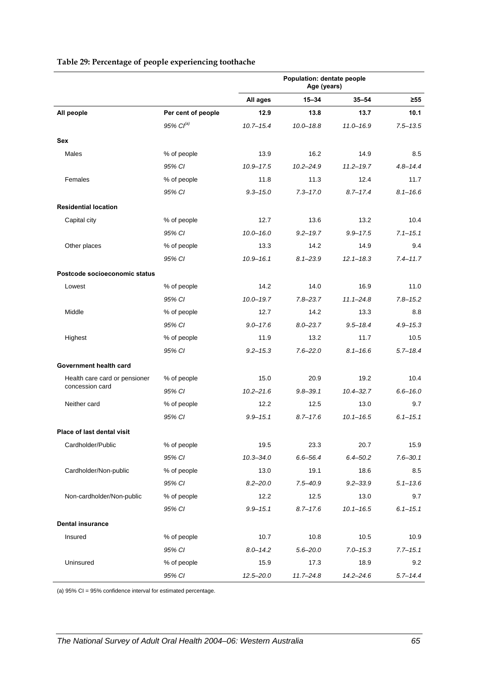|                               |                       | Population: dentate people<br>Age (years) |               |               |              |
|-------------------------------|-----------------------|-------------------------------------------|---------------|---------------|--------------|
|                               |                       | All ages                                  | $15 - 34$     | $35 - 54$     | ≥55          |
| All people                    | Per cent of people    | 12.9                                      | 13.8          | 13.7          | 10.1         |
|                               | 95% Cl <sup>(a)</sup> | $10.7 - 15.4$                             | $10.0 - 18.8$ | $11.0 - 16.9$ | $7.5 - 13.5$ |
| <b>Sex</b>                    |                       |                                           |               |               |              |
| Males                         | % of people           | 13.9                                      | 16.2          | 14.9          | 8.5          |
|                               | 95% CI                | $10.9 - 17.5$                             | $10.2 - 24.9$ | $11.2 - 19.7$ | $4.8 - 14.4$ |
| Females                       | % of people           | 11.8                                      | 11.3          | 12.4          | 11.7         |
|                               | 95% CI                | $9.3 - 15.0$                              | $7.3 - 17.0$  | $8.7 - 17.4$  | $8.1 - 16.6$ |
| <b>Residential location</b>   |                       |                                           |               |               |              |
| Capital city                  | % of people           | 12.7                                      | 13.6          | 13.2          | 10.4         |
|                               | 95% CI                | $10.0 - 16.0$                             | $9.2 - 19.7$  | $9.9 - 17.5$  | $7.1 - 15.1$ |
| Other places                  | % of people           | 13.3                                      | 14.2          | 14.9          | 9.4          |
|                               | 95% CI                | $10.9 - 16.1$                             | $8.1 - 23.9$  | $12.1 - 18.3$ | $7.4 - 11.7$ |
| Postcode socioeconomic status |                       |                                           |               |               |              |
| Lowest                        | % of people           | 14.2                                      | 14.0          | 16.9          | 11.0         |
|                               | 95% CI                | $10.0 - 19.7$                             | $7.8 - 23.7$  | $11.1 - 24.8$ | $7.8 - 15.2$ |
| Middle                        | % of people           | 12.7                                      | 14.2          | 13.3          | 8.8          |
|                               | 95% CI                | $9.0 - 17.6$                              | $8.0 - 23.7$  | $9.5 - 18.4$  | $4.9 - 15.3$ |
| Highest                       | % of people           | 11.9                                      | 13.2          | 11.7          | 10.5         |
|                               | 95% CI                | $9.2 - 15.3$                              | $7.6 - 22.0$  | $8.1 - 16.6$  | $5.7 - 18.4$ |
| Government health card        |                       |                                           |               |               |              |
| Health care card or pensioner | % of people           | 15.0                                      | 20.9          | 19.2          | 10.4         |
| concession card               | 95% CI                | $10.2 - 21.6$                             | $9.8 - 39.1$  | $10.4 - 32.7$ | $6.6 - 16.0$ |
| Neither card                  | % of people           | 12.2                                      | 12.5          | 13.0          | 9.7          |
|                               | 95% CI                | $9.9 - 15.1$                              | $8.7 - 17.6$  | $10.1 - 16.5$ | $6.1 - 15.1$ |
| Place of last dental visit    |                       |                                           |               |               |              |
| Cardholder/Public             | % of people           | 19.5                                      | 23.3          | 20.7          | 15.9         |
|                               | 95% CI                | $10.3 - 34.0$                             | $6.6 - 56.4$  | $6.4 - 50.2$  | $7.6 - 30.1$ |
| Cardholder/Non-public         | % of people           | 13.0                                      | 19.1          | 18.6          | 8.5          |
|                               | 95% CI                | $8.2 - 20.0$                              | $7.5 - 40.9$  | $9.2 - 33.9$  | $5.1 - 13.6$ |
| Non-cardholder/Non-public     | % of people           | 12.2                                      | 12.5          | 13.0          | 9.7          |
|                               | 95% CI                | $9.9 - 15.1$                              | $8.7 - 17.6$  | $10.1 - 16.5$ | $6.1 - 15.1$ |
| <b>Dental insurance</b>       |                       |                                           |               |               |              |
| Insured                       | % of people           | 10.7                                      | 10.8          | 10.5          | 10.9         |
|                               | 95% CI                | $8.0 - 14.2$                              | $5.6 - 20.0$  | $7.0 - 15.3$  | $7.7 - 15.1$ |
| Uninsured                     | % of people           | 15.9                                      | 17.3          | 18.9          | 9.2          |
|                               | 95% CI                | $12.5 - 20.0$                             | $11.7 - 24.8$ | $14.2 - 24.6$ | $5.7 - 14.4$ |

#### <span id="page-72-0"></span>**Table 29: Percentage of people experiencing toothache**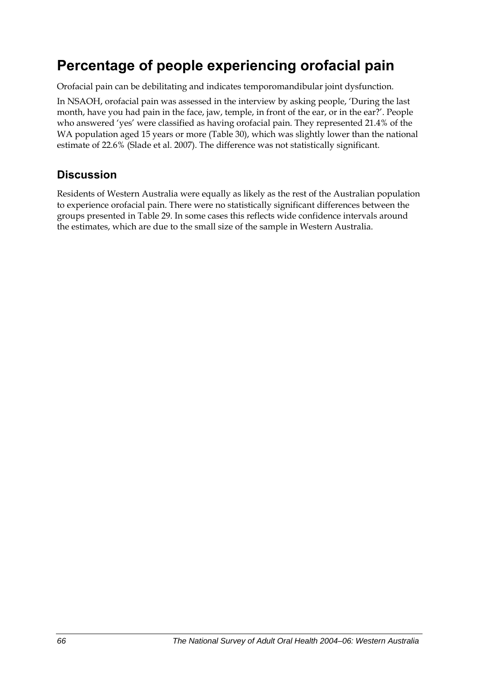## **Percentage of people experiencing orofacial pain**

Orofacial pain can be debilitating and indicates temporomandibular joint dysfunction.

In NSAOH, orofacial pain was assessed in the interview by asking people, 'During the last month, have you had pain in the face, jaw, temple, in front of the ear, or in the ear?'. People who answered 'yes' were classified as having orofacial pain. They represented 21.4% of the WA population aged 15 years or more [\(Table 30\)](#page-74-0), which was slightly lower than the national estimate of 22.6% (Slade et al. 2007). The difference was not statistically significant.

### **Discussion**

Residents of Western Australia were equally as likely as the rest of the Australian population to experience orofacial pain. There were no statistically significant differences between the groups presented in Table 29. In some cases this reflects wide confidence intervals around the estimates, which are due to the small size of the sample in Western Australia.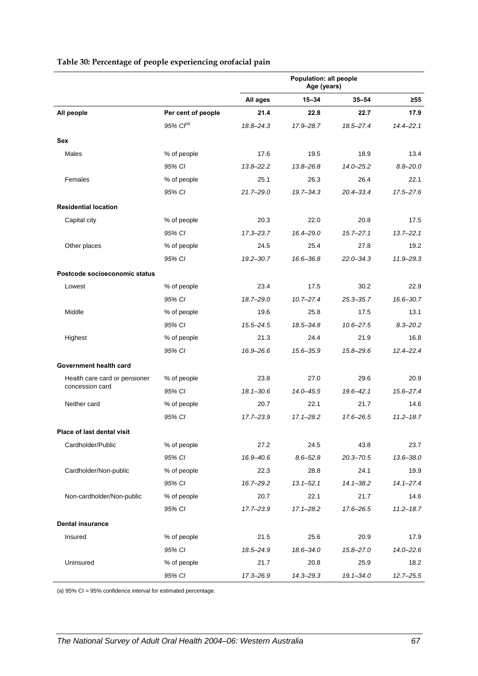<span id="page-74-0"></span>

|                               |                       |               | Population: all people<br>Age (years) |               |               |
|-------------------------------|-----------------------|---------------|---------------------------------------|---------------|---------------|
|                               |                       | All ages      | $15 - 34$                             | $35 - 54$     | ≥55           |
| All people                    | Per cent of people    | 21.4          | 22.8                                  | 22.7          | 17.9          |
|                               | 95% Cl <sup>(a)</sup> | 18.8-24.3     | 17.9-28.7                             | 18.5-27.4     | $14.4 - 22.1$ |
| Sex                           |                       |               |                                       |               |               |
| Males                         | % of people           | 17.6          | 19.5                                  | 18.9          | 13.4          |
|                               | 95% CI                | $13.8 - 22.2$ | $13.8 - 26.8$                         | $14.0 - 25.2$ | $8.8 - 20.0$  |
| Females                       | % of people           | 25.1          | 26.3                                  | 26.4          | 22.1          |
|                               | 95% CI                | $21.7 - 29.0$ | $19.7 - 34.3$                         | $20.4 - 33.4$ | $17.5 - 27.6$ |
| <b>Residential location</b>   |                       |               |                                       |               |               |
| Capital city                  | % of people           | 20.3          | 22.0                                  | 20.8          | 17.5          |
|                               | 95% CI                | $17.3 - 23.7$ | 16.4-29.0                             | $15.7 - 27.1$ | $13.7 - 22.1$ |
| Other places                  | % of people           | 24.5          | 25.4                                  | 27.8          | 19.2          |
|                               | 95% CI                | $19.2 - 30.7$ | 16.6-36.8                             | $22.0 - 34.3$ | 11.9-29.3     |
| Postcode socioeconomic status |                       |               |                                       |               |               |
| Lowest                        | % of people           | 23.4          | 17.5                                  | 30.2          | 22.9          |
|                               | 95% CI                | 18.7-29.0     | $10.7 - 27.4$                         | $25.3 - 35.7$ | $16.6 - 30.7$ |
| Middle                        | % of people           | 19.6          | 25.8                                  | 17.5          | 13.1          |
|                               | 95% CI                | $15.5 - 24.5$ | 18.5-34.8                             | $10.6 - 27.5$ | $8.3 - 20.2$  |
| Highest                       | % of people           | 21.3          | 24.4                                  | 21.9          | 16.8          |
|                               | 95% CI                | 16.9-26.6     | 15.6-35.9                             | 15.8-29.6     | $12.4 - 22.4$ |
| Government health card        |                       |               |                                       |               |               |
| Health care card or pensioner | % of people           | 23.8          | 27.0                                  | 29.6          | 20.9          |
| concession card               | 95% CI                | $18.1 - 30.6$ | 14.0-45.5                             | $19.6 - 42.1$ | $15.6 - 27.4$ |
| Neither card                  | % of people           | 20.7          | 22.1                                  | 21.7          | 14.6          |
|                               | 95% CI                | 17.7-23.9     | $17.1 - 28.2$                         | 17.6-26.5     | $11.2 - 18.7$ |
|                               |                       |               |                                       |               |               |
| Place of last dental visit    |                       |               |                                       |               |               |
| Cardholder/Public             | % of people           | 27.2          | 24.5                                  | 43.8          | 23.7          |
|                               | 95% CI                | 16.9-40.6     | $8.6 - 52.8$                          | $20.3 - 70.5$ | 13.6-38.0     |
| Cardholder/Non-public         | % of people           | 22.3          | 28.8                                  | 24.1          | 19.9          |
|                               | 95% CI                | $16.7 - 29.2$ | $13.1 - 52.1$                         | $14.1 - 38.2$ | $14.1 - 27.4$ |
| Non-cardholder/Non-public     | % of people           | 20.7          | 22.1                                  | 21.7          | 14.6          |
|                               | 95% CI                | 17.7-23.9     | $17.1 - 28.2$                         | 17.6-26.5     | $11.2 - 18.7$ |
| <b>Dental insurance</b>       |                       |               |                                       |               |               |
| Insured                       | % of people           | 21.5          | 25.6                                  | 20.9          | 17.9          |
|                               | 95% CI                | 18.5-24.9     | 18.6-34.0                             | $15.8 - 27.0$ | $14.0 - 22.6$ |
| Uninsured                     | % of people           | 21.7          | 20.8                                  | 25.9          | 18.2          |
|                               | 95% CI                | 17.3-26.9     | 14.3-29.3                             | $19.1 - 34.0$ | $12.7 - 25.5$ |

#### <span id="page-74-1"></span>**Table 30: Percentage of people experiencing orofacial pain**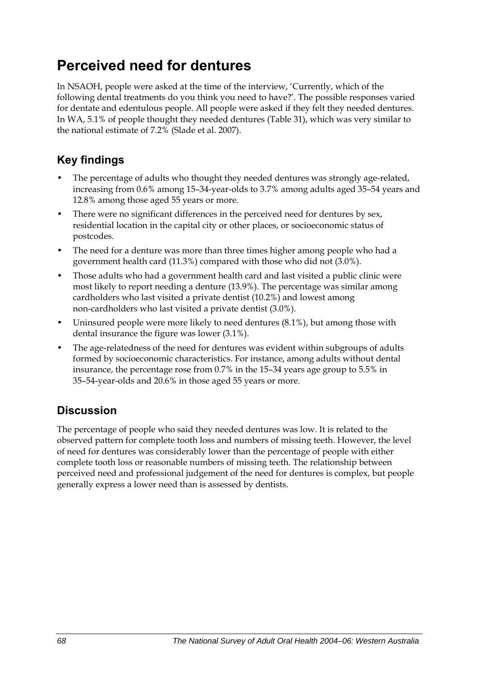## **Perceived need for dentures**

In NSAOH, people were asked at the time of the interview, 'Currently, which of the following dental treatments do you think you need to have?'. The possible responses varied for dentate and edentulous people. All people were asked if they felt they needed dentures. In WA, 5.1% of people thought they needed dentures [\(Table 31\)](#page-76-0), which was very similar to the national estimate of 7.2% (Slade et al. 2007).

### **Key findings**

- The percentage of adults who thought they needed dentures was strongly age-related, increasing from 0.6% among 15–34-year-olds to 3.7% among adults aged 35–54 years and 12.8% among those aged 55 years or more.
- There were no significant differences in the perceived need for dentures by sex, residential location in the capital city or other places, or socioeconomic status of postcodes.
- The need for a denture was more than three times higher among people who had a government health card (11.3%) compared with those who did not (3.0%).
- Those adults who had a government health card and last visited a public clinic were most likely to report needing a denture (13.9%). The percentage was similar among cardholders who last visited a private dentist (10.2%) and lowest among non-cardholders who last visited a private dentist (3.0%).
- Uninsured people were more likely to need dentures (8.1%), but among those with dental insurance the figure was lower (3.1%).
- The age-relatedness of the need for dentures was evident within subgroups of adults formed by socioeconomic characteristics. For instance, among adults without dental insurance, the percentage rose from 0.7% in the 15–34 years age group to 5.5% in 35–54-year-olds and 20.6% in those aged 55 years or more.

### **Discussion**

The percentage of people who said they needed dentures was low. It is related to the observed pattern for complete tooth loss and numbers of missing teeth. However, the level of need for dentures was considerably lower than the percentage of people with either complete tooth loss or reasonable numbers of missing teeth. The relationship between perceived need and professional judgement of the need for dentures is complex, but people generally express a lower need than is assessed by dentists.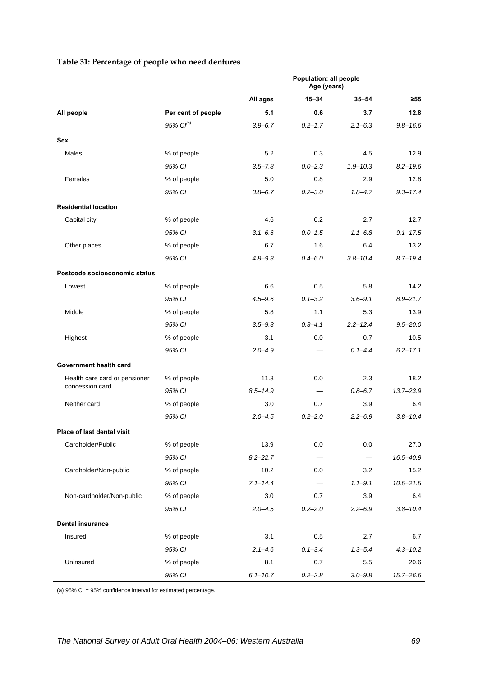<span id="page-76-0"></span>

|                               |                       |              | Population: all people<br>Age (years) |              |               |
|-------------------------------|-----------------------|--------------|---------------------------------------|--------------|---------------|
|                               |                       | All ages     | $15 - 34$                             | $35 - 54$    | $\geq 55$     |
| All people                    | Per cent of people    | 5.1          | 0.6                                   | 3.7          | 12.8          |
|                               | 95% Cl <sup>(a)</sup> | $3.9 - 6.7$  | $0.2 - 1.7$                           | $2.1 - 6.3$  | $9.8 - 16.6$  |
| <b>Sex</b>                    |                       |              |                                       |              |               |
| Males                         | % of people           | 5.2          | 0.3                                   | 4.5          | 12.9          |
|                               | 95% CI                | $3.5 - 7.8$  | $0.0 - 2.3$                           | $1.9 - 10.3$ | $8.2 - 19.6$  |
| Females                       | % of people           | 5.0          | 0.8                                   | 2.9          | 12.8          |
|                               | 95% CI                | $3.8 - 6.7$  | $0.2 - 3.0$                           | $1.8 - 4.7$  | $9.3 - 17.4$  |
| <b>Residential location</b>   |                       |              |                                       |              |               |
| Capital city                  | % of people           | 4.6          | 0.2                                   | 2.7          | 12.7          |
|                               | 95% CI                | $3.1 - 6.6$  | $0.0 - 1.5$                           | $1.1 - 6.8$  | $9.1 - 17.5$  |
| Other places                  | % of people           | 6.7          | 1.6                                   | 6.4          | 13.2          |
|                               | 95% CI                | $4.8 - 9.3$  | $0.4 - 6.0$                           | $3.8 - 10.4$ | $8.7 - 19.4$  |
| Postcode socioeconomic status |                       |              |                                       |              |               |
| Lowest                        | % of people           | 6.6          | 0.5                                   | 5.8          | 14.2          |
|                               | 95% CI                | $4.5 - 9.6$  | $0.1 - 3.2$                           | $3.6 - 9.1$  | $8.9 - 21.7$  |
| Middle                        | % of people           | 5.8          | 1.1                                   | 5.3          | 13.9          |
|                               | 95% CI                | $3.5 - 9.3$  | $0.3 - 4.1$                           | $2.2 - 12.4$ | $9.5 - 20.0$  |
| Highest                       | % of people           | 3.1          | 0.0                                   | 0.7          | 10.5          |
|                               | 95% CI                | $2.0 - 4.9$  |                                       | $0.1 - 4.4$  | $6.2 - 17.1$  |
| Government health card        |                       |              |                                       |              |               |
| Health care card or pensioner | % of people           | 11.3         | 0.0                                   | 2.3          | 18.2          |
| concession card               | 95% CI                | $8.5 - 14.9$ |                                       | $0.8 - 6.7$  | 13.7-23.9     |
| Neither card                  | % of people           | 3.0          | 0.7                                   | 3.9          | 6.4           |
|                               | 95% CI                | $2.0 - 4.5$  | $0.2 - 2.0$                           | $2.2 - 6.9$  | $3.8 - 10.4$  |
| Place of last dental visit    |                       |              |                                       |              |               |
| Cardholder/Public             | % of people           | 13.9         | 0.0                                   | 0.0          | 27.0          |
|                               | 95% CI                | $8.2 - 22.7$ |                                       | $\equiv$     | 16.5-40.9     |
| Cardholder/Non-public         | % of people           | 10.2         | 0.0                                   | 3.2          | 15.2          |
|                               | 95% CI                | $7.1 - 14.4$ |                                       | $1.1 - 9.1$  | $10.5 - 21.5$ |
| Non-cardholder/Non-public     | % of people           | 3.0          | 0.7                                   | 3.9          | 6.4           |
|                               | 95% CI                | $2.0 - 4.5$  | $0.2 - 2.0$                           | $2.2 - 6.9$  | $3.8 - 10.4$  |
| <b>Dental insurance</b>       |                       |              |                                       |              |               |
| Insured                       | % of people           | 3.1          | 0.5                                   | 2.7          | 6.7           |
|                               | 95% CI                | $2.1 - 4.6$  | $0.1 - 3.4$                           | $1.3 - 5.4$  | $4.3 - 10.2$  |
| Uninsured                     | % of people           | 8.1          | 0.7                                   | 5.5          | 20.6          |
|                               | 95% CI                | $6.1 - 10.7$ | $0.2 - 2.8$                           | $3.0 - 9.8$  | $15.7 - 26.6$ |

#### <span id="page-76-1"></span>**Table 31: Percentage of people who need dentures**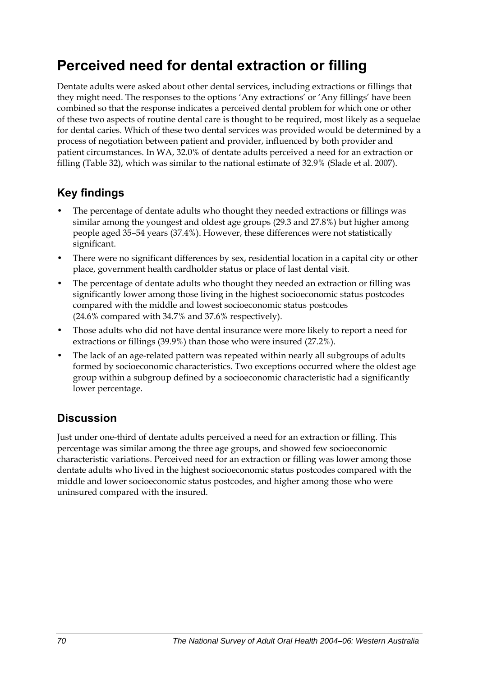## **Perceived need for dental extraction or filling**

Dentate adults were asked about other dental services, including extractions or fillings that they might need. The responses to the options 'Any extractions' or 'Any fillings' have been combined so that the response indicates a perceived dental problem for which one or other of these two aspects of routine dental care is thought to be required, most likely as a sequelae for dental caries. Which of these two dental services was provided would be determined by a process of negotiation between patient and provider, influenced by both provider and patient circumstances. In WA, 32.0% of dentate adults perceived a need for an extraction or filling [\(Table 32\)](#page-78-0), which was similar to the national estimate of 32.9% (Slade et al. 2007).

## **Key findings**

- The percentage of dentate adults who thought they needed extractions or fillings was similar among the youngest and oldest age groups (29.3 and 27.8%) but higher among people aged 35–54 years (37.4%). However, these differences were not statistically significant.
- There were no significant differences by sex, residential location in a capital city or other place, government health cardholder status or place of last dental visit.
- The percentage of dentate adults who thought they needed an extraction or filling was significantly lower among those living in the highest socioeconomic status postcodes compared with the middle and lowest socioeconomic status postcodes (24.6% compared with 34.7% and 37.6% respectively).
- Those adults who did not have dental insurance were more likely to report a need for extractions or fillings (39.9%) than those who were insured (27.2%).
- The lack of an age-related pattern was repeated within nearly all subgroups of adults formed by socioeconomic characteristics. Two exceptions occurred where the oldest age group within a subgroup defined by a socioeconomic characteristic had a significantly lower percentage.

### **Discussion**

Just under one-third of dentate adults perceived a need for an extraction or filling. This percentage was similar among the three age groups, and showed few socioeconomic characteristic variations. Perceived need for an extraction or filling was lower among those dentate adults who lived in the highest socioeconomic status postcodes compared with the middle and lower socioeconomic status postcodes, and higher among those who were uninsured compared with the insured.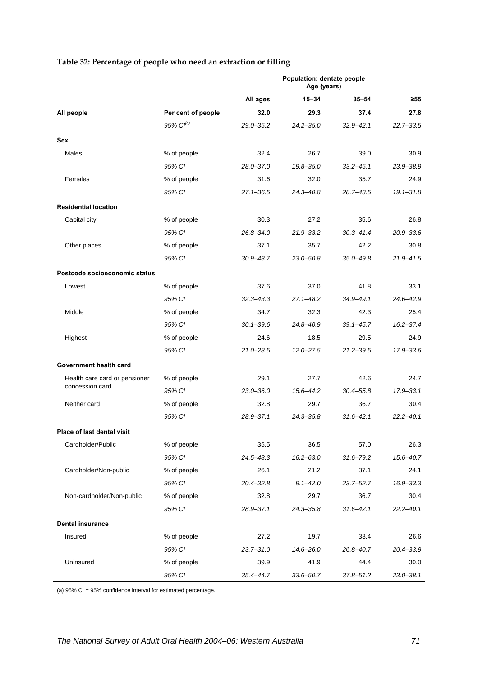<span id="page-78-0"></span>

|                               |                       | Population: dentate people<br>Age (years) |               |               |               |  |
|-------------------------------|-----------------------|-------------------------------------------|---------------|---------------|---------------|--|
|                               |                       | All ages                                  | 15-34         | $35 - 54$     | $\geq 55$     |  |
| All people                    | Per cent of people    | 32.0                                      | 29.3          | 37.4          | 27.8          |  |
|                               | 95% Cl <sup>(a)</sup> | $29.0 - 35.2$                             | $24.2 - 35.0$ | $32.9 - 42.1$ | $22.7 - 33.5$ |  |
| Sex                           |                       |                                           |               |               |               |  |
| Males                         | % of people           | 32.4                                      | 26.7          | 39.0          | 30.9          |  |
|                               | 95% CI                | $28.0 - 37.0$                             | $19.8 - 35.0$ | $33.2 - 45.1$ | 23.9-38.9     |  |
| Females                       | % of people           | 31.6                                      | 32.0          | 35.7          | 24.9          |  |
|                               | 95% CI                | $27.1 - 36.5$                             | 24.3-40.8     | $28.7 - 43.5$ | $19.1 - 31.8$ |  |
| <b>Residential location</b>   |                       |                                           |               |               |               |  |
| Capital city                  | % of people           | 30.3                                      | 27.2          | 35.6          | 26.8          |  |
|                               | 95% CI                | $26.8 - 34.0$                             | 21.9-33.2     | $30.3 - 41.4$ | $20.9 - 33.6$ |  |
| Other places                  | % of people           | 37.1                                      | 35.7          | 42.2          | 30.8          |  |
|                               | 95% CI                | $30.9 - 43.7$                             | $23.0 - 50.8$ | $35.0 - 49.8$ | $21.9 - 41.5$ |  |
| Postcode socioeconomic status |                       |                                           |               |               |               |  |
| Lowest                        | % of people           | 37.6                                      | 37.0          | 41.8          | 33.1          |  |
|                               | 95% CI                | $32.3 - 43.3$                             | 27.1-48.2     | 34.9-49.1     | 24.6-42.9     |  |
| Middle                        | % of people           | 34.7                                      | 32.3          | 42.3          | 25.4          |  |
|                               | 95% CI                | $30.1 - 39.6$                             | 24.8-40.9     | $39.1 - 45.7$ | $16.2 - 37.4$ |  |
| Highest                       | % of people           | 24.6                                      | 18.5          | 29.5          | 24.9          |  |
|                               | 95% CI                | $21.0 - 28.5$                             | $12.0 - 27.5$ | $21.2 - 39.5$ | 17.9-33.6     |  |
| Government health card        |                       |                                           |               |               |               |  |
| Health care card or pensioner | % of people           | 29.1                                      | 27.7          | 42.6          | 24.7          |  |
| concession card               | 95% CI                | $23.0 - 36.0$                             | 15.6-44.2     | $30.4 - 55.8$ | $17.9 - 33.1$ |  |
| Neither card                  | % of people           | 32.8                                      | 29.7          | 36.7          | 30.4          |  |
|                               | 95% CI                | $28.9 - 37.1$                             | 24.3-35.8     | $31.6 - 42.1$ | $22.2 - 40.1$ |  |
| Place of last dental visit    |                       |                                           |               |               |               |  |
| Cardholder/Public             | % of people           | 35.5                                      | 36.5          | 57.0          | 26.3          |  |
|                               | 95% CI                | $24.5 - 48.3$                             | $16.2 - 63.0$ | $31.6 - 79.2$ | 15.6-40.7     |  |
| Cardholder/Non-public         | % of people           | 26.1                                      | 21.2          | 37.1          | 24.1          |  |
|                               | 95% CI                | $20.4 - 32.8$                             | $9.1 - 42.0$  | $23.7 - 52.7$ | 16.9-33.3     |  |
| Non-cardholder/Non-public     | % of people           | 32.8                                      | 29.7          | 36.7          | 30.4          |  |
|                               | 95% CI                | 28.9-37.1                                 | $24.3 - 35.8$ | $31.6 - 42.1$ | $22.2 - 40.1$ |  |
| <b>Dental insurance</b>       |                       |                                           |               |               |               |  |
| Insured                       | % of people           | 27.2                                      | 19.7          | 33.4          | 26.6          |  |
|                               | 95% CI                | $23.7 - 31.0$                             | 14.6-26.0     | 26.8-40.7     | 20.4-33.9     |  |
| Uninsured                     | % of people           | 39.9                                      | 41.9          | 44.4          | 30.0          |  |
|                               | 95% CI                | $35.4 - 44.7$                             | $33.6 - 50.7$ | $37.8 - 51.2$ | $23.0 - 38.1$ |  |

#### <span id="page-78-1"></span>**Table 32: Percentage of people who need an extraction or filling**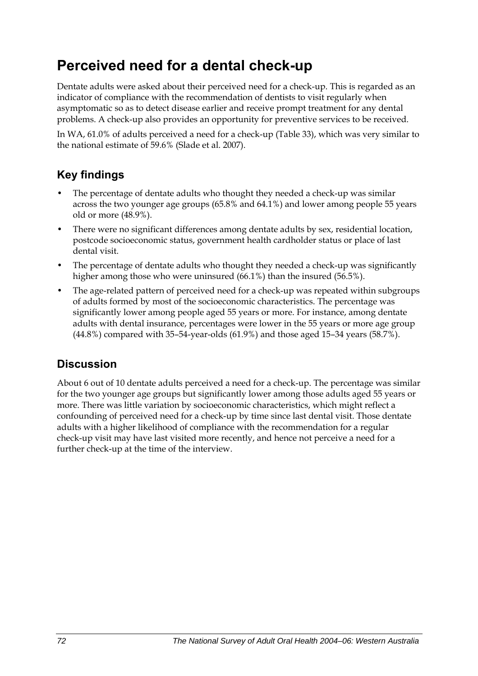## **Perceived need for a dental check-up**

Dentate adults were asked about their perceived need for a check-up. This is regarded as an indicator of compliance with the recommendation of dentists to visit regularly when asymptomatic so as to detect disease earlier and receive prompt treatment for any dental problems. A check-up also provides an opportunity for preventive services to be received.

In WA, 61.0% of adults perceived a need for a check-up ([Table 33](#page-80-0)), which was very similar to the national estimate of 59.6% (Slade et al. 2007).

### **Key findings**

- The percentage of dentate adults who thought they needed a check-up was similar across the two younger age groups (65.8% and 64.1%) and lower among people 55 years old or more (48.9%).
- There were no significant differences among dentate adults by sex, residential location, postcode socioeconomic status, government health cardholder status or place of last dental visit.
- The percentage of dentate adults who thought they needed a check-up was significantly higher among those who were uninsured (66.1%) than the insured (56.5%).
- The age-related pattern of perceived need for a check-up was repeated within subgroups of adults formed by most of the socioeconomic characteristics. The percentage was significantly lower among people aged 55 years or more. For instance, among dentate adults with dental insurance, percentages were lower in the 55 years or more age group (44.8%) compared with 35–54-year-olds (61.9%) and those aged 15–34 years (58.7%).

### **Discussion**

About 6 out of 10 dentate adults perceived a need for a check-up. The percentage was similar for the two younger age groups but significantly lower among those adults aged 55 years or more. There was little variation by socioeconomic characteristics, which might reflect a confounding of perceived need for a check-up by time since last dental visit. Those dentate adults with a higher likelihood of compliance with the recommendation for a regular check-up visit may have last visited more recently, and hence not perceive a need for a further check-up at the time of the interview.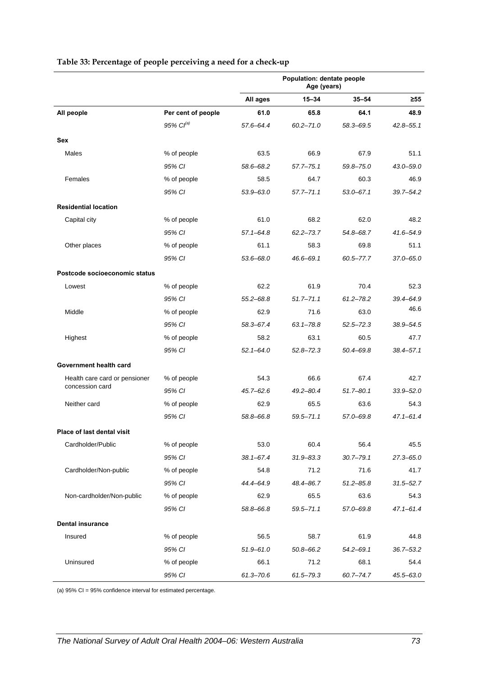<span id="page-80-0"></span>

|                               |                       | <b>Population: dentate people</b><br>Age (years) |               |               |               |
|-------------------------------|-----------------------|--------------------------------------------------|---------------|---------------|---------------|
|                               |                       | All ages                                         | $15 - 34$     | $35 - 54$     | ≥55           |
| All people                    | Per cent of people    | 61.0                                             | 65.8          | 64.1          | 48.9          |
|                               | 95% Cl <sup>(a)</sup> | 57.6-64.4                                        | $60.2 - 71.0$ | 58.3-69.5     | $42.8 - 55.1$ |
| Sex                           |                       |                                                  |               |               |               |
| Males                         | % of people           | 63.5                                             | 66.9          | 67.9          | 51.1          |
|                               | 95% CI                | 58.6-68.2                                        | $57.7 - 75.1$ | $59.8 - 75.0$ | 43.0–59.0     |
| Females                       | % of people           | 58.5                                             | 64.7          | 60.3          | 46.9          |
|                               | 95% CI                | $53.9 - 63.0$                                    | $57.7 - 71.1$ | $53.0 - 67.1$ | 39.7-54.2     |
| <b>Residential location</b>   |                       |                                                  |               |               |               |
| Capital city                  | % of people           | 61.0                                             | 68.2          | 62.0          | 48.2          |
|                               | 95% CI                | $57.1 - 64.8$                                    | $62.2 - 73.7$ | 54.8-68.7     | 41.6-54.9     |
| Other places                  | % of people           | 61.1                                             | 58.3          | 69.8          | 51.1          |
|                               | 95% CI                | $53.6 - 68.0$                                    | $46.6 - 69.1$ | 60.5-77.7     | 37.0-65.0     |
| Postcode socioeconomic status |                       |                                                  |               |               |               |
| Lowest                        | % of people           | 62.2                                             | 61.9          | 70.4          | 52.3          |
|                               | 95% CI                | $55.2 - 68.8$                                    | $51.7 - 71.1$ | $61.2 - 78.2$ | 39.4-64.9     |
| Middle                        | % of people           | 62.9                                             | 71.6          | 63.0          | 46.6          |
|                               | 95% CI                | 58.3-67.4                                        | $63.1 - 78.8$ | $52.5 - 72.3$ | 38.9-54.5     |
| Highest                       | % of people           | 58.2                                             | 63.1          | 60.5          | 47.7          |
|                               | 95% CI                | $52.1 - 64.0$                                    | $52.8 - 72.3$ | 50.4-69.8     | $38.4 - 57.1$ |
| Government health card        |                       |                                                  |               |               |               |
| Health care card or pensioner | % of people           | 54.3                                             | 66.6          | 67.4          | 42.7          |
| concession card               | 95% CI                | $45.7 - 62.6$                                    | $49.2 - 80.4$ | $51.7 - 80.1$ | $33.9 - 52.0$ |
| Neither card                  | % of people           | 62.9                                             | 65.5          | 63.6          | 54.3          |
|                               | 95% CI                | 58.8-66.8                                        | $59.5 - 71.1$ | 57.0-69.8     | $47.1 - 61.4$ |
| Place of last dental visit    |                       |                                                  |               |               |               |
| Cardholder/Public             | % of people           | 53.0                                             | 60.4          | 56.4          | 45.5          |
|                               | 95% CI                | $38.1 - 67.4$                                    | $31.9 - 83.3$ | $30.7 - 79.1$ | $27.3 - 65.0$ |
| Cardholder/Non-public         | % of people           | 54.8                                             | 71.2          | 71.6          | 41.7          |
|                               | 95% CI                | 44.4-64.9                                        | 48.4-86.7     | $51.2 - 85.8$ | $31.5 - 52.7$ |
| Non-cardholder/Non-public     | % of people           | 62.9                                             | 65.5          | 63.6          | 54.3          |
|                               | 95% CI                | 58.8-66.8                                        | $59.5 - 71.1$ | 57.0-69.8     | $47.1 - 61.4$ |
| <b>Dental insurance</b>       |                       |                                                  |               |               |               |
| Insured                       | % of people           | 56.5                                             | 58.7          | 61.9          | 44.8          |
|                               | 95% CI                | $51.9 - 61.0$                                    | $50.8 - 66.2$ | $54.2 - 69.1$ | $36.7 - 53.2$ |
| Uninsured                     | % of people           | 66.1                                             | 71.2          | 68.1          | 54.4          |
|                               | 95% CI                | $61.3 - 70.6$                                    | 61.5-79.3     | 60.7-74.7     | 45.5-63.0     |

#### <span id="page-80-1"></span>**Table 33: Percentage of people perceiving a need for a check-up**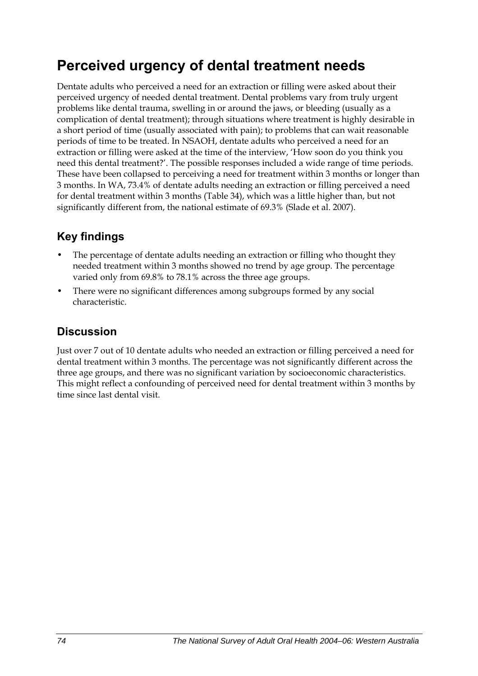## **Perceived urgency of dental treatment needs**

Dentate adults who perceived a need for an extraction or filling were asked about their perceived urgency of needed dental treatment. Dental problems vary from truly urgent problems like dental trauma, swelling in or around the jaws, or bleeding (usually as a complication of dental treatment); through situations where treatment is highly desirable in a short period of time (usually associated with pain); to problems that can wait reasonable periods of time to be treated. In NSAOH, dentate adults who perceived a need for an extraction or filling were asked at the time of the interview, 'How soon do you think you need this dental treatment?'. The possible responses included a wide range of time periods. These have been collapsed to perceiving a need for treatment within 3 months or longer than 3 months. In WA, 73.4% of dentate adults needing an extraction or filling perceived a need for dental treatment within 3 months [\(Table 34\)](#page-82-0), which was a little higher than, but not significantly different from, the national estimate of 69.3% (Slade et al. 2007).

### **Key findings**

- The percentage of dentate adults needing an extraction or filling who thought they needed treatment within 3 months showed no trend by age group. The percentage varied only from 69.8% to 78.1% across the three age groups.
- There were no significant differences among subgroups formed by any social characteristic.

### **Discussion**

Just over 7 out of 10 dentate adults who needed an extraction or filling perceived a need for dental treatment within 3 months. The percentage was not significantly different across the three age groups, and there was no significant variation by socioeconomic characteristics. This might reflect a confounding of perceived need for dental treatment within 3 months by time since last dental visit.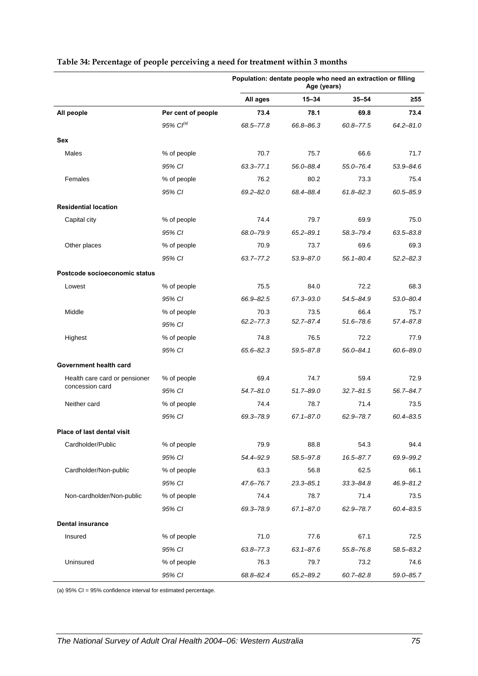|                               |                    | Population: dentate people who need an extraction or filling<br>Age (years) |               |               |               |
|-------------------------------|--------------------|-----------------------------------------------------------------------------|---------------|---------------|---------------|
|                               |                    | All ages                                                                    | 15-34         | $35 - 54$     | ≥55           |
| All people                    | Per cent of people | 73.4                                                                        | 78.1          | 69.8          | 73.4          |
|                               | 95% $Cl^{(a)}$     | 68.5-77.8                                                                   | 66.8-86.3     | $60.8 - 77.5$ | $64.2 - 81.0$ |
| Sex                           |                    |                                                                             |               |               |               |
| Males                         | % of people        | 70.7                                                                        | 75.7          | 66.6          | 71.7          |
|                               | 95% CI             | $63.3 - 77.1$                                                               | 56.0-88.4     | $55.0 - 76.4$ | 53.9-84.6     |
| Females                       | % of people        | 76.2                                                                        | 80.2          | 73.3          | 75.4          |
|                               | 95% CI             | $69.2 - 82.0$                                                               | 68.4-88.4     | $61.8 - 82.3$ | $60.5 - 85.9$ |
| <b>Residential location</b>   |                    |                                                                             |               |               |               |
| Capital city                  | % of people        | 74.4                                                                        | 79.7          | 69.9          | 75.0          |
|                               | 95% CI             | 68.0-79.9                                                                   | $65.2 - 89.1$ | 58.3-79.4     | $63.5 - 83.8$ |
| Other places                  | % of people        | 70.9                                                                        | 73.7          | 69.6          | 69.3          |
|                               | 95% CI             | $63.7 - 77.2$                                                               | 53.9-87.0     | $56.1 - 80.4$ | $52.2 - 82.3$ |
| Postcode socioeconomic status |                    |                                                                             |               |               |               |
| Lowest                        | % of people        | 75.5                                                                        | 84.0          | 72.2          | 68.3          |
|                               | 95% CI             | 66.9-82.5                                                                   | 67.3-93.0     | 54.5-84.9     | $53.0 - 80.4$ |
| Middle                        | % of people        | 70.3                                                                        | 73.5          | 66.4          | 75.7          |
|                               | 95% CI             | $62.2 - 77.3$                                                               | $52.7 - 87.4$ | $51.6 - 78.6$ | 57.4-87.8     |
| Highest                       | % of people        | 74.8                                                                        | 76.5          | 72.2          | 77.9          |
|                               | 95% CI             | $65.6 - 82.3$                                                               | 59.5-87.8     | $56.0 - 84.1$ | 60.6-89.0     |
| Government health card        |                    |                                                                             |               |               |               |
| Health care card or pensioner | % of people        | 69.4                                                                        | 74.7          | 59.4          | 72.9          |
| concession card               | 95% CI             | $54.7 - 81.0$                                                               | 51.7-89.0     | $32.7 - 81.5$ | 56.7-84.7     |
| Neither card                  | % of people        | 74.4                                                                        | 78.7          | 71.4          | 73.5          |
|                               | 95% CI             | 69.3-78.9                                                                   | $67.1 - 87.0$ | 62.9-78.7     | 60.4-83.5     |
| Place of last dental visit    |                    |                                                                             |               |               |               |
| Cardholder/Public             | % of people        | 79.9                                                                        | 88.8          | 54.3          | 94.4          |
|                               | 95% CI             | 54.4-92.9                                                                   | 58.5-97.8     | $16.5 - 87.7$ | 69.9-99.2     |
| Cardholder/Non-public         | % of people        | 63.3                                                                        | 56.8          | 62.5          | 66.1          |
|                               | 95% CI             | 47.6-76.7                                                                   | $23.3 - 85.1$ | $33.3 - 84.8$ | 46.9-81.2     |
| Non-cardholder/Non-public     | % of people        | 74.4                                                                        | 78.7          | 71.4          | 73.5          |
|                               | 95% CI             | 69.3-78.9                                                                   | $67.1 - 87.0$ | 62.9-78.7     | $60.4 - 83.5$ |
| <b>Dental insurance</b>       |                    |                                                                             |               |               |               |
| Insured                       | % of people        | 71.0                                                                        | 77.6          | 67.1          | 72.5          |
|                               | 95% CI             | $63.8 - 77.3$                                                               | $63.1 - 87.6$ | 55.8-76.8     | 58.5-83.2     |
| Uninsured                     | % of people        | 76.3                                                                        | 79.7          | 73.2          | 74.6          |
|                               | 95% CI             | 68.8-82.4                                                                   | 65.2-89.2     | $60.7 - 82.8$ | 59.0-85.7     |

#### <span id="page-82-1"></span><span id="page-82-0"></span>**Table 34: Percentage of people perceiving a need for treatment within 3 months**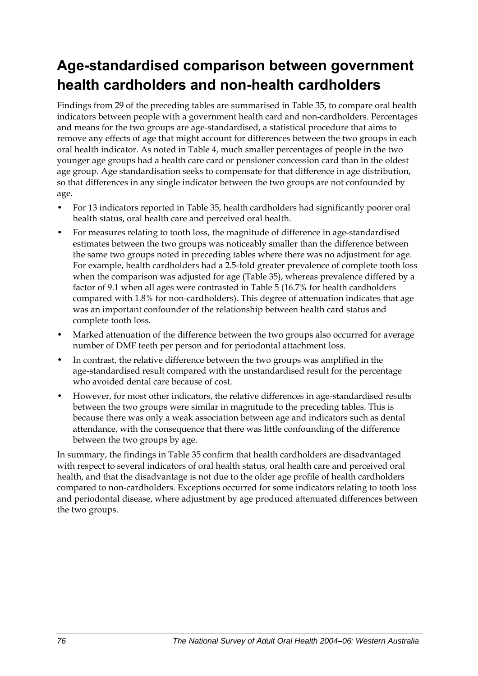## **Age-standardised comparison between government health cardholders and non-health cardholders**

Findings from 29 of the preceding tables are summarised in [Table 35,](#page-84-0) to compare oral health indicators between people with a government health card and non-cardholders. Percentages and means for the two groups are age-standardised, a statistical procedure that aims to remove any effects of age that might account for differences between the two groups in each oral health indicator. As noted in Table 4, much smaller percentages of people in the two younger age groups had a health care card or pensioner concession card than in the oldest age group. Age standardisation seeks to compensate for that difference in age distribution, so that differences in any single indicator between the two groups are not confounded by age.

- For 13 indicators reported in [Table 35,](#page-84-0) health cardholders had significantly poorer oral health status, oral health care and perceived oral health.
- For measures relating to tooth loss, the magnitude of difference in age-standardised estimates between the two groups was noticeably smaller than the difference between the same two groups noted in preceding tables where there was no adjustment for age. For example, health cardholders had a 2.5-fold greater prevalence of complete tooth loss when the comparison was adjusted for age [\(Table 35\)](#page-84-0), whereas prevalence differed by a factor of 9.1 when all ages were contrasted in Table 5 (16.7% for health cardholders compared with 1.8% for non-cardholders). This degree of attenuation indicates that age was an important confounder of the relationship between health card status and complete tooth loss.
- Marked attenuation of the difference between the two groups also occurred for average number of DMF teeth per person and for periodontal attachment loss.
- In contrast, the relative difference between the two groups was amplified in the age-standardised result compared with the unstandardised result for the percentage who avoided dental care because of cost.
- However, for most other indicators, the relative differences in age-standardised results between the two groups were similar in magnitude to the preceding tables. This is because there was only a weak association between age and indicators such as dental attendance, with the consequence that there was little confounding of the difference between the two groups by age.

In summary, the findings in [Table 35](#page-84-0) confirm that health cardholders are disadvantaged with respect to several indicators of oral health status, oral health care and perceived oral health, and that the disadvantage is not due to the older age profile of health cardholders compared to non-cardholders. Exceptions occurred for some indicators relating to tooth loss and periodontal disease, where adjustment by age produced attenuated differences between the two groups.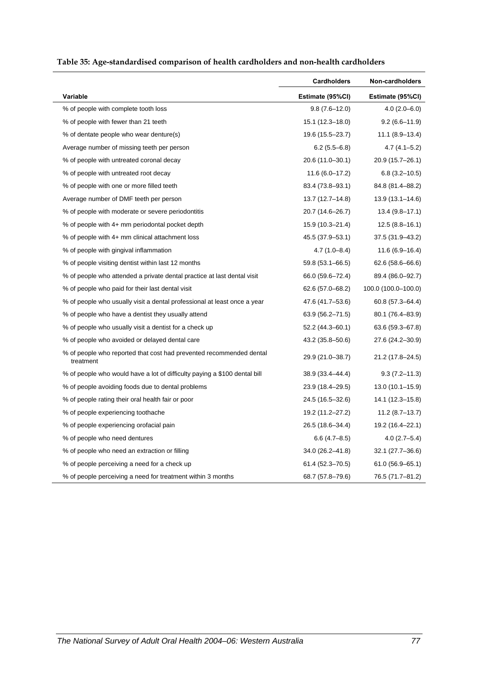<span id="page-84-0"></span>

|                                                                                  | <b>Cardholders</b> | Non-cardholders     |
|----------------------------------------------------------------------------------|--------------------|---------------------|
| Variable                                                                         | Estimate (95%CI)   | Estimate (95%CI)    |
| % of people with complete tooth loss                                             | $9.8(7.6 - 12.0)$  | $4.0(2.0 - 6.0)$    |
| % of people with fewer than 21 teeth                                             | 15.1 (12.3-18.0)   | $9.2(6.6-11.9)$     |
| % of dentate people who wear denture(s)                                          | 19.6 (15.5-23.7)   | $11.1 (8.9 - 13.4)$ |
| Average number of missing teeth per person                                       | $6.2(5.5-6.8)$     | $4.7(4.1 - 5.2)$    |
| % of people with untreated coronal decay                                         | 20.6 (11.0–30.1)   | 20.9 (15.7–26.1)    |
| % of people with untreated root decay                                            | $11.6(6.0-17.2)$   | $6.8(3.2 - 10.5)$   |
| % of people with one or more filled teeth                                        | 83.4 (73.8-93.1)   | 84.8 (81.4-88.2)    |
| Average number of DMF teeth per person                                           | 13.7 (12.7–14.8)   | $13.9(13.1 - 14.6)$ |
| % of people with moderate or severe periodontitis                                | 20.7 (14.6-26.7)   | $13.4(9.8-17.1)$    |
| % of people with 4+ mm periodontal pocket depth                                  | 15.9 (10.3–21.4)   | $12.5(8.8-16.1)$    |
| % of people with 4+ mm clinical attachment loss                                  | 45.5 (37.9–53.1)   | 37.5 (31.9–43.2)    |
| % of people with gingival inflammation                                           | $4.7(1.0 - 8.4)$   | $11.6(6.9-16.4)$    |
| % of people visiting dentist within last 12 months                               | 59.8 (53.1-66.5)   | 62.6 (58.6-66.6)    |
| % of people who attended a private dental practice at last dental visit          | 66.0 (59.6-72.4)   | 89.4 (86.0-92.7)    |
| % of people who paid for their last dental visit                                 | 62.6 (57.0–68.2)   | 100.0 (100.0-100.0) |
| % of people who usually visit a dental professional at least once a year         | 47.6 (41.7-53.6)   | $60.8(57.3 - 64.4)$ |
| % of people who have a dentist they usually attend                               | 63.9 (56.2–71.5)   | 80.1 (76.4–83.9)    |
| % of people who usually visit a dentist for a check up                           | 52.2 (44.3–60.1)   | 63.6 (59.3–67.8)    |
| % of people who avoided or delayed dental care                                   | 43.2 (35.8–50.6)   | 27.6 (24.2–30.9)    |
| % of people who reported that cost had prevented recommended dental<br>treatment | 29.9 (21.0-38.7)   | 21.2 (17.8-24.5)    |
| % of people who would have a lot of difficulty paying a \$100 dental bill        | 38.9 (33.4-44.4)   | $9.3(7.2 - 11.3)$   |
| % of people avoiding foods due to dental problems                                | 23.9 (18.4-29.5)   | 13.0 (10.1-15.9)    |
| % of people rating their oral health fair or poor                                | 24.5 (16.5-32.6)   | 14.1 (12.3-15.8)    |
| % of people experiencing toothache                                               | 19.2 (11.2–27.2)   | $11.2 (8.7 - 13.7)$ |
| % of people experiencing orofacial pain                                          | 26.5 (18.6–34.4)   | 19.2 (16.4–22.1)    |
| % of people who need dentures                                                    | $6.6(4.7-8.5)$     | $4.0(2.7-5.4)$      |
| % of people who need an extraction or filling                                    | 34.0 (26.2–41.8)   | 32.1 (27.7–36.6)    |
| % of people perceiving a need for a check up                                     | 61.4 (52.3-70.5)   | $61.0(56.9 - 65.1)$ |
| % of people perceiving a need for treatment within 3 months                      | 68.7 (57.8-79.6)   | 76.5 (71.7-81.2)    |

<span id="page-84-1"></span>**Table 35: Age-standardised comparison of health cardholders and non-health cardholders**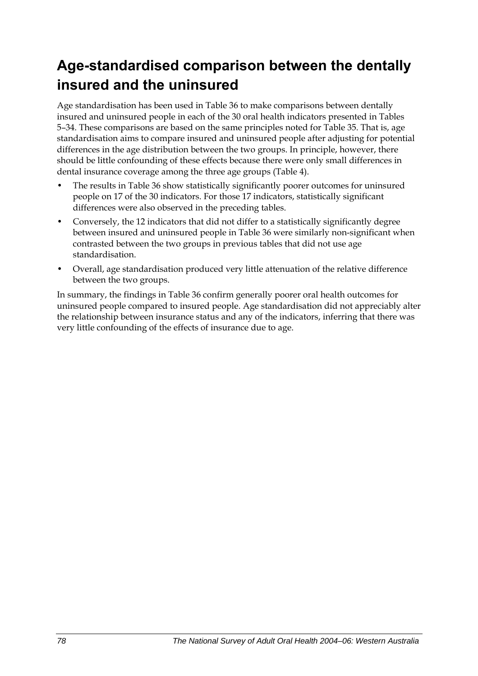## **Age-standardised comparison between the dentally insured and the uninsured**

Age standardisation has been used in [Table 36](#page-86-0) to make comparisons between dentally insured and uninsured people in each of the 30 oral health indicators presented in Tables 5–34. These comparisons are based on the same principles noted for [Table 35](#page-84-0). That is, age standardisation aims to compare insured and uninsured people after adjusting for potential differences in the age distribution between the two groups. In principle, however, there should be little confounding of these effects because there were only small differences in dental insurance coverage among the three age groups (Table 4).

- The results in [Table 36](#page-86-0) show statistically significantly poorer outcomes for uninsured people on 17 of the 30 indicators. For those 17 indicators, statistically significant differences were also observed in the preceding tables.
- Conversely, the 12 indicators that did not differ to a statistically significantly degree between insured and uninsured people in [Table 36](#page-86-0) were similarly non-significant when contrasted between the two groups in previous tables that did not use age standardisation.
- Overall, age standardisation produced very little attenuation of the relative difference between the two groups.

In summary, the findings in [Table 36](#page-86-0) confirm generally poorer oral health outcomes for uninsured people compared to insured people. Age standardisation did not appreciably alter the relationship between insurance status and any of the indicators, inferring that there was very little confounding of the effects of insurance due to age.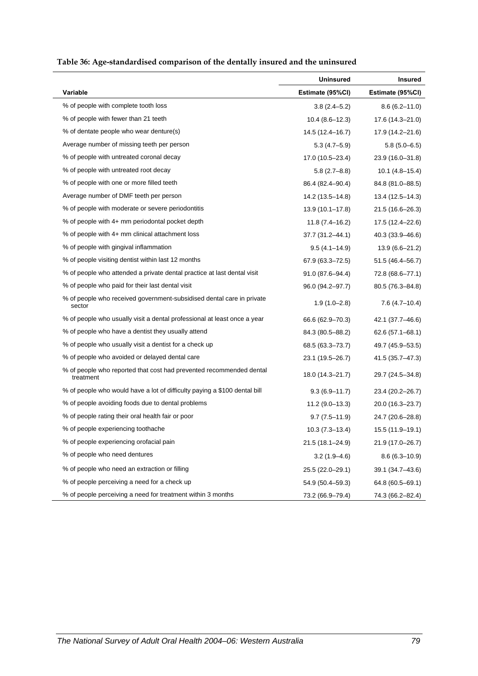<span id="page-86-1"></span>

| Table 36: Age-standardised comparison of the dentally insured and the uninsured |
|---------------------------------------------------------------------------------|
|---------------------------------------------------------------------------------|

<span id="page-86-0"></span>

|                                                                                  | <b>Uninsured</b>    | Insured             |
|----------------------------------------------------------------------------------|---------------------|---------------------|
| Variable                                                                         | Estimate (95%CI)    | Estimate (95%CI)    |
| % of people with complete tooth loss                                             | $3.8(2.4 - 5.2)$    | $8.6(6.2 - 11.0)$   |
| % of people with fewer than 21 teeth                                             | $10.4(8.6-12.3)$    | 17.6 (14.3-21.0)    |
| % of dentate people who wear denture(s)                                          | 14.5 (12.4–16.7)    | 17.9 (14.2-21.6)    |
| Average number of missing teeth per person                                       | $5.3(4.7-5.9)$      | $5.8(5.0-6.5)$      |
| % of people with untreated coronal decay                                         | 17.0 (10.5-23.4)    | 23.9 (16.0–31.8)    |
| % of people with untreated root decay                                            | $5.8(2.7-8.8)$      | $10.1(4.8-15.4)$    |
| % of people with one or more filled teeth                                        | 86.4 (82.4–90.4)    | 84.8 (81.0-88.5)    |
| Average number of DMF teeth per person                                           | 14.2 (13.5–14.8)    | $13.4(12.5 - 14.3)$ |
| % of people with moderate or severe periodontitis                                | $13.9(10.1 - 17.8)$ | 21.5 (16.6-26.3)    |
| % of people with 4+ mm periodontal pocket depth                                  | $11.8(7.4 - 16.2)$  | 17.5 (12.4-22.6)    |
| % of people with 4+ mm clinical attachment loss                                  | 37.7 (31.2–44.1)    | $40.3(33.9 - 46.6)$ |
| % of people with gingival inflammation                                           | $9.5(4.1 - 14.9)$   | $13.9(6.6 - 21.2)$  |
| % of people visiting dentist within last 12 months                               | 67.9 (63.3-72.5)    | $51.5(46.4 - 56.7)$ |
| % of people who attended a private dental practice at last dental visit          | 91.0 (87.6–94.4)    | 72.8 (68.6–77.1)    |
| % of people who paid for their last dental visit                                 | 96.0 (94.2-97.7)    | 80.5 (76.3-84.8)    |
| % of people who received government-subsidised dental care in private<br>sector  | $1.9(1.0 - 2.8)$    | $7.6(4.7-10.4)$     |
| % of people who usually visit a dental professional at least once a year         | 66.6 (62.9–70.3)    | 42.1 (37.7-46.6)    |
| % of people who have a dentist they usually attend                               | 84.3 (80.5–88.2)    | $62.6(57.1 - 68.1)$ |
| % of people who usually visit a dentist for a check up                           | 68.5 (63.3-73.7)    | 49.7 (45.9–53.5)    |
| % of people who avoided or delayed dental care                                   | 23.1 (19.5-26.7)    | 41.5 (35.7-47.3)    |
| % of people who reported that cost had prevented recommended dental<br>treatment | 18.0 (14.3-21.7)    | 29.7 (24.5-34.8)    |
| % of people who would have a lot of difficulty paying a \$100 dental bill        | $9.3(6.9 - 11.7)$   | 23.4 (20.2–26.7)    |
| % of people avoiding foods due to dental problems                                | $11.2(9.0-13.3)$    | 20.0 (16.3-23.7)    |
| % of people rating their oral health fair or poor                                | $9.7(7.5 - 11.9)$   | 24.7 (20.6-28.8)    |
| % of people experiencing toothache                                               | $10.3(7.3 - 13.4)$  | 15.5 (11.9-19.1)    |
| % of people experiencing orofacial pain                                          | 21.5 (18.1-24.9)    | 21.9 (17.0-26.7)    |
| % of people who need dentures                                                    | $3.2(1.9 - 4.6)$    | $8.6(6.3-10.9)$     |
| % of people who need an extraction or filling                                    | 25.5 (22.0-29.1)    | 39.1 (34.7-43.6)    |
| % of people perceiving a need for a check up                                     | 54.9 (50.4-59.3)    | 64.8 (60.5-69.1)    |
| % of people perceiving a need for treatment within 3 months                      | 73.2 (66.9-79.4)    | 74.3 (66.2-82.4)    |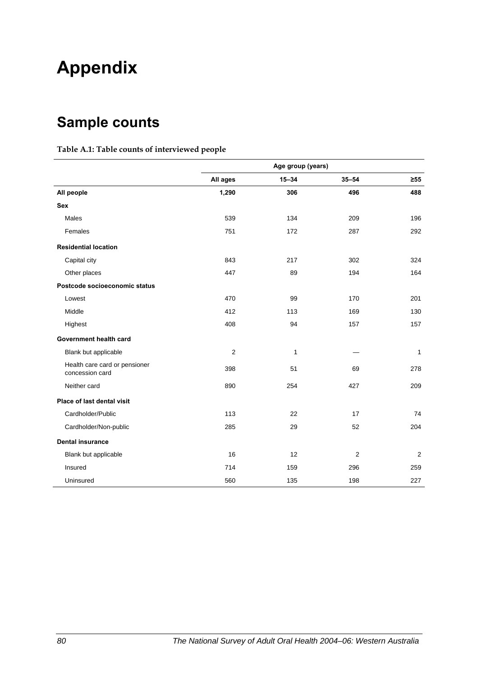# **Appendix**

## **Sample counts**

#### **Table A.1: Table counts of interviewed people**

|                                                  | Age group (years) |           |           |              |
|--------------------------------------------------|-------------------|-----------|-----------|--------------|
|                                                  | All ages          | $15 - 34$ | $35 - 54$ | $\geq 55$    |
| All people                                       | 1,290             | 306       | 496       | 488          |
| <b>Sex</b>                                       |                   |           |           |              |
| Males                                            | 539               | 134       | 209       | 196          |
| Females                                          | 751               | 172       | 287       | 292          |
| <b>Residential location</b>                      |                   |           |           |              |
| Capital city                                     | 843               | 217       | 302       | 324          |
| Other places                                     | 447               | 89        | 194       | 164          |
| Postcode socioeconomic status                    |                   |           |           |              |
| Lowest                                           | 470               | 99        | 170       | 201          |
| Middle                                           | 412               | 113       | 169       | 130          |
| Highest                                          | 408               | 94        | 157       | 157          |
| Government health card                           |                   |           |           |              |
| Blank but applicable                             | $\overline{2}$    | 1         |           | $\mathbf{1}$ |
| Health care card or pensioner<br>concession card | 398               | 51        | 69        | 278          |
| Neither card                                     | 890               | 254       | 427       | 209          |
| Place of last dental visit                       |                   |           |           |              |
| Cardholder/Public                                | 113               | 22        | 17        | 74           |
| Cardholder/Non-public                            | 285               | 29        | 52        | 204          |
| <b>Dental insurance</b>                          |                   |           |           |              |
| Blank but applicable                             | 16                | 12        | 2         | 2            |
| Insured                                          | 714               | 159       | 296       | 259          |
| Uninsured                                        | 560               | 135       | 198       | 227          |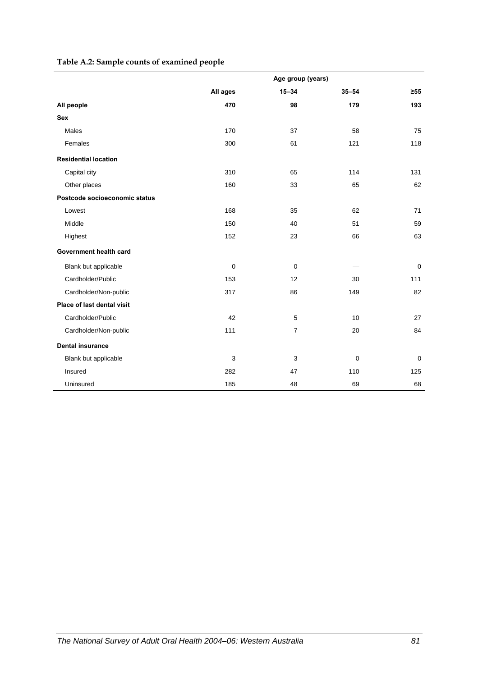#### **Table A.2: Sample counts of examined people**

|                               | Age group (years) |                |           |             |  |
|-------------------------------|-------------------|----------------|-----------|-------------|--|
|                               | All ages          | $15 - 34$      | $35 - 54$ | $\geq 55$   |  |
| All people                    | 470               | 98             | 179       | 193         |  |
| <b>Sex</b>                    |                   |                |           |             |  |
| <b>Males</b>                  | 170               | 37             | 58        | 75          |  |
| Females                       | 300               | 61             | 121       | 118         |  |
| <b>Residential location</b>   |                   |                |           |             |  |
| Capital city                  | 310               | 65             | 114       | 131         |  |
| Other places                  | 160               | 33             | 65        | 62          |  |
| Postcode socioeconomic status |                   |                |           |             |  |
| Lowest                        | 168               | 35             | 62        | 71          |  |
| Middle                        | 150               | 40             | 51        | 59          |  |
| Highest                       | 152               | 23             | 66        | 63          |  |
| Government health card        |                   |                |           |             |  |
| Blank but applicable          | $\mathbf 0$       | 0              |           | $\mathbf 0$ |  |
| Cardholder/Public             | 153               | 12             | 30        | 111         |  |
| Cardholder/Non-public         | 317               | 86             | 149       | 82          |  |
| Place of last dental visit    |                   |                |           |             |  |
| Cardholder/Public             | 42                | 5              | 10        | 27          |  |
| Cardholder/Non-public         | 111               | $\overline{7}$ | 20        | 84          |  |
| <b>Dental insurance</b>       |                   |                |           |             |  |
| Blank but applicable          | 3                 | 3              | 0         | $\mathbf 0$ |  |
| Insured                       | 282               | 47             | 110       | 125         |  |
| Uninsured                     | 185               | 48             | 69        | 68          |  |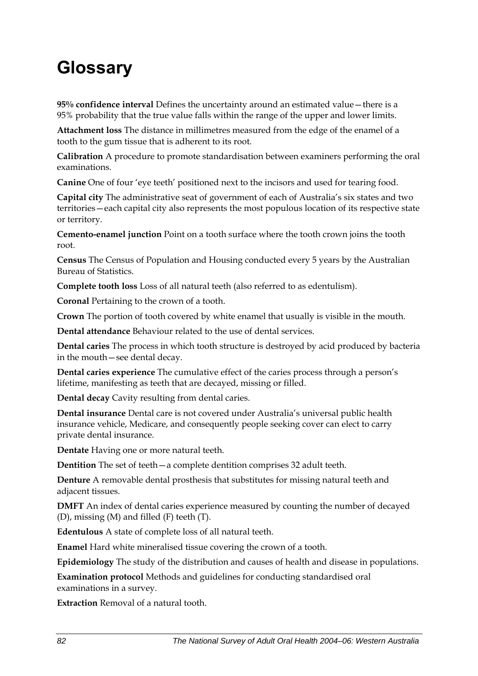# **Glossary**

**95% confidence interval** Defines the uncertainty around an estimated value—there is a 95% probability that the true value falls within the range of the upper and lower limits.

**Attachment loss** The distance in millimetres measured from the edge of the enamel of a tooth to the gum tissue that is adherent to its root.

**Calibration** A procedure to promote standardisation between examiners performing the oral examinations.

**Canine** One of four 'eye teeth' positioned next to the incisors and used for tearing food.

**Capital city** The administrative seat of government of each of Australia's six states and two territories—each capital city also represents the most populous location of its respective state or territory.

**Cemento-enamel junction** Point on a tooth surface where the tooth crown joins the tooth root.

**Census** The Census of Population and Housing conducted every 5 years by the Australian Bureau of Statistics.

**Complete tooth loss** Loss of all natural teeth (also referred to as edentulism).

**Coronal** Pertaining to the crown of a tooth.

**Crown** The portion of tooth covered by white enamel that usually is visible in the mouth.

**Dental attendance** Behaviour related to the use of dental services.

**Dental caries** The process in which tooth structure is destroyed by acid produced by bacteria in the mouth—see dental decay.

**Dental caries experience** The cumulative effect of the caries process through a person's lifetime, manifesting as teeth that are decayed, missing or filled.

**Dental decay** Cavity resulting from dental caries.

**Dental insurance** Dental care is not covered under Australia's universal public health insurance vehicle, Medicare, and consequently people seeking cover can elect to carry private dental insurance.

**Dentate** Having one or more natural teeth.

**Dentition** The set of teeth—a complete dentition comprises 32 adult teeth.

**Denture** A removable dental prosthesis that substitutes for missing natural teeth and adjacent tissues.

**DMFT** An index of dental caries experience measured by counting the number of decayed (D), missing (M) and filled (F) teeth (T).

**Edentulous** A state of complete loss of all natural teeth.

**Enamel** Hard white mineralised tissue covering the crown of a tooth.

**Epidemiology** The study of the distribution and causes of health and disease in populations.

**Examination protocol** Methods and guidelines for conducting standardised oral examinations in a survey.

**Extraction** Removal of a natural tooth.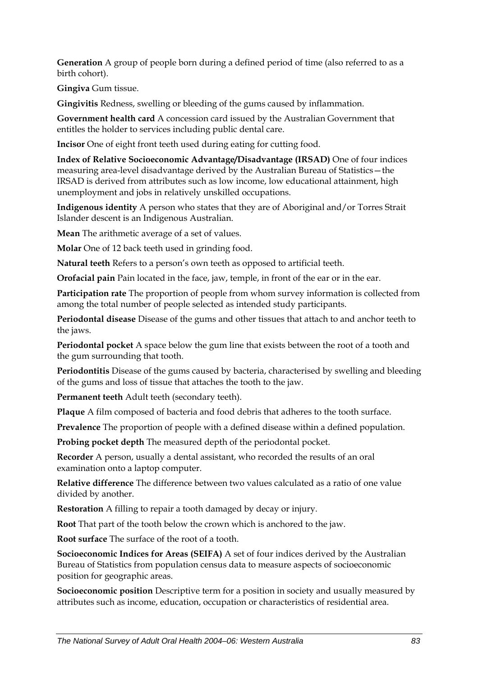**Generation** A group of people born during a defined period of time (also referred to as a birth cohort).

**Gingiva** Gum tissue.

**Gingivitis** Redness, swelling or bleeding of the gums caused by inflammation.

**Government health card** A concession card issued by the Australian Government that entitles the holder to services including public dental care.

**Incisor** One of eight front teeth used during eating for cutting food.

**Index of Relative Socioeconomic Advantage/Disadvantage (IRSAD)** One of four indices measuring area-level disadvantage derived by the Australian Bureau of Statistics—the IRSAD is derived from attributes such as low income, low educational attainment, high unemployment and jobs in relatively unskilled occupations.

**Indigenous identity** A person who states that they are of Aboriginal and/or Torres Strait Islander descent is an Indigenous Australian.

**Mean** The arithmetic average of a set of values.

**Molar** One of 12 back teeth used in grinding food.

**Natural teeth** Refers to a person's own teeth as opposed to artificial teeth.

**Orofacial pain** Pain located in the face, jaw, temple, in front of the ear or in the ear.

**Participation rate** The proportion of people from whom survey information is collected from among the total number of people selected as intended study participants.

**Periodontal disease** Disease of the gums and other tissues that attach to and anchor teeth to the jaws.

**Periodontal pocket** A space below the gum line that exists between the root of a tooth and the gum surrounding that tooth.

**Periodontitis** Disease of the gums caused by bacteria, characterised by swelling and bleeding of the gums and loss of tissue that attaches the tooth to the jaw.

**Permanent teeth** Adult teeth (secondary teeth).

**Plaque** A film composed of bacteria and food debris that adheres to the tooth surface.

**Prevalence** The proportion of people with a defined disease within a defined population.

**Probing pocket depth** The measured depth of the periodontal pocket.

**Recorder** A person, usually a dental assistant, who recorded the results of an oral examination onto a laptop computer.

**Relative difference** The difference between two values calculated as a ratio of one value divided by another.

**Restoration** A filling to repair a tooth damaged by decay or injury.

**Root** That part of the tooth below the crown which is anchored to the jaw.

**Root surface** The surface of the root of a tooth.

**Socioeconomic Indices for Areas (SEIFA)** A set of four indices derived by the Australian Bureau of Statistics from population census data to measure aspects of socioeconomic position for geographic areas.

**Socioeconomic position** Descriptive term for a position in society and usually measured by attributes such as income, education, occupation or characteristics of residential area.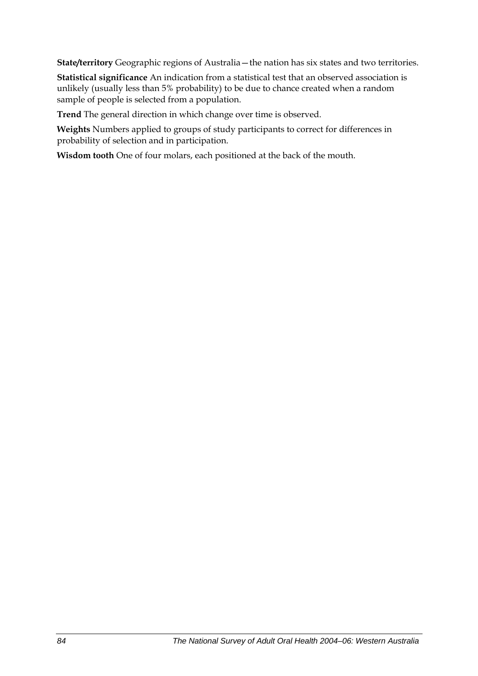**State/territory** Geographic regions of Australia—the nation has six states and two territories.

**Statistical significance** An indication from a statistical test that an observed association is unlikely (usually less than 5% probability) to be due to chance created when a random sample of people is selected from a population.

**Trend** The general direction in which change over time is observed.

**Weights** Numbers applied to groups of study participants to correct for differences in probability of selection and in participation.

**Wisdom tooth** One of four molars, each positioned at the back of the mouth.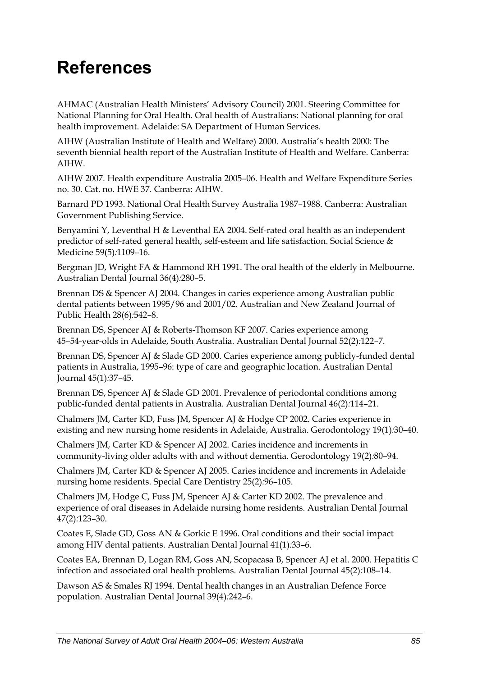# **References**

AHMAC (Australian Health Ministers' Advisory Council) 2001. Steering Committee for National Planning for Oral Health. Oral health of Australians: National planning for oral health improvement. Adelaide: SA Department of Human Services.

AIHW (Australian Institute of Health and Welfare) 2000. Australia's health 2000: The seventh biennial health report of the Australian Institute of Health and Welfare. Canberra: AIHW.

AIHW 2007. Health expenditure Australia 2005–06. Health and Welfare Expenditure Series no. 30. Cat. no. HWE 37. Canberra: AIHW.

Barnard PD 1993. National Oral Health Survey Australia 1987–1988. Canberra: Australian Government Publishing Service.

Benyamini Y, Leventhal H & Leventhal EA 2004. Self-rated oral health as an independent predictor of self-rated general health, self-esteem and life satisfaction. Social Science & Medicine 59(5)*:*1109–16.

Bergman JD, Wright FA & Hammond RH 1991. The oral health of the elderly in Melbourne. Australian Dental Journal 36(4)*:*280–5.

Brennan DS & Spencer AJ 2004. Changes in caries experience among Australian public dental patients between 1995/96 and 2001/02. Australian and New Zealand Journal of Public Health 28(6)*:*542–8.

Brennan DS, Spencer AJ & Roberts-Thomson KF 2007. Caries experience among 45–54-year-olds in Adelaide, South Australia. Australian Dental Journal 52(2)*:*122–7.

Brennan DS, Spencer AJ & Slade GD 2000. Caries experience among publicly-funded dental patients in Australia, 1995–96: type of care and geographic location. Australian Dental Journal 45(1)*:*37–45.

Brennan DS, Spencer AJ & Slade GD 2001. Prevalence of periodontal conditions among public-funded dental patients in Australia. Australian Dental Journal 46(2)*:*114–21.

Chalmers JM, Carter KD, Fuss JM, Spencer AJ & Hodge CP 2002. Caries experience in existing and new nursing home residents in Adelaide, Australia. Gerodontology 19(1)*:*30–40.

Chalmers JM, Carter KD & Spencer AJ 2002. Caries incidence and increments in community-living older adults with and without dementia. Gerodontology 19(2)*:*80–94.

Chalmers JM, Carter KD & Spencer AJ 2005. Caries incidence and increments in Adelaide nursing home residents. Special Care Dentistry 25(2)*:*96–105.

Chalmers JM, Hodge C, Fuss JM, Spencer AJ & Carter KD 2002. The prevalence and experience of oral diseases in Adelaide nursing home residents. Australian Dental Journal 47(2)*:*123–30.

Coates E, Slade GD, Goss AN & Gorkic E 1996. Oral conditions and their social impact among HIV dental patients. Australian Dental Journal 41(1)*:*33–6.

Coates EA, Brennan D, Logan RM, Goss AN, Scopacasa B, Spencer AJ et al. 2000. Hepatitis C infection and associated oral health problems. Australian Dental Journal 45(2)*:*108–14.

Dawson AS & Smales RJ 1994. Dental health changes in an Australian Defence Force population. Australian Dental Journal 39(4)*:*242–6.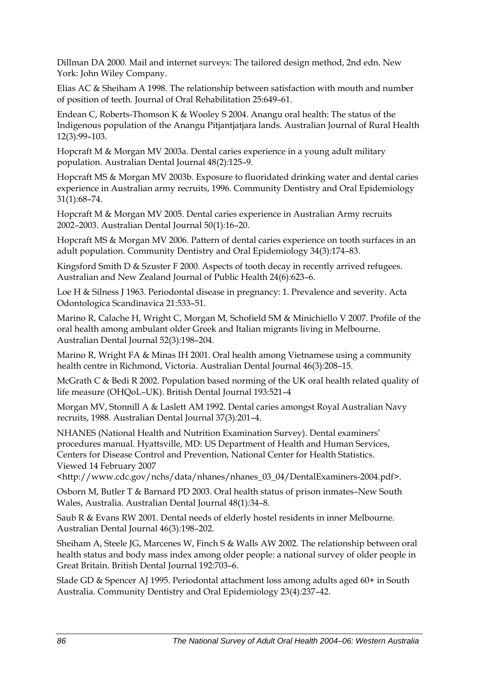Dillman DA 2000. Mail and internet surveys: The tailored design method, 2nd edn. New York: John Wiley Company.

Elias AC & Sheiham A 1998. The relationship between satisfaction with mouth and number of position of teeth. Journal of Oral Rehabilitation 25:649–61.

Endean C, Roberts-Thomson K & Wooley S 2004. Anangu oral health: The status of the Indigenous population of the Anangu Pitjantjatjara lands. Australian Journal of Rural Health 12(3)*:*99–103.

Hopcraft M & Morgan MV 2003a. Dental caries experience in a young adult military population. Australian Dental Journal 48(2)*:*125–9.

Hopcraft MS & Morgan MV 2003b. Exposure to fluoridated drinking water and dental caries experience in Australian army recruits, 1996. Community Dentistry and Oral Epidemiology 31(1)*:*68–74.

Hopcraft M & Morgan MV 2005. Dental caries experience in Australian Army recruits 2002–2003. Australian Dental Journal 50(1)*:*16–20.

Hopcraft MS & Morgan MV 2006. Pattern of dental caries experience on tooth surfaces in an adult population. Community Dentistry and Oral Epidemiology 34(3)*:*174–83.

Kingsford Smith D & Szuster F 2000. Aspects of tooth decay in recently arrived refugees. Australian and New Zealand Journal of Public Health 24(6)*:*623–6.

Loe H & Silness J 1963. Periodontal disease in pregnancy: 1. Prevalence and severity. Acta Odontologica Scandinavica 21:533–51.

Marino R, Calache H, Wright C, Morgan M, Schofield SM & Minichiello V 2007. Profile of the oral health among ambulant older Greek and Italian migrants living in Melbourne. Australian Dental Journal 52(3)*:*198–204.

Marino R, Wright FA & Minas IH 2001. Oral health among Vietnamese using a community health centre in Richmond, Victoria. Australian Dental Journal 46(3)*:*208–15.

McGrath C & Bedi R 2002. Population based norming of the UK oral health related quality of life measure (OHQoL–UK). British Dental Journal 193:521–4

Morgan MV, Stonnill A & Laslett AM 1992. Dental caries amongst Royal Australian Navy recruits, 1988. Australian Dental Journal 37(3)*:*201–4.

NHANES (National Health and Nutrition Examination Survey). Dental examiners' procedures manual. Hyattsville, MD: US Department of Health and Human Services, Centers for Disease Control and Prevention, National Center for Health Statistics. Viewed 14 February 2007

<http://www.cdc.gov/nchs/data/nhanes/nhanes\_03\_04/DentalExaminers-2004.pdf>.

Osborn M, Butler T & Barnard PD 2003. Oral health status of prison inmates–New South Wales, Australia. Australian Dental Journal 48(1)*:*34–8.

Saub R & Evans RW 2001. Dental needs of elderly hostel residents in inner Melbourne. Australian Dental Journal 46(3)*:*198–202.

Sheiham A, Steele JG, Marcenes W, Finch S & Walls AW 2002. The relationship between oral health status and body mass index among older people: a national survey of older people in Great Britain. British Dental Journal 192:703–6.

Slade GD & Spencer AJ 1995. Periodontal attachment loss among adults aged 60+ in South Australia. Community Dentistry and Oral Epidemiology 23(4)*:*237–42.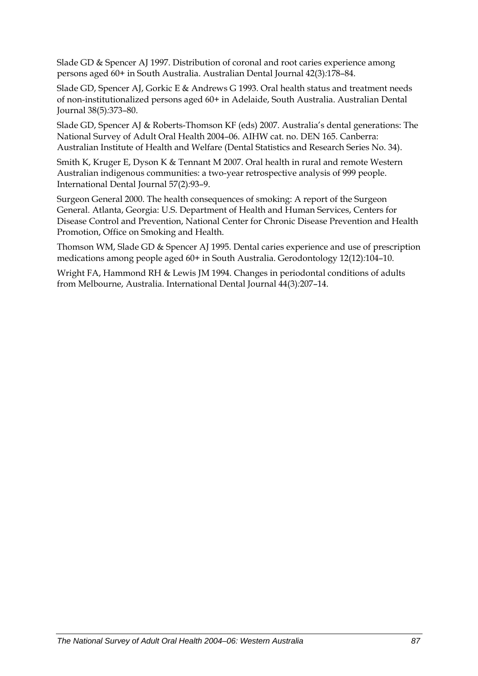Slade GD & Spencer AJ 1997. Distribution of coronal and root caries experience among persons aged 60+ in South Australia. Australian Dental Journal 42(3)*:*178–84.

Slade GD, Spencer AJ, Gorkic E & Andrews G 1993. Oral health status and treatment needs of non-institutionalized persons aged 60+ in Adelaide, South Australia. Australian Dental Journal 38(5)*:*373–80.

Slade GD, Spencer AJ & Roberts-Thomson KF (eds) 2007. Australia's dental generations: The National Survey of Adult Oral Health 2004–06. AIHW cat. no. DEN 165. Canberra: Australian Institute of Health and Welfare (Dental Statistics and Research Series No. 34).

Smith K, Kruger E, Dyson K & Tennant M 2007. Oral health in rural and remote Western Australian indigenous communities: a two-year retrospective analysis of 999 people. International Dental Journal 57(2)*:*93–9.

Surgeon General 2000. The health consequences of smoking: A report of the Surgeon General. Atlanta, Georgia: U.S. Department of Health and Human Services, Centers for Disease Control and Prevention, National Center for Chronic Disease Prevention and Health Promotion, Office on Smoking and Health.

Thomson WM, Slade GD & Spencer AJ 1995. Dental caries experience and use of prescription medications among people aged 60+ in South Australia. Gerodontology 12(12)*:*104–10.

Wright FA, Hammond RH & Lewis JM 1994. Changes in periodontal conditions of adults from Melbourne, Australia. International Dental Journal 44(3)*:*207–14.